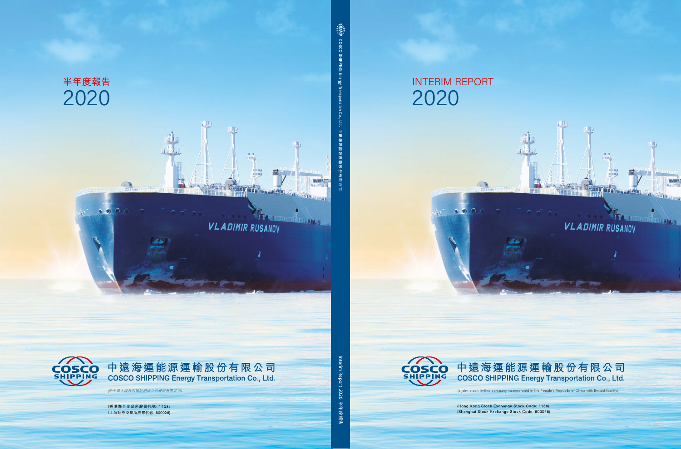# **INTERIM REPORT** 2020

 $\bullet$ 

u 14



中遠海運能源運輸股份有限公司 **COSCO SHIPPING Energy Transportation Co., Ltd.** 

 $\mathbb{R}$  in

Da

TH,

**VLADIMIR RUSANOV** 

引自止

 $\Box$ 

an di dida tanàna am

笥

(a joint stock limited company incorporated in the People's Republic of China with limited liability)

÷

(Hong Kong Stock Exchange Stock Code: 1138) (Shanghai Stock Exchange Stock Code: 600026)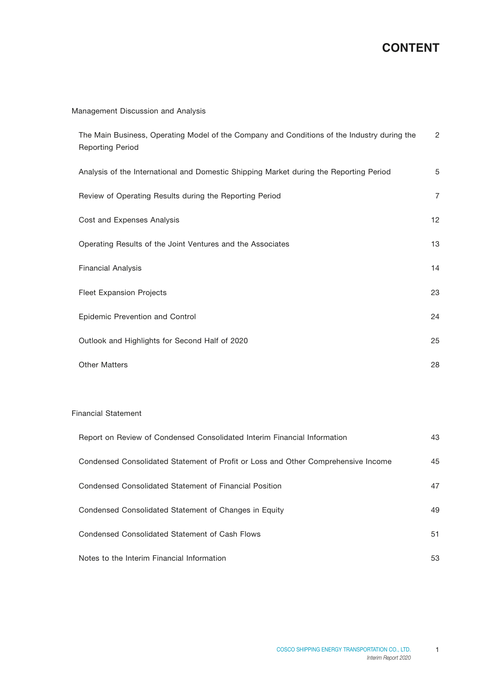# **CONTENT**

### Management Discussion and Analysis

| The Main Business, Operating Model of the Company and Conditions of the Industry during the<br><b>Reporting Period</b> | $\overline{2}$ |
|------------------------------------------------------------------------------------------------------------------------|----------------|
| Analysis of the International and Domestic Shipping Market during the Reporting Period                                 | 5              |
| Review of Operating Results during the Reporting Period                                                                | $\overline{7}$ |
| Cost and Expenses Analysis                                                                                             | 12             |
| Operating Results of the Joint Ventures and the Associates                                                             | 13             |
| <b>Financial Analysis</b>                                                                                              | 14             |
| <b>Fleet Expansion Projects</b>                                                                                        | 23             |
| Epidemic Prevention and Control                                                                                        | 24             |
| Outlook and Highlights for Second Half of 2020                                                                         | 25             |
| <b>Other Matters</b>                                                                                                   | 28             |

#### Financial Statement

| Report on Review of Condensed Consolidated Interim Financial Information          | 43 |
|-----------------------------------------------------------------------------------|----|
| Condensed Consolidated Statement of Profit or Loss and Other Comprehensive Income | 45 |
| Condensed Consolidated Statement of Financial Position                            | 47 |
| Condensed Consolidated Statement of Changes in Equity                             | 49 |
| Condensed Consolidated Statement of Cash Flows                                    | 51 |
| Notes to the Interim Financial Information                                        | 53 |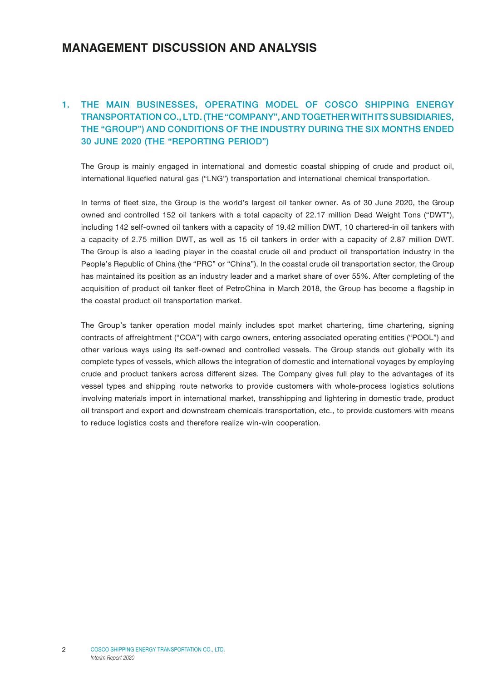### **MANAGEMENT DISCUSSION AND ANALYSIS**

### 1. THE MAIN BUSINESSES, OPERATING MODEL OF COSCO SHIPPING ENERGY TRANSPORTATION CO., LTD. (THE "COMPANY", AND TOGETHER WITH ITS SUBSIDIARIES, THE "GROUP") AND CONDITIONS OF THE INDUSTRY DURING THE SIX MONTHS ENDED 30 JUNE 2020 (THE "REPORTING PERIOD")

The Group is mainly engaged in international and domestic coastal shipping of crude and product oil, international liquefied natural gas ("LNG") transportation and international chemical transportation.

In terms of fleet size, the Group is the world's largest oil tanker owner. As of 30 June 2020, the Group owned and controlled 152 oil tankers with a total capacity of 22.17 million Dead Weight Tons ("DWT"), including 142 self-owned oil tankers with a capacity of 19.42 million DWT, 10 chartered-in oil tankers with a capacity of 2.75 million DWT, as well as 15 oil tankers in order with a capacity of 2.87 million DWT. The Group is also a leading player in the coastal crude oil and product oil transportation industry in the People's Republic of China (the "PRC" or "China"). In the coastal crude oil transportation sector, the Group has maintained its position as an industry leader and a market share of over 55%. After completing of the acquisition of product oil tanker fleet of PetroChina in March 2018, the Group has become a flagship in the coastal product oil transportation market.

The Group's tanker operation model mainly includes spot market chartering, time chartering, signing contracts of affreightment ("COA") with cargo owners, entering associated operating entities ("POOL") and other various ways using its self-owned and controlled vessels. The Group stands out globally with its complete types of vessels, which allows the integration of domestic and international voyages by employing crude and product tankers across different sizes. The Company gives full play to the advantages of its vessel types and shipping route networks to provide customers with whole-process logistics solutions involving materials import in international market, transshipping and lightering in domestic trade, product oil transport and export and downstream chemicals transportation, etc., to provide customers with means to reduce logistics costs and therefore realize win-win cooperation.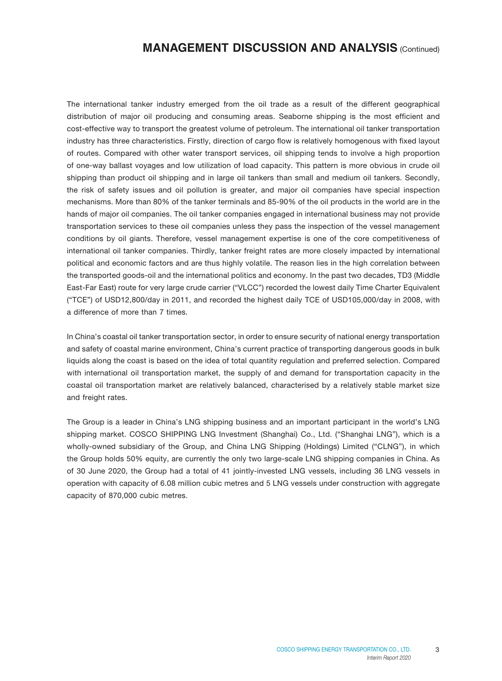The international tanker industry emerged from the oil trade as a result of the different geographical distribution of major oil producing and consuming areas. Seaborne shipping is the most efficient and cost-effective way to transport the greatest volume of petroleum. The international oil tanker transportation industry has three characteristics. Firstly, direction of cargo flow is relatively homogenous with fixed layout of routes. Compared with other water transport services, oil shipping tends to involve a high proportion of one-way ballast voyages and low utilization of load capacity. This pattern is more obvious in crude oil shipping than product oil shipping and in large oil tankers than small and medium oil tankers. Secondly, the risk of safety issues and oil pollution is greater, and major oil companies have special inspection mechanisms. More than 80% of the tanker terminals and 85-90% of the oil products in the world are in the hands of major oil companies. The oil tanker companies engaged in international business may not provide transportation services to these oil companies unless they pass the inspection of the vessel management conditions by oil giants. Therefore, vessel management expertise is one of the core competitiveness of international oil tanker companies. Thirdly, tanker freight rates are more closely impacted by international political and economic factors and are thus highly volatile. The reason lies in the high correlation between the transported goods-oil and the international politics and economy. In the past two decades, TD3 (Middle East-Far East) route for very large crude carrier ("VLCC") recorded the lowest daily Time Charter Equivalent ("TCE") of USD12,800/day in 2011, and recorded the highest daily TCE of USD105,000/day in 2008, with a difference of more than 7 times.

In China's coastal oil tanker transportation sector, in order to ensure security of national energy transportation and safety of coastal marine environment, China's current practice of transporting dangerous goods in bulk liquids along the coast is based on the idea of total quantity regulation and preferred selection. Compared with international oil transportation market, the supply of and demand for transportation capacity in the coastal oil transportation market are relatively balanced, characterised by a relatively stable market size and freight rates.

The Group is a leader in China's LNG shipping business and an important participant in the world's LNG shipping market. COSCO SHIPPING LNG Investment (Shanghai) Co., Ltd. ("Shanghai LNG"), which is a wholly-owned subsidiary of the Group, and China LNG Shipping (Holdings) Limited ("CLNG"), in which the Group holds 50% equity, are currently the only two large-scale LNG shipping companies in China. As of 30 June 2020, the Group had a total of 41 jointly-invested LNG vessels, including 36 LNG vessels in operation with capacity of 6.08 million cubic metres and 5 LNG vessels under construction with aggregate capacity of 870,000 cubic metres.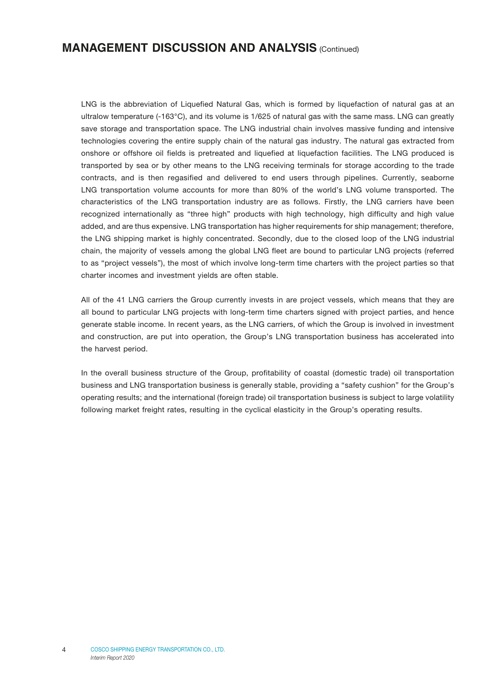LNG is the abbreviation of Liquefied Natural Gas, which is formed by liquefaction of natural gas at an ultralow temperature (-163°C), and its volume is 1/625 of natural gas with the same mass. LNG can greatly save storage and transportation space. The LNG industrial chain involves massive funding and intensive technologies covering the entire supply chain of the natural gas industry. The natural gas extracted from onshore or offshore oil fields is pretreated and liquefied at liquefaction facilities. The LNG produced is transported by sea or by other means to the LNG receiving terminals for storage according to the trade contracts, and is then regasified and delivered to end users through pipelines. Currently, seaborne LNG transportation volume accounts for more than 80% of the world's LNG volume transported. The characteristics of the LNG transportation industry are as follows. Firstly, the LNG carriers have been recognized internationally as "three high" products with high technology, high difficulty and high value added, and are thus expensive. LNG transportation has higher requirements for ship management; therefore, the LNG shipping market is highly concentrated. Secondly, due to the closed loop of the LNG industrial chain, the majority of vessels among the global LNG fleet are bound to particular LNG projects (referred to as "project vessels"), the most of which involve long-term time charters with the project parties so that charter incomes and investment yields are often stable.

All of the 41 LNG carriers the Group currently invests in are project vessels, which means that they are all bound to particular LNG projects with long-term time charters signed with project parties, and hence generate stable income. In recent years, as the LNG carriers, of which the Group is involved in investment and construction, are put into operation, the Group's LNG transportation business has accelerated into the harvest period.

In the overall business structure of the Group, profitability of coastal (domestic trade) oil transportation business and LNG transportation business is generally stable, providing a "safety cushion" for the Group's operating results; and the international (foreign trade) oil transportation business is subject to large volatility following market freight rates, resulting in the cyclical elasticity in the Group's operating results.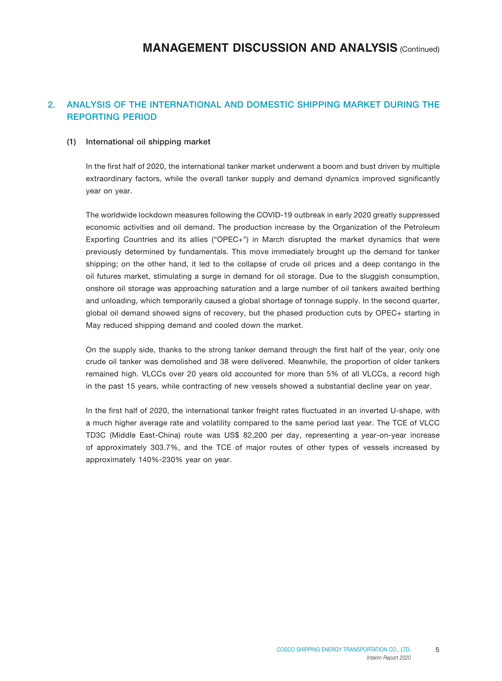### 2. ANALYSIS OF THE INTERNATIONAL AND DOMESTIC SHIPPING MARKET DURING THE REPORTING PERIOD

#### (1) International oil shipping market

In the first half of 2020, the international tanker market underwent a boom and bust driven by multiple extraordinary factors, while the overall tanker supply and demand dynamics improved significantly year on year.

The worldwide lockdown measures following the COVID-19 outbreak in early 2020 greatly suppressed economic activities and oil demand. The production increase by the Organization of the Petroleum Exporting Countries and its allies ("OPEC+") in March disrupted the market dynamics that were previously determined by fundamentals. This move immediately brought up the demand for tanker shipping; on the other hand, it led to the collapse of crude oil prices and a deep contango in the oil futures market, stimulating a surge in demand for oil storage. Due to the sluggish consumption, onshore oil storage was approaching saturation and a large number of oil tankers awaited berthing and unloading, which temporarily caused a global shortage of tonnage supply. In the second quarter, global oil demand showed signs of recovery, but the phased production cuts by OPEC+ starting in May reduced shipping demand and cooled down the market.

On the supply side, thanks to the strong tanker demand through the first half of the year, only one crude oil tanker was demolished and 38 were delivered. Meanwhile, the proportion of older tankers remained high. VLCCs over 20 years old accounted for more than 5% of all VLCCs, a record high in the past 15 years, while contracting of new vessels showed a substantial decline year on year.

In the first half of 2020, the international tanker freight rates fluctuated in an inverted U-shape, with a much higher average rate and volatility compared to the same period last year. The TCE of VLCC TD3C (Middle East-China) route was US\$ 82,200 per day, representing a year-on-year increase of approximately 303.7%, and the TCE of major routes of other types of vessels increased by approximately 140%-230% year on year.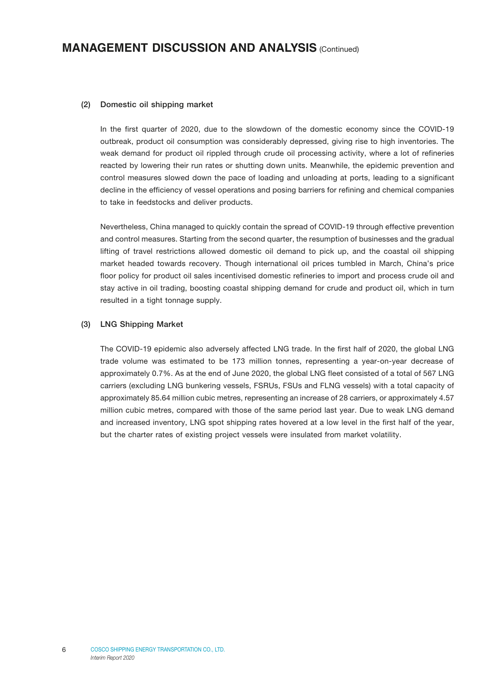#### (2) Domestic oil shipping market

In the first quarter of 2020, due to the slowdown of the domestic economy since the COVID-19 outbreak, product oil consumption was considerably depressed, giving rise to high inventories. The weak demand for product oil rippled through crude oil processing activity, where a lot of refineries reacted by lowering their run rates or shutting down units. Meanwhile, the epidemic prevention and control measures slowed down the pace of loading and unloading at ports, leading to a significant decline in the efficiency of vessel operations and posing barriers for refining and chemical companies to take in feedstocks and deliver products.

Nevertheless, China managed to quickly contain the spread of COVID-19 through effective prevention and control measures. Starting from the second quarter, the resumption of businesses and the gradual lifting of travel restrictions allowed domestic oil demand to pick up, and the coastal oil shipping market headed towards recovery. Though international oil prices tumbled in March, China's price floor policy for product oil sales incentivised domestic refineries to import and process crude oil and stay active in oil trading, boosting coastal shipping demand for crude and product oil, which in turn resulted in a tight tonnage supply.

#### (3) LNG Shipping Market

The COVID-19 epidemic also adversely affected LNG trade. In the first half of 2020, the global LNG trade volume was estimated to be 173 million tonnes, representing a year-on-year decrease of approximately 0.7%. As at the end of June 2020, the global LNG fleet consisted of a total of 567 LNG carriers (excluding LNG bunkering vessels, FSRUs, FSUs and FLNG vessels) with a total capacity of approximately 85.64 million cubic metres, representing an increase of 28 carriers, or approximately 4.57 million cubic metres, compared with those of the same period last year. Due to weak LNG demand and increased inventory, LNG spot shipping rates hovered at a low level in the first half of the year, but the charter rates of existing project vessels were insulated from market volatility.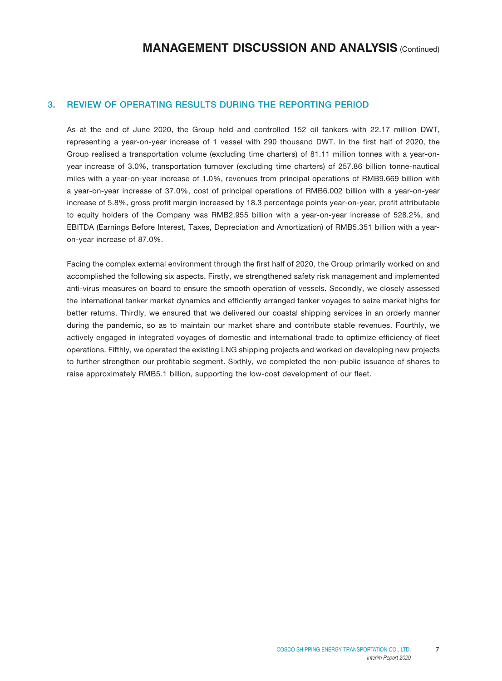### 3. REVIEW OF OPERATING RESULTS DURING THE REPORTING PERIOD

As at the end of June 2020, the Group held and controlled 152 oil tankers with 22.17 million DWT, representing a year-on-year increase of 1 vessel with 290 thousand DWT. In the first half of 2020, the Group realised a transportation volume (excluding time charters) of 81.11 million tonnes with a year-onyear increase of 3.0%, transportation turnover (excluding time charters) of 257.86 billion tonne-nautical miles with a year-on-year increase of 1.0%, revenues from principal operations of RMB9.669 billion with a year-on-year increase of 37.0%, cost of principal operations of RMB6.002 billion with a year-on-year increase of 5.8%, gross profit margin increased by 18.3 percentage points year-on-year, profit attributable to equity holders of the Company was RMB2.955 billion with a year-on-year increase of 528.2%, and EBITDA (Earnings Before Interest, Taxes, Depreciation and Amortization) of RMB5.351 billion with a yearon-year increase of 87.0%.

Facing the complex external environment through the first half of 2020, the Group primarily worked on and accomplished the following six aspects. Firstly, we strengthened safety risk management and implemented anti-virus measures on board to ensure the smooth operation of vessels. Secondly, we closely assessed the international tanker market dynamics and efficiently arranged tanker voyages to seize market highs for better returns. Thirdly, we ensured that we delivered our coastal shipping services in an orderly manner during the pandemic, so as to maintain our market share and contribute stable revenues. Fourthly, we actively engaged in integrated voyages of domestic and international trade to optimize efficiency of fleet operations. Fifthly, we operated the existing LNG shipping projects and worked on developing new projects to further strengthen our profitable segment. Sixthly, we completed the non-public issuance of shares to raise approximately RMB5.1 billion, supporting the low-cost development of our fleet.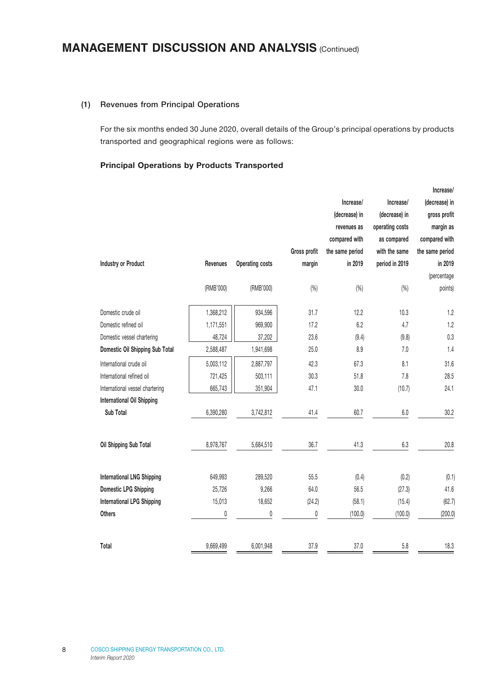#### (1) Revenues from Principal Operations

For the six months ended 30 June 2020, overall details of the Group's principal operations by products transported and geographical regions were as follows:

#### Principal Operations by Products Transported

|                                   |           |                        |              |                 |                 | Increase/       |
|-----------------------------------|-----------|------------------------|--------------|-----------------|-----------------|-----------------|
|                                   |           |                        |              | Increase/       | Increase/       | (decrease) in   |
|                                   |           |                        |              | (decrease) in   | (decrease) in   | gross profit    |
|                                   |           |                        |              | revenues as     | operating costs | margin as       |
|                                   |           |                        |              | compared with   | as compared     | compared with   |
|                                   |           |                        | Gross profit | the same period | with the same   | the same period |
| <b>Industry or Product</b>        | Revenues  | <b>Operating costs</b> | margin       | in 2019         | period in 2019  | in 2019         |
|                                   |           |                        |              |                 |                 | (percentage     |
|                                   | (RMB'000) | (RMB'000)              | (% )         | (% )            | (% )            | points)         |
| Domestic crude oil                | 1,368,212 | 934,596                | 31.7         | 12.2            | 10.3            | 1.2             |
| Domestic refined oil              | 1,171,551 | 969,900                | 17.2         | 6.2             | 4.7             | 1.2             |
| Domestic vessel chartering        | 48,724    | 37,202                 | 23.6         | (9.4)           | (9.8)           | 0.3             |
| Domestic Oil Shipping Sub Total   | 2,588,487 | 1,941,698              | 25.0         | 8.9             | 7.0             | 1.4             |
| International crude oil           | 5,003,112 | 2,887,797              | 42.3         | 67.3            | 8.1             | 31.6            |
| International refined oil         | 721,425   | 503,111                | 30.3         | 51.8            | 7.8             | 28.5            |
| International vessel chartering   | 665,743   | 351,904                | 47.1         | 30.0            | (10.7)          | 24.1            |
| <b>International Oil Shipping</b> |           |                        |              |                 |                 |                 |
| Sub Total                         | 6,390,280 | 3,742,812              | 41.4         | 60.7            | 6.0             | 30.2            |
| Oil Shipping Sub Total            | 8,978,767 | 5,684,510              | 36.7         | 41.3            | 6.3             | 20.8            |
| <b>International LNG Shipping</b> | 649,993   | 289,520                | 55.5         | (0.4)           | (0.2)           | (0.1)           |
| <b>Domestic LPG Shipping</b>      | 25,726    | 9,266                  | 64.0         | 56.5            | (27.3)          | 41.6            |
| <b>International LPG Shipping</b> | 15,013    | 18,652                 | (24.2)       | (58.1)          | (15.4)          | (62.7)          |
| <b>Others</b>                     | 0         | 0                      | 0            | (100.0)         | (100.0)         | (200.0)         |
| Total                             | 9,669,499 | 6,001,948              | 37.9         | 37.0            | 5.8             | 18.3            |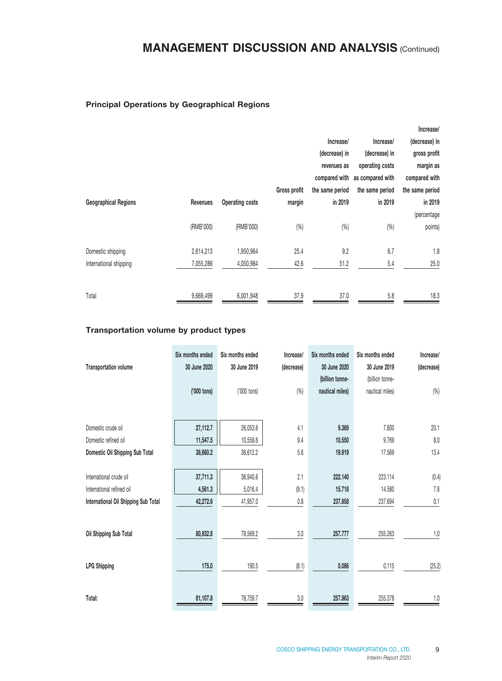#### Principal Operations by Geographical Regions

|                             |           |                        |              |                 |                  | Increase/       |
|-----------------------------|-----------|------------------------|--------------|-----------------|------------------|-----------------|
|                             |           |                        |              | Increase/       | Increase/        | (decrease) in   |
|                             |           |                        |              | (decrease) in   | (decrease) in    | gross profit    |
|                             |           |                        |              | revenues as     | operating costs  | margin as       |
|                             |           |                        |              | compared with   | as compared with | compared with   |
|                             |           |                        | Gross profit | the same period | the same period  | the same period |
| <b>Geographical Regions</b> | Revenues  | <b>Operating costs</b> | margin       | in 2019         | in 2019          | in 2019         |
|                             |           |                        |              |                 |                  | (percentage     |
|                             | (RMB'000) | (RMB'000)              | (%)          | (%)             | (%)              | points)         |
| Domestic shipping           | 2,614,213 | 1,950,964              | 25.4         | 9.2             | 6.7              | 1.8             |
| International shipping      | 7,055,286 | 4,050,984              | 42.6         | 51.2            | 5.4              | 25.0            |
|                             |           |                        |              |                 |                  |                 |
| Total                       | 9,669,499 | 6,001,948              | 37.9         | 37.0            | 5.8              | 18.3            |

### Transportation volume by product types

| <b>Transportation volume</b>         | Six months ended<br>30 June 2020 | Six months ended<br>30 June 2019 | Increase/<br>(decrease) | Six months ended<br>30 June 2020<br>(billion tonne- | Six months ended<br>30 June 2019<br>(billion tonne- | Increase/<br>(decrease) |
|--------------------------------------|----------------------------------|----------------------------------|-------------------------|-----------------------------------------------------|-----------------------------------------------------|-------------------------|
|                                      | ('000 tons)                      | ('000 tons)                      | (%)                     | nautical miles)                                     | nautical miles)                                     | (%)                     |
| Domestic crude oil                   | 27,112.7                         | 26,053.6                         | 4.1                     | 9.369                                               | 7,800                                               | 20.1                    |
| Domestic refined oil                 | 11,547.5                         | 10,558.6                         | 9.4                     | 10,550                                              | 9.769                                               | $8.0\,$                 |
| Domestic Oil Shipping Sub Total      | 38,660.2                         | 36,612.2                         | 5.6                     | 19.919                                              | 17.569                                              | 13.4                    |
| International crude oil              | 37,711.3                         | 36,940.6                         | 2.1                     | 222.140                                             | 223.114                                             | (0.4)                   |
| International refined oil            | 4,561.3                          | 5,016.4                          | (9.1)                   | 15.718                                              | 14.580                                              | $7.8$                   |
| International Oil Shipping Sub Total | 42,272.6                         | 41,957.0                         | 0.8                     | 237.858                                             | 237.694                                             | 0.1                     |
| Oil Shipping Sub Total               | 80,932.8                         | 78,569.2                         | 3.0                     | 257.777                                             | 255.263                                             | $1.0\,$                 |
| <b>LPG Shipping</b>                  | 175.0                            | 190.5                            | (8.1)                   | 0.086                                               | 0.115                                               | (25.2)                  |
| Total:                               | 81,107.8                         | 78,759.7                         | 3.0                     | 257.863                                             | 255.378                                             | 1.0                     |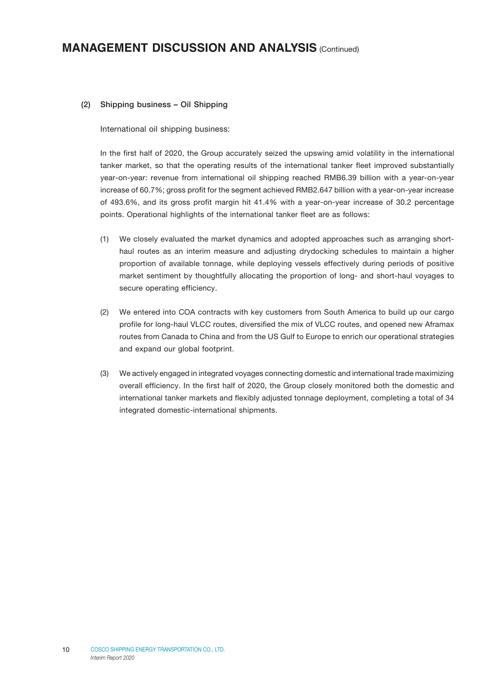#### (2) Shipping business – Oil Shipping

International oil shipping business:

In the first half of 2020, the Group accurately seized the upswing amid volatility in the international tanker market, so that the operating results of the international tanker fleet improved substantially year-on-year: revenue from international oil shipping reached RMB6.39 billion with a year-on-year increase of 60.7%; gross profit for the segment achieved RMB2.647 billion with a year-on-year increase of 493.6%, and its gross profit margin hit 41.4% with a year-on-year increase of 30.2 percentage points. Operational highlights of the international tanker fleet are as follows:

- (1) We closely evaluated the market dynamics and adopted approaches such as arranging shorthaul routes as an interim measure and adjusting drydocking schedules to maintain a higher proportion of available tonnage, while deploying vessels effectively during periods of positive market sentiment by thoughtfully allocating the proportion of long- and short-haul voyages to secure operating efficiency.
- (2) We entered into COA contracts with key customers from South America to build up our cargo profile for long-haul VLCC routes, diversified the mix of VLCC routes, and opened new Aframax routes from Canada to China and from the US Gulf to Europe to enrich our operational strategies and expand our global footprint.
- (3) We actively engaged in integrated voyages connecting domestic and international trade maximizing overall efficiency. In the first half of 2020, the Group closely monitored both the domestic and international tanker markets and flexibly adjusted tonnage deployment, completing a total of 34 integrated domestic-international shipments.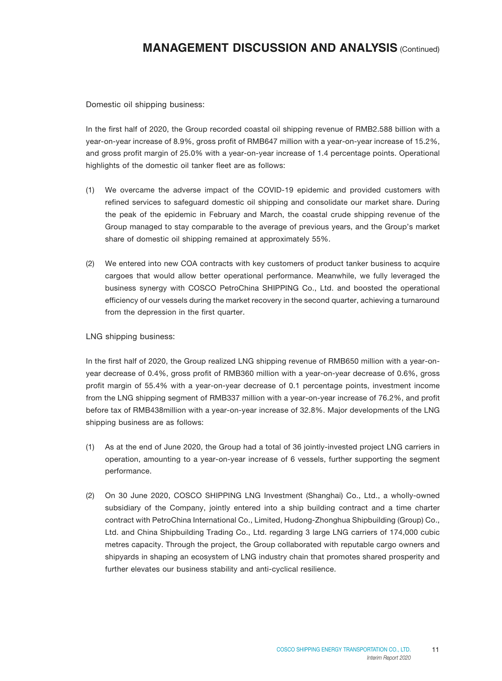Domestic oil shipping business:

In the first half of 2020, the Group recorded coastal oil shipping revenue of RMB2.588 billion with a year-on-year increase of 8.9%, gross profit of RMB647 million with a year-on-year increase of 15.2%, and gross profit margin of 25.0% with a year-on-year increase of 1.4 percentage points. Operational highlights of the domestic oil tanker fleet are as follows:

- (1) We overcame the adverse impact of the COVID-19 epidemic and provided customers with refined services to safeguard domestic oil shipping and consolidate our market share. During the peak of the epidemic in February and March, the coastal crude shipping revenue of the Group managed to stay comparable to the average of previous years, and the Group's market share of domestic oil shipping remained at approximately 55%.
- (2) We entered into new COA contracts with key customers of product tanker business to acquire cargoes that would allow better operational performance. Meanwhile, we fully leveraged the business synergy with COSCO PetroChina SHIPPING Co., Ltd. and boosted the operational efficiency of our vessels during the market recovery in the second quarter, achieving a turnaround from the depression in the first quarter.

#### LNG shipping business:

In the first half of 2020, the Group realized LNG shipping revenue of RMB650 million with a year-onyear decrease of 0.4%, gross profit of RMB360 million with a year-on-year decrease of 0.6%, gross profit margin of 55.4% with a year-on-year decrease of 0.1 percentage points, investment income from the LNG shipping segment of RMB337 million with a year-on-year increase of 76.2%, and profit before tax of RMB438million with a year-on-year increase of 32.8%. Major developments of the LNG shipping business are as follows:

- (1) As at the end of June 2020, the Group had a total of 36 jointly-invested project LNG carriers in operation, amounting to a year-on-year increase of 6 vessels, further supporting the segment performance.
- (2) On 30 June 2020, COSCO SHIPPING LNG Investment (Shanghai) Co., Ltd., a wholly-owned subsidiary of the Company, jointly entered into a ship building contract and a time charter contract with PetroChina International Co., Limited, Hudong-Zhonghua Shipbuilding (Group) Co., Ltd. and China Shipbuilding Trading Co., Ltd. regarding 3 large LNG carriers of 174,000 cubic metres capacity. Through the project, the Group collaborated with reputable cargo owners and shipyards in shaping an ecosystem of LNG industry chain that promotes shared prosperity and further elevates our business stability and anti-cyclical resilience.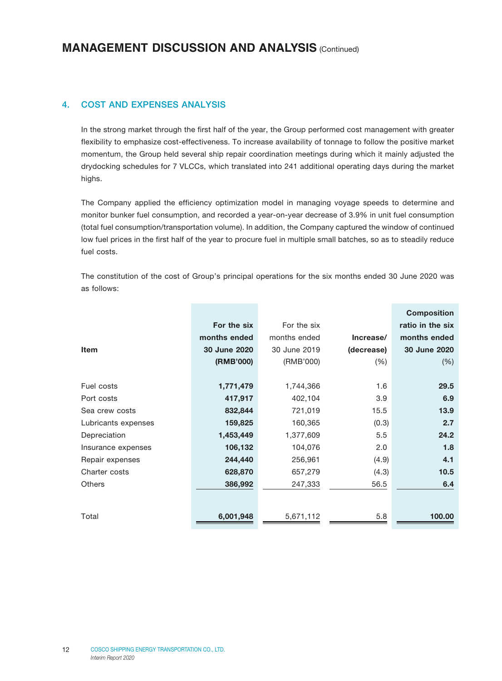### 4. COST AND EXPENSES ANALYSIS

In the strong market through the first half of the year, the Group performed cost management with greater flexibility to emphasize cost-effectiveness. To increase availability of tonnage to follow the positive market momentum, the Group held several ship repair coordination meetings during which it mainly adjusted the drydocking schedules for 7 VLCCs, which translated into 241 additional operating days during the market highs.

The Company applied the efficiency optimization model in managing voyage speeds to determine and monitor bunker fuel consumption, and recorded a year-on-year decrease of 3.9% in unit fuel consumption (total fuel consumption/transportation volume). In addition, the Company captured the window of continued low fuel prices in the first half of the year to procure fuel in multiple small batches, so as to steadily reduce fuel costs.

The constitution of the cost of Group's principal operations for the six months ended 30 June 2020 was as follows:

|                     |              |              |            | <b>Composition</b> |
|---------------------|--------------|--------------|------------|--------------------|
|                     | For the six  | For the six  |            | ratio in the six   |
|                     | months ended | months ended | Increase/  | months ended       |
| <b>Item</b>         | 30 June 2020 | 30 June 2019 | (decrease) | 30 June 2020       |
|                     | (RMB'000)    | (RMB'000)    | (% )       | (% )               |
|                     |              |              |            |                    |
| Fuel costs          | 1,771,479    | 1,744,366    | 1.6        | 29.5               |
| Port costs          | 417,917      | 402,104      | 3.9        | 6.9                |
| Sea crew costs      | 832,844      | 721,019      | 15.5       | 13.9               |
| Lubricants expenses | 159,825      | 160,365      | (0.3)      | 2.7                |
| Depreciation        | 1,453,449    | 1,377,609    | 5.5        | 24.2               |
| Insurance expenses  | 106,132      | 104,076      | 2.0        | 1.8                |
| Repair expenses     | 244,440      | 256,961      | (4.9)      | 4.1                |
| Charter costs       | 628,870      | 657,279      | (4.3)      | 10.5               |
| <b>Others</b>       | 386,992      | 247,333      | 56.5       | 6.4                |
|                     |              |              |            |                    |
| Total               | 6,001,948    | 5,671,112    | 5.8        | 100.00             |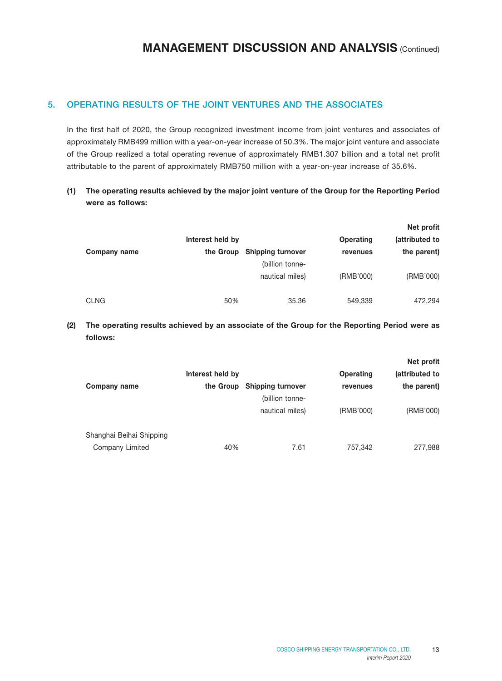### 5. OPERATING RESULTS OF THE JOINT VENTURES AND THE ASSOCIATES

In the first half of 2020, the Group recognized investment income from joint ventures and associates of approximately RMB499 million with a year-on-year increase of 50.3%. The major joint venture and associate of the Group realized a total operating revenue of approximately RMB1.307 billion and a total net profit attributable to the parent of approximately RMB750 million with a year-on-year increase of 35.6%.

### (1) The operating results achieved by the major joint venture of the Group for the Reporting Period were as follows:

|              |                  |                                                |           | Net profit     |
|--------------|------------------|------------------------------------------------|-----------|----------------|
|              | Interest held by |                                                | Operating | (attributed to |
| Company name |                  | the Group Shipping turnover<br>(billion tonne- | revenues  | the parent)    |
|              |                  | nautical miles)                                | (RMB'000) | (RMB'000)      |
| <b>CLNG</b>  | 50%              | 35.36                                          | 549,339   | 472,294        |

### (2) The operating results achieved by an associate of the Group for the Reporting Period were as follows:

|                          |                  |                                             |           | Net profit     |
|--------------------------|------------------|---------------------------------------------|-----------|----------------|
|                          | Interest held by |                                             | Operating | (attributed to |
| Company name             | the Group        | <b>Shipping turnover</b><br>(billion tonne- | revenues  | the parent)    |
|                          |                  | nautical miles)                             | (RMB'000) | (RMB'000)      |
| Shanghai Beihai Shipping |                  |                                             |           |                |
| Company Limited          | 40%              | 7.61                                        | 757,342   | 277,988        |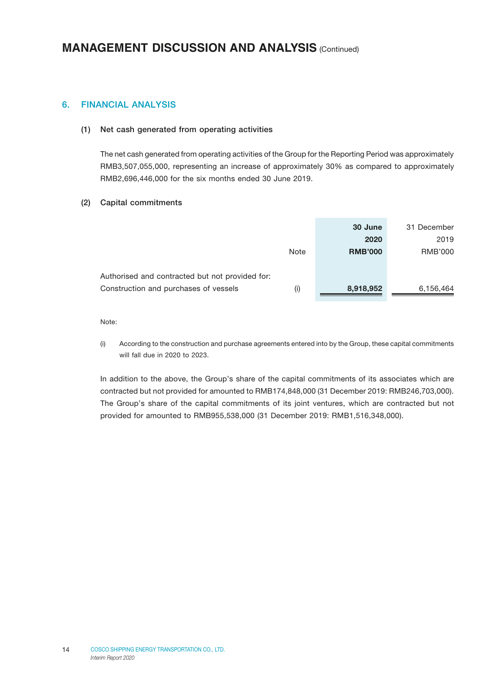### 6. FINANCIAL ANALYSIS

#### (1) Net cash generated from operating activities

The net cash generated from operating activities of the Group for the Reporting Period was approximately RMB3,507,055,000, representing an increase of approximately 30% as compared to approximately RMB2,696,446,000 for the six months ended 30 June 2019.

#### (2) Capital commitments

|                                                 |      | 30 June        | 31 December |
|-------------------------------------------------|------|----------------|-------------|
|                                                 |      | 2020           | 2019        |
|                                                 | Note | <b>RMB'000</b> | RMB'000     |
|                                                 |      |                |             |
| Authorised and contracted but not provided for: |      |                |             |
| Construction and purchases of vessels           | (i)  | 8,918,952      | 6,156,464   |

Note:

(i) According to the construction and purchase agreements entered into by the Group, these capital commitments will fall due in 2020 to 2023.

In addition to the above, the Group's share of the capital commitments of its associates which are contracted but not provided for amounted to RMB174,848,000 (31 December 2019: RMB246,703,000). The Group's share of the capital commitments of its joint ventures, which are contracted but not provided for amounted to RMB955,538,000 (31 December 2019: RMB1,516,348,000).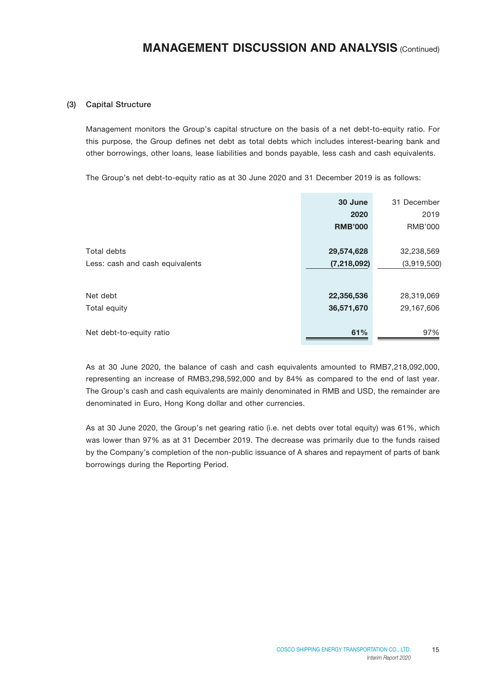#### (3) Capital Structure

Management monitors the Group's capital structure on the basis of a net debt-to-equity ratio. For this purpose, the Group defines net debt as total debts which includes interest-bearing bank and other borrowings, other loans, lease liabilities and bonds payable, less cash and cash equivalents.

The Group's net debt-to-equity ratio as at 30 June 2020 and 31 December 2019 is as follows:

|                                 | 30 June<br>2020<br><b>RMB'000</b> | 31 December<br>2019<br>RMB'000 |
|---------------------------------|-----------------------------------|--------------------------------|
| Total debts                     | 29,574,628                        | 32,238,569                     |
| Less: cash and cash equivalents | (7, 218, 092)                     | (3,919,500)                    |
| Net debt                        | 22,356,536                        | 28,319,069                     |
| Total equity                    | 36,571,670                        | 29,167,606                     |
| Net debt-to-equity ratio        | 61%                               | 97%                            |

As at 30 June 2020, the balance of cash and cash equivalents amounted to RMB7,218,092,000, representing an increase of RMB3,298,592,000 and by 84% as compared to the end of last year. The Group's cash and cash equivalents are mainly denominated in RMB and USD, the remainder are denominated in Euro, Hong Kong dollar and other currencies.

As at 30 June 2020, the Group's net gearing ratio (i.e. net debts over total equity) was 61%, which was lower than 97% as at 31 December 2019. The decrease was primarily due to the funds raised by the Company's completion of the non-public issuance of A shares and repayment of parts of bank borrowings during the Reporting Period.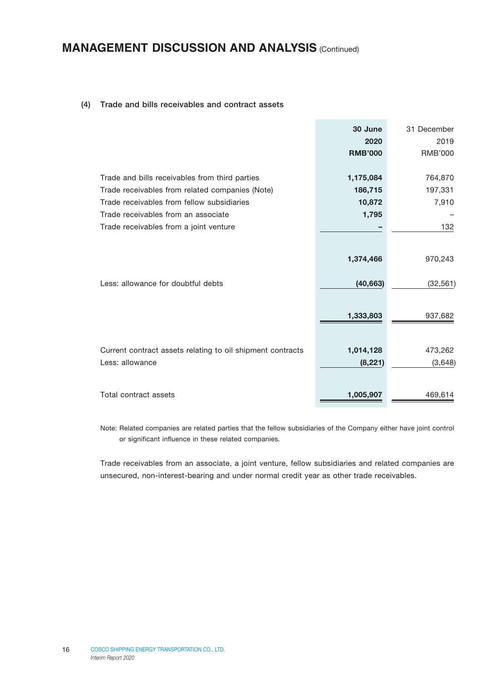#### (4) Trade and bills receivables and contract assets

|                                                            | 30 June        | 31 December    |
|------------------------------------------------------------|----------------|----------------|
|                                                            | 2020           | 2019           |
|                                                            | <b>RMB'000</b> | <b>RMB'000</b> |
|                                                            |                |                |
| Trade and bills receivables from third parties             | 1,175,084      | 764,870        |
| Trade receivables from related companies (Note)            | 186,715        | 197,331        |
| Trade receivables from fellow subsidiaries                 | 10,872         | 7,910          |
| Trade receivables from an associate                        | 1,795          |                |
| Trade receivables from a joint venture                     |                | 132            |
|                                                            |                |                |
|                                                            | 1,374,466      | 970,243        |
|                                                            |                |                |
| Less: allowance for doubtful debts                         | (40, 663)      | (32, 561)      |
|                                                            |                |                |
|                                                            |                |                |
|                                                            | 1,333,803      | 937,682        |
|                                                            |                |                |
| Current contract assets relating to oil shipment contracts | 1,014,128      | 473,262        |
| Less: allowance                                            | (8, 221)       | (3,648)        |
|                                                            |                |                |
|                                                            |                |                |
| Total contract assets                                      | 1,005,907      | 469,614        |

Note: Related companies are related parties that the fellow subsidiaries of the Company either have joint control or significant influence in these related companies.

Trade receivables from an associate, a joint venture, fellow subsidiaries and related companies are unsecured, non-interest-bearing and under normal credit year as other trade receivables.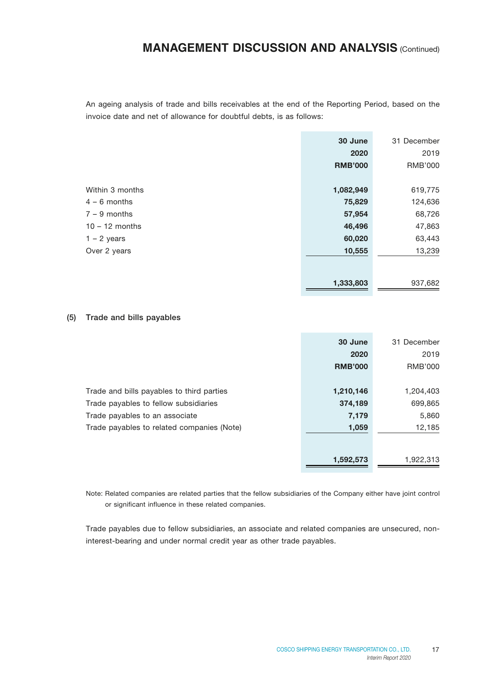An ageing analysis of trade and bills receivables at the end of the Reporting Period, based on the invoice date and net of allowance for doubtful debts, is as follows:

|                  | 30 June        | 31 December    |
|------------------|----------------|----------------|
|                  | 2020           | 2019           |
|                  | <b>RMB'000</b> | <b>RMB'000</b> |
|                  |                |                |
| Within 3 months  | 1,082,949      | 619,775        |
| $4 - 6$ months   | 75,829         | 124,636        |
| $7 - 9$ months   | 57,954         | 68,726         |
| $10 - 12$ months | 46,496         | 47,863         |
| $1 - 2$ years    | 60,020         | 63,443         |
| Over 2 years     | 10,555         | 13,239         |
|                  |                |                |
|                  | 1,333,803      | 937,682        |

#### (5) Trade and bills payables

|                                            | 30 June        | 31 December    |
|--------------------------------------------|----------------|----------------|
|                                            | 2020           | 2019           |
|                                            | <b>RMB'000</b> | <b>RMB'000</b> |
|                                            |                |                |
| Trade and bills payables to third parties  | 1,210,146      | 1,204,403      |
| Trade payables to fellow subsidiaries      | 374,189        | 699,865        |
| Trade payables to an associate             | 7,179          | 5,860          |
| Trade payables to related companies (Note) | 1,059          | 12,185         |
|                                            |                |                |
|                                            |                |                |
|                                            | 1,592,573      | 1,922,313      |

Note: Related companies are related parties that the fellow subsidiaries of the Company either have joint control or significant influence in these related companies.

Trade payables due to fellow subsidiaries, an associate and related companies are unsecured, noninterest-bearing and under normal credit year as other trade payables.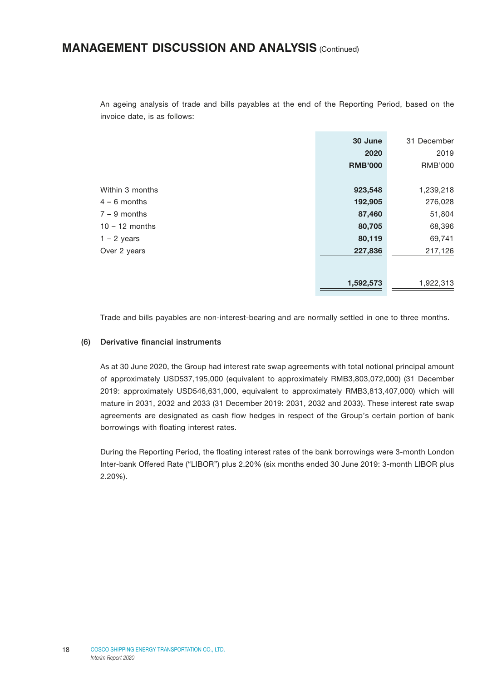An ageing analysis of trade and bills payables at the end of the Reporting Period, based on the invoice date, is as follows:

|                  | 30 June        | 31 December    |
|------------------|----------------|----------------|
|                  | 2020           | 2019           |
|                  | <b>RMB'000</b> | <b>RMB'000</b> |
|                  |                |                |
| Within 3 months  | 923,548        | 1,239,218      |
| $4 - 6$ months   | 192,905        | 276,028        |
| $7 - 9$ months   | 87,460         | 51,804         |
| $10 - 12$ months | 80,705         | 68,396         |
| $1 - 2$ years    | 80,119         | 69,741         |
| Over 2 years     | 227,836        | 217,126        |
|                  |                |                |
|                  | 1,592,573      | 1,922,313      |

Trade and bills payables are non-interest-bearing and are normally settled in one to three months.

#### (6) Derivative financial instruments

As at 30 June 2020, the Group had interest rate swap agreements with total notional principal amount of approximately USD537,195,000 (equivalent to approximately RMB3,803,072,000) (31 December 2019: approximately USD546,631,000, equivalent to approximately RMB3,813,407,000) which will mature in 2031, 2032 and 2033 (31 December 2019: 2031, 2032 and 2033). These interest rate swap agreements are designated as cash flow hedges in respect of the Group's certain portion of bank borrowings with floating interest rates.

During the Reporting Period, the floating interest rates of the bank borrowings were 3-month London Inter-bank Offered Rate ("LIBOR") plus 2.20% (six months ended 30 June 2019: 3-month LIBOR plus 2.20%).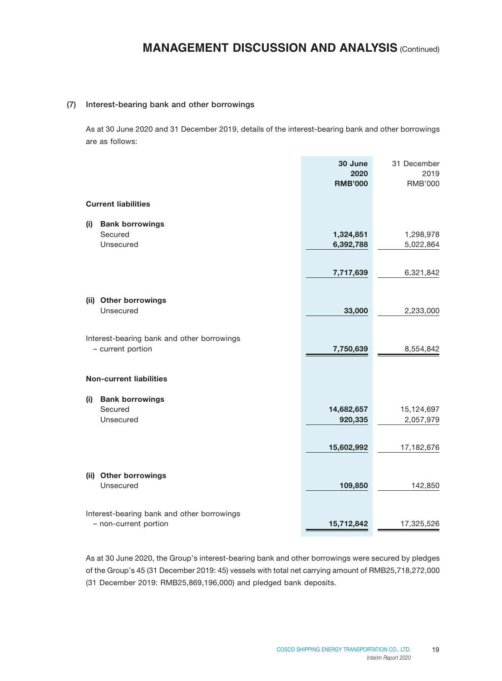#### (7) Interest-bearing bank and other borrowings

As at 30 June 2020 and 31 December 2019, details of the interest-bearing bank and other borrowings are as follows:

|     |                                            | 30 June                | 31 December            |
|-----|--------------------------------------------|------------------------|------------------------|
|     |                                            | 2020<br><b>RMB'000</b> | 2019<br><b>RMB'000</b> |
|     |                                            |                        |                        |
|     | <b>Current liabilities</b>                 |                        |                        |
| (i) | <b>Bank borrowings</b>                     |                        |                        |
|     | Secured                                    | 1,324,851              | 1,298,978              |
|     | Unsecured                                  | 6,392,788              | 5,022,864              |
|     |                                            |                        |                        |
|     |                                            | 7,717,639              | 6,321,842              |
|     | (ii) Other borrowings                      |                        |                        |
|     | Unsecured                                  | 33,000                 | 2,233,000              |
|     |                                            |                        |                        |
|     | Interest-bearing bank and other borrowings |                        |                        |
|     | - current portion                          | 7,750,639              | 8,554,842              |
|     | <b>Non-current liabilities</b>             |                        |                        |
| (i) | <b>Bank borrowings</b>                     |                        |                        |
|     | Secured                                    | 14,682,657             | 15,124,697             |
|     | Unsecured                                  | 920,335                | 2,057,979              |
|     |                                            |                        |                        |
|     |                                            | 15,602,992             | 17,182,676             |
|     | (ii) Other borrowings                      |                        |                        |
|     | Unsecured                                  | 109,850                | 142,850                |
|     |                                            |                        |                        |
|     | Interest-bearing bank and other borrowings |                        |                        |
|     | - non-current portion                      | 15,712,842             | 17,325,526             |

As at 30 June 2020, the Group's interest-bearing bank and other borrowings were secured by pledges of the Group's 45 (31 December 2019: 45) vessels with total net carrying amount of RMB25,718,272,000 (31 December 2019: RMB25,869,196,000) and pledged bank deposits.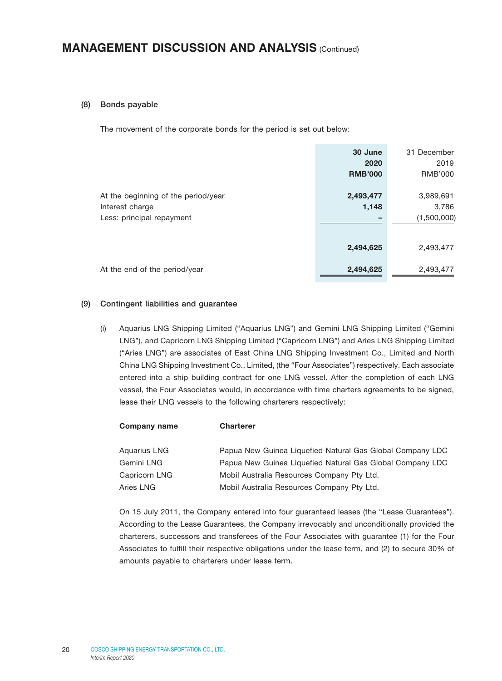#### (8) Bonds payable

The movement of the corporate bonds for the period is set out below:

|                                                                                     | 30 June<br>2020<br><b>RMB'000</b> | 31 December<br>2019<br>RMB'000    |
|-------------------------------------------------------------------------------------|-----------------------------------|-----------------------------------|
| At the beginning of the period/year<br>Interest charge<br>Less: principal repayment | 2,493,477<br>1,148                | 3,989,691<br>3,786<br>(1,500,000) |
|                                                                                     | 2,494,625                         | 2,493,477                         |
| At the end of the period/year                                                       | 2,494,625                         | 2,493,477                         |

#### (9) Contingent liabilities and guarantee

(i) Aquarius LNG Shipping Limited ("Aquarius LNG") and Gemini LNG Shipping Limited ("Gemini LNG"), and Capricorn LNG Shipping Limited ("Capricorn LNG") and Aries LNG Shipping Limited ("Aries LNG") are associates of East China LNG Shipping Investment Co., Limited and North China LNG Shipping Investment Co., Limited, (the "Four Associates") respectively. Each associate entered into a ship building contract for one LNG vessel. After the completion of each LNG vessel, the Four Associates would, in accordance with time charters agreements to be signed, lease their LNG vessels to the following charterers respectively:

| Company name  | <b>Charterer</b>                                          |
|---------------|-----------------------------------------------------------|
|               |                                                           |
| Aquarius LNG  | Papua New Guinea Liquefied Natural Gas Global Company LDC |
| Gemini LNG    | Papua New Guinea Liquefied Natural Gas Global Company LDC |
| Capricorn LNG | Mobil Australia Resources Company Pty Ltd.                |
| Aries LNG     | Mobil Australia Resources Company Pty Ltd.                |

On 15 July 2011, the Company entered into four guaranteed leases (the "Lease Guarantees"). According to the Lease Guarantees, the Company irrevocably and unconditionally provided the charterers, successors and transferees of the Four Associates with guarantee (1) for the Four Associates to fulfill their respective obligations under the lease term, and (2) to secure 30% of amounts payable to charterers under lease term.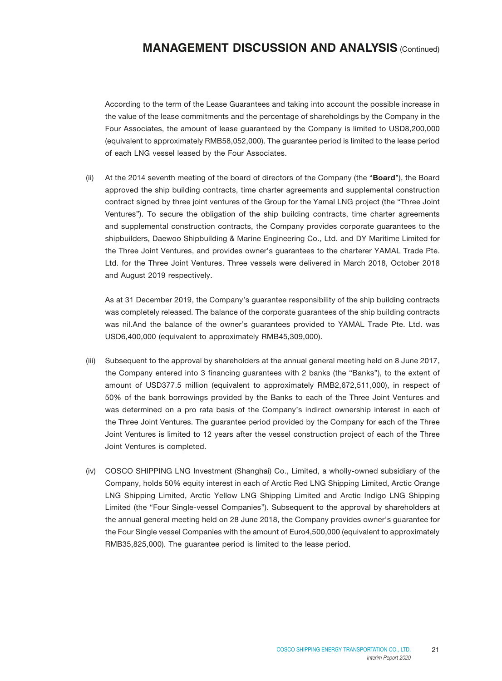According to the term of the Lease Guarantees and taking into account the possible increase in the value of the lease commitments and the percentage of shareholdings by the Company in the Four Associates, the amount of lease guaranteed by the Company is limited to USD8,200,000 (equivalent to approximately RMB58,052,000). The guarantee period is limited to the lease period of each LNG vessel leased by the Four Associates.

(ii) At the 2014 seventh meeting of the board of directors of the Company (the "**Board**"), the Board approved the ship building contracts, time charter agreements and supplemental construction contract signed by three joint ventures of the Group for the Yamal LNG project (the "Three Joint Ventures"). To secure the obligation of the ship building contracts, time charter agreements and supplemental construction contracts, the Company provides corporate guarantees to the shipbuilders, Daewoo Shipbuilding & Marine Engineering Co., Ltd. and DY Maritime Limited for the Three Joint Ventures, and provides owner's guarantees to the charterer YAMAL Trade Pte. Ltd. for the Three Joint Ventures. Three vessels were delivered in March 2018, October 2018 and August 2019 respectively.

As at 31 December 2019, the Company's guarantee responsibility of the ship building contracts was completely released. The balance of the corporate guarantees of the ship building contracts was nil.And the balance of the owner's guarantees provided to YAMAL Trade Pte. Ltd. was USD6,400,000 (equivalent to approximately RMB45,309,000).

- (iii) Subsequent to the approval by shareholders at the annual general meeting held on 8 June 2017, the Company entered into 3 financing guarantees with 2 banks (the "Banks"), to the extent of amount of USD377.5 million (equivalent to approximately RMB2,672,511,000), in respect of 50% of the bank borrowings provided by the Banks to each of the Three Joint Ventures and was determined on a pro rata basis of the Company's indirect ownership interest in each of the Three Joint Ventures. The guarantee period provided by the Company for each of the Three Joint Ventures is limited to 12 years after the vessel construction project of each of the Three Joint Ventures is completed.
- (iv) COSCO SHIPPING LNG Investment (Shanghai) Co., Limited, a wholly-owned subsidiary of the Company, holds 50% equity interest in each of Arctic Red LNG Shipping Limited, Arctic Orange LNG Shipping Limited, Arctic Yellow LNG Shipping Limited and Arctic Indigo LNG Shipping Limited (the "Four Single-vessel Companies"). Subsequent to the approval by shareholders at the annual general meeting held on 28 June 2018, the Company provides owner's guarantee for the Four Single vessel Companies with the amount of Euro4,500,000 (equivalent to approximately RMB35,825,000). The guarantee period is limited to the lease period.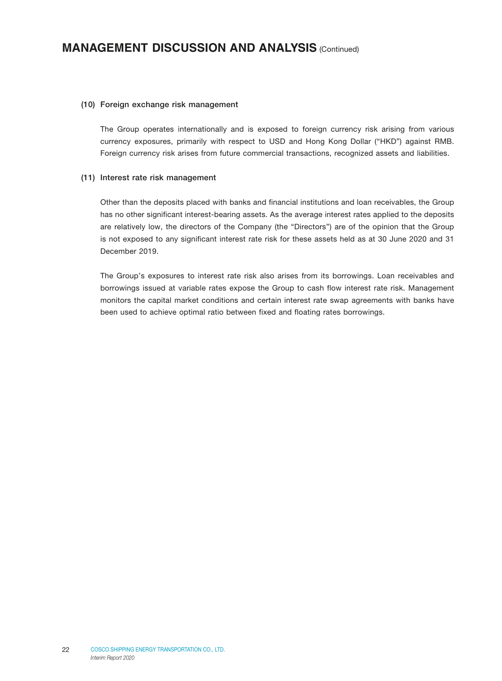#### (10) Foreign exchange risk management

The Group operates internationally and is exposed to foreign currency risk arising from various currency exposures, primarily with respect to USD and Hong Kong Dollar ("HKD") against RMB. Foreign currency risk arises from future commercial transactions, recognized assets and liabilities.

#### (11) Interest rate risk management

Other than the deposits placed with banks and financial institutions and loan receivables, the Group has no other significant interest-bearing assets. As the average interest rates applied to the deposits are relatively low, the directors of the Company (the "Directors") are of the opinion that the Group is not exposed to any significant interest rate risk for these assets held as at 30 June 2020 and 31 December 2019.

The Group's exposures to interest rate risk also arises from its borrowings. Loan receivables and borrowings issued at variable rates expose the Group to cash flow interest rate risk. Management monitors the capital market conditions and certain interest rate swap agreements with banks have been used to achieve optimal ratio between fixed and floating rates borrowings.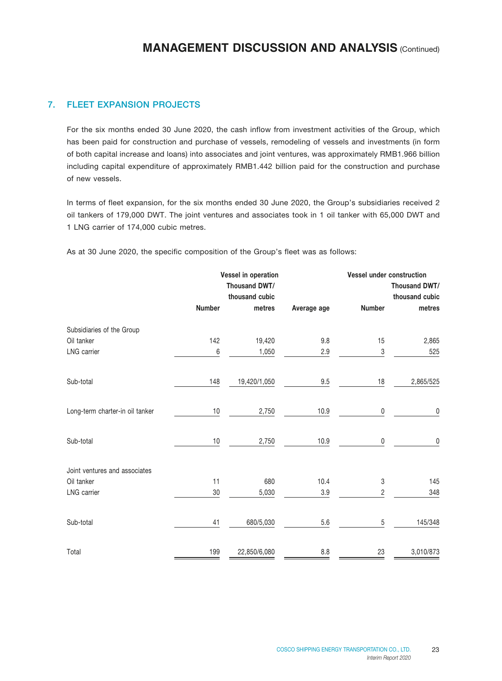### 7. FLEET EXPANSION PROJECTS

For the six months ended 30 June 2020, the cash inflow from investment activities of the Group, which has been paid for construction and purchase of vessels, remodeling of vessels and investments (in form of both capital increase and loans) into associates and joint ventures, was approximately RMB1.966 billion including capital expenditure of approximately RMB1.442 billion paid for the construction and purchase of new vessels.

In terms of fleet expansion, for the six months ended 30 June 2020, the Group's subsidiaries received 2 oil tankers of 179,000 DWT. The joint ventures and associates took in 1 oil tanker with 65,000 DWT and 1 LNG carrier of 174,000 cubic metres.

|                                 |               | Vessel in operation |             | <b>Vessel under construction</b> |                |
|---------------------------------|---------------|---------------------|-------------|----------------------------------|----------------|
|                                 |               | Thousand DWT/       |             |                                  | Thousand DWT/  |
|                                 |               | thousand cubic      |             |                                  | thousand cubic |
|                                 | <b>Number</b> | metres              | Average age | Number                           | metres         |
| Subsidiaries of the Group       |               |                     |             |                                  |                |
| Oil tanker                      | 142           | 19,420              | 9.8         | 15                               | 2,865          |
| <b>LNG</b> carrier              | 6             | 1,050               | 2.9         | 3                                | 525            |
| Sub-total                       | 148           | 19,420/1,050        | 9.5         | 18                               | 2,865/525      |
| Long-term charter-in oil tanker | 10            | 2,750               | 10.9        | 0                                | 0              |
| Sub-total                       | 10            | 2,750               | 10.9        | 0                                | 0              |
| Joint ventures and associates   |               |                     |             |                                  |                |
| Oil tanker                      | 11            | 680                 | 10.4        | 3                                | 145            |
| LNG carrier                     | 30            | 5,030               | 3.9         | $\overline{2}$                   | 348            |
| Sub-total                       | 41            | 680/5,030           | 5.6         | 5                                | 145/348        |
| Total                           | 199           | 22,850/6,080        | $8.8\,$     | 23                               | 3,010/873      |

As at 30 June 2020, the specific composition of the Group's fleet was as follows: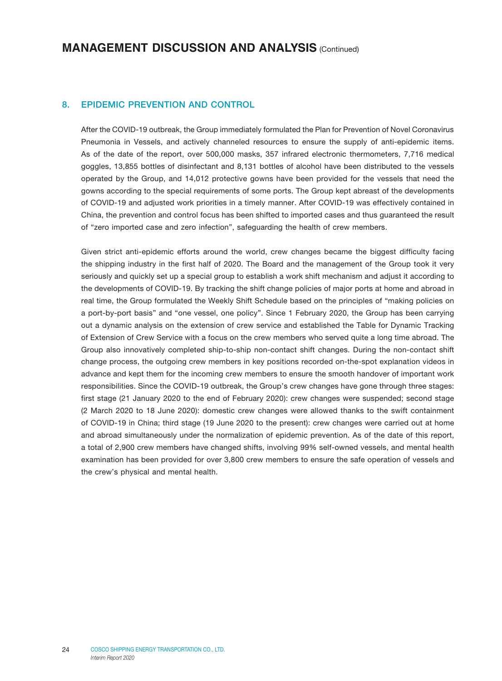### 8. EPIDEMIC PREVENTION AND CONTROL

After the COVID-19 outbreak, the Group immediately formulated the Plan for Prevention of Novel Coronavirus Pneumonia in Vessels, and actively channeled resources to ensure the supply of anti-epidemic items. As of the date of the report, over 500,000 masks, 357 infrared electronic thermometers, 7,716 medical goggles, 13,855 bottles of disinfectant and 8,131 bottles of alcohol have been distributed to the vessels operated by the Group, and 14,012 protective gowns have been provided for the vessels that need the gowns according to the special requirements of some ports. The Group kept abreast of the developments of COVID-19 and adjusted work priorities in a timely manner. After COVID-19 was effectively contained in China, the prevention and control focus has been shifted to imported cases and thus guaranteed the result of "zero imported case and zero infection", safeguarding the health of crew members.

Given strict anti-epidemic efforts around the world, crew changes became the biggest difficulty facing the shipping industry in the first half of 2020. The Board and the management of the Group took it very seriously and quickly set up a special group to establish a work shift mechanism and adjust it according to the developments of COVID-19. By tracking the shift change policies of major ports at home and abroad in real time, the Group formulated the Weekly Shift Schedule based on the principles of "making policies on a port-by-port basis" and "one vessel, one policy". Since 1 February 2020, the Group has been carrying out a dynamic analysis on the extension of crew service and established the Table for Dynamic Tracking of Extension of Crew Service with a focus on the crew members who served quite a long time abroad. The Group also innovatively completed ship-to-ship non-contact shift changes. During the non-contact shift change process, the outgoing crew members in key positions recorded on-the-spot explanation videos in advance and kept them for the incoming crew members to ensure the smooth handover of important work responsibilities. Since the COVID-19 outbreak, the Group's crew changes have gone through three stages: first stage (21 January 2020 to the end of February 2020): crew changes were suspended; second stage (2 March 2020 to 18 June 2020): domestic crew changes were allowed thanks to the swift containment of COVID-19 in China; third stage (19 June 2020 to the present): crew changes were carried out at home and abroad simultaneously under the normalization of epidemic prevention. As of the date of this report, a total of 2,900 crew members have changed shifts, involving 99% self-owned vessels, and mental health examination has been provided for over 3,800 crew members to ensure the safe operation of vessels and the crew's physical and mental health.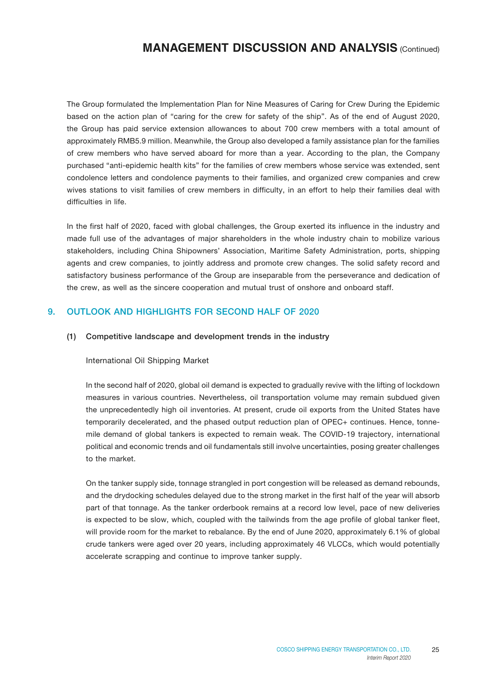The Group formulated the Implementation Plan for Nine Measures of Caring for Crew During the Epidemic based on the action plan of "caring for the crew for safety of the ship". As of the end of August 2020, the Group has paid service extension allowances to about 700 crew members with a total amount of approximately RMB5.9 million. Meanwhile, the Group also developed a family assistance plan for the families of crew members who have served aboard for more than a year. According to the plan, the Company purchased "anti-epidemic health kits" for the families of crew members whose service was extended, sent condolence letters and condolence payments to their families, and organized crew companies and crew wives stations to visit families of crew members in difficulty, in an effort to help their families deal with difficulties in life.

In the first half of 2020, faced with global challenges, the Group exerted its influence in the industry and made full use of the advantages of major shareholders in the whole industry chain to mobilize various stakeholders, including China Shipowners' Association, Maritime Safety Administration, ports, shipping agents and crew companies, to jointly address and promote crew changes. The solid safety record and satisfactory business performance of the Group are inseparable from the perseverance and dedication of the crew, as well as the sincere cooperation and mutual trust of onshore and onboard staff.

### 9. OUTLOOK AND HIGHLIGHTS FOR SECOND HALF OF 2020

#### (1) Competitive landscape and development trends in the industry

#### International Oil Shipping Market

In the second half of 2020, global oil demand is expected to gradually revive with the lifting of lockdown measures in various countries. Nevertheless, oil transportation volume may remain subdued given the unprecedentedly high oil inventories. At present, crude oil exports from the United States have temporarily decelerated, and the phased output reduction plan of OPEC+ continues. Hence, tonnemile demand of global tankers is expected to remain weak. The COVID-19 trajectory, international political and economic trends and oil fundamentals still involve uncertainties, posing greater challenges to the market.

On the tanker supply side, tonnage strangled in port congestion will be released as demand rebounds, and the drydocking schedules delayed due to the strong market in the first half of the year will absorb part of that tonnage. As the tanker orderbook remains at a record low level, pace of new deliveries is expected to be slow, which, coupled with the tailwinds from the age profile of global tanker fleet, will provide room for the market to rebalance. By the end of June 2020, approximately 6.1% of global crude tankers were aged over 20 years, including approximately 46 VLCCs, which would potentially accelerate scrapping and continue to improve tanker supply.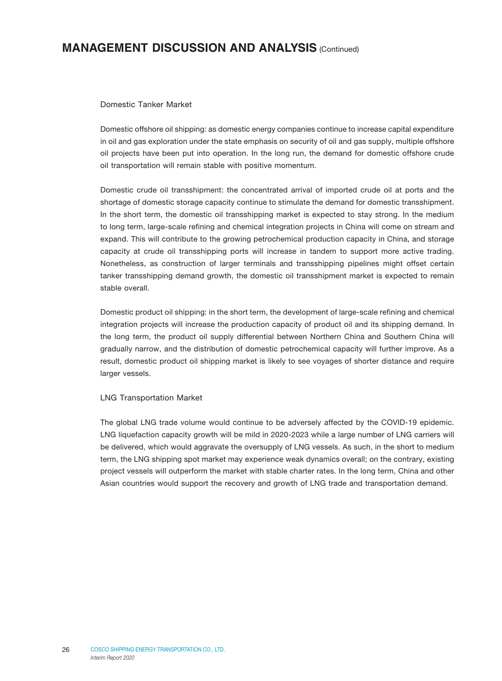#### Domestic Tanker Market

Domestic offshore oil shipping: as domestic energy companies continue to increase capital expenditure in oil and gas exploration under the state emphasis on security of oil and gas supply, multiple offshore oil projects have been put into operation. In the long run, the demand for domestic offshore crude oil transportation will remain stable with positive momentum.

Domestic crude oil transshipment: the concentrated arrival of imported crude oil at ports and the shortage of domestic storage capacity continue to stimulate the demand for domestic transshipment. In the short term, the domestic oil transshipping market is expected to stay strong. In the medium to long term, large-scale refining and chemical integration projects in China will come on stream and expand. This will contribute to the growing petrochemical production capacity in China, and storage capacity at crude oil transshipping ports will increase in tandem to support more active trading. Nonetheless, as construction of larger terminals and transshipping pipelines might offset certain tanker transshipping demand growth, the domestic oil transshipment market is expected to remain stable overall.

Domestic product oil shipping: in the short term, the development of large-scale refining and chemical integration projects will increase the production capacity of product oil and its shipping demand. In the long term, the product oil supply differential between Northern China and Southern China will gradually narrow, and the distribution of domestic petrochemical capacity will further improve. As a result, domestic product oil shipping market is likely to see voyages of shorter distance and require larger vessels.

#### LNG Transportation Market

The global LNG trade volume would continue to be adversely affected by the COVID-19 epidemic. LNG liquefaction capacity growth will be mild in 2020-2023 while a large number of LNG carriers will be delivered, which would aggravate the oversupply of LNG vessels. As such, in the short to medium term, the LNG shipping spot market may experience weak dynamics overall; on the contrary, existing project vessels will outperform the market with stable charter rates. In the long term, China and other Asian countries would support the recovery and growth of LNG trade and transportation demand.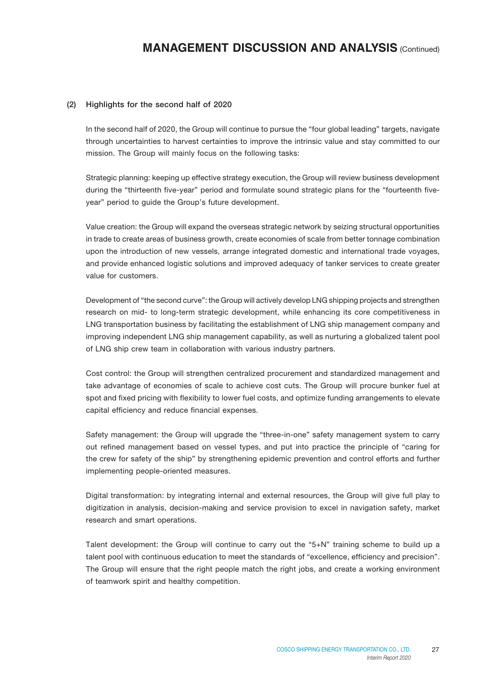#### (2) Highlights for the second half of 2020

In the second half of 2020, the Group will continue to pursue the "four global leading" targets, navigate through uncertainties to harvest certainties to improve the intrinsic value and stay committed to our mission. The Group will mainly focus on the following tasks:

Strategic planning: keeping up effective strategy execution, the Group will review business development during the "thirteenth five-year" period and formulate sound strategic plans for the "fourteenth fiveyear" period to guide the Group's future development.

Value creation: the Group will expand the overseas strategic network by seizing structural opportunities in trade to create areas of business growth, create economies of scale from better tonnage combination upon the introduction of new vessels, arrange integrated domestic and international trade voyages, and provide enhanced logistic solutions and improved adequacy of tanker services to create greater value for customers.

Development of "the second curve": the Group will actively develop LNG shipping projects and strengthen research on mid- to long-term strategic development, while enhancing its core competitiveness in LNG transportation business by facilitating the establishment of LNG ship management company and improving independent LNG ship management capability, as well as nurturing a globalized talent pool of LNG ship crew team in collaboration with various industry partners.

Cost control: the Group will strengthen centralized procurement and standardized management and take advantage of economies of scale to achieve cost cuts. The Group will procure bunker fuel at spot and fixed pricing with flexibility to lower fuel costs, and optimize funding arrangements to elevate capital efficiency and reduce financial expenses.

Safety management: the Group will upgrade the "three-in-one" safety management system to carry out refined management based on vessel types, and put into practice the principle of "caring for the crew for safety of the ship" by strengthening epidemic prevention and control efforts and further implementing people-oriented measures.

Digital transformation: by integrating internal and external resources, the Group will give full play to digitization in analysis, decision-making and service provision to excel in navigation safety, market research and smart operations.

Talent development: the Group will continue to carry out the "5+N" training scheme to build up a talent pool with continuous education to meet the standards of "excellence, efficiency and precision". The Group will ensure that the right people match the right jobs, and create a working environment of teamwork spirit and healthy competition.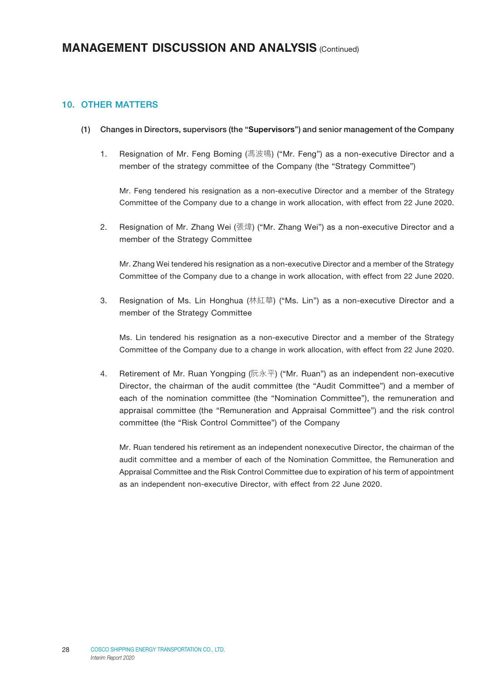### 10. OTHER MATTERS

- (1) Changes in Directors, supervisors (the "Supervisors") and senior management of the Company
	- 1. Resignation of Mr. Feng Boming (馮波鳴) ("Mr. Feng") as a non-executive Director and a member of the strategy committee of the Company (the "Strategy Committee")

Mr. Feng tendered his resignation as a non-executive Director and a member of the Strategy Committee of the Company due to a change in work allocation, with effect from 22 June 2020.

2. Resignation of Mr. Zhang Wei (張煒) ("Mr. Zhang Wei") as a non-executive Director and a member of the Strategy Committee

Mr. Zhang Wei tendered his resignation as a non-executive Director and a member of the Strategy Committee of the Company due to a change in work allocation, with effect from 22 June 2020.

3. Resignation of Ms. Lin Honghua (林紅華) ("Ms. Lin") as a non-executive Director and a member of the Strategy Committee

Ms. Lin tendered his resignation as a non-executive Director and a member of the Strategy Committee of the Company due to a change in work allocation, with effect from 22 June 2020.

4. Retirement of Mr. Ruan Yongping (阮永平) ("Mr. Ruan") as an independent non-executive Director, the chairman of the audit committee (the "Audit Committee") and a member of each of the nomination committee (the "Nomination Committee"), the remuneration and appraisal committee (the "Remuneration and Appraisal Committee") and the risk control committee (the "Risk Control Committee") of the Company

Mr. Ruan tendered his retirement as an independent nonexecutive Director, the chairman of the audit committee and a member of each of the Nomination Committee, the Remuneration and Appraisal Committee and the Risk Control Committee due to expiration of his term of appointment as an independent non-executive Director, with effect from 22 June 2020.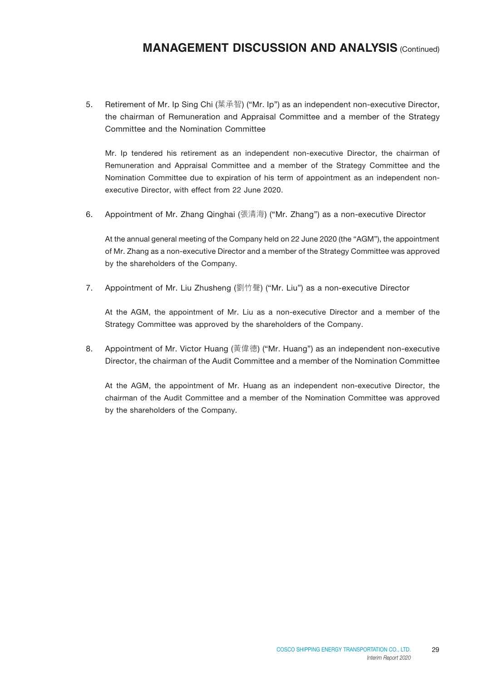5. Retirement of Mr. Ip Sing Chi (葉承智) ("Mr. Ip") as an independent non-executive Director, the chairman of Remuneration and Appraisal Committee and a member of the Strategy Committee and the Nomination Committee

Mr. Ip tendered his retirement as an independent non-executive Director, the chairman of Remuneration and Appraisal Committee and a member of the Strategy Committee and the Nomination Committee due to expiration of his term of appointment as an independent nonexecutive Director, with effect from 22 June 2020.

6. Appointment of Mr. Zhang Qinghai (張清海) ("Mr. Zhang") as a non-executive Director

At the annual general meeting of the Company held on 22 June 2020 (the "AGM"), the appointment of Mr. Zhang as a non-executive Director and a member of the Strategy Committee was approved by the shareholders of the Company.

7. Appointment of Mr. Liu Zhusheng (劉竹聲) ("Mr. Liu") as a non-executive Director

At the AGM, the appointment of Mr. Liu as a non-executive Director and a member of the Strategy Committee was approved by the shareholders of the Company.

8. Appointment of Mr. Victor Huang (黃偉德) ("Mr. Huang") as an independent non-executive Director, the chairman of the Audit Committee and a member of the Nomination Committee

At the AGM, the appointment of Mr. Huang as an independent non-executive Director, the chairman of the Audit Committee and a member of the Nomination Committee was approved by the shareholders of the Company.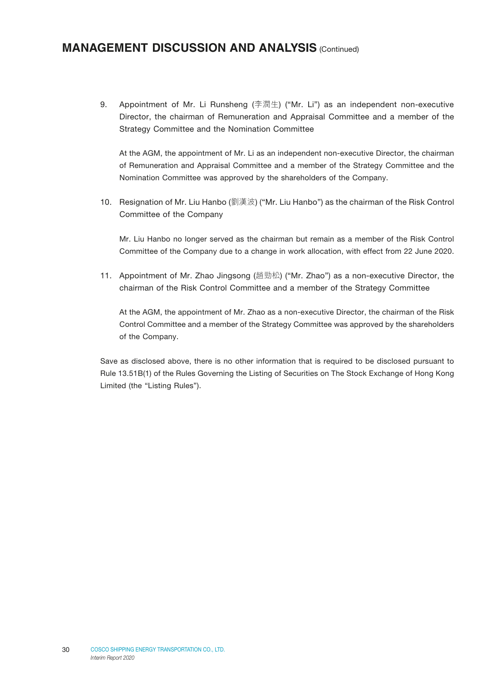9. Appointment of Mr. Li Runsheng (李潤生) ("Mr. Li") as an independent non-executive Director, the chairman of Remuneration and Appraisal Committee and a member of the Strategy Committee and the Nomination Committee

At the AGM, the appointment of Mr. Li as an independent non-executive Director, the chairman of Remuneration and Appraisal Committee and a member of the Strategy Committee and the Nomination Committee was approved by the shareholders of the Company.

10. Resignation of Mr. Liu Hanbo (劉漢波) ("Mr. Liu Hanbo") as the chairman of the Risk Control Committee of the Company

Mr. Liu Hanbo no longer served as the chairman but remain as a member of the Risk Control Committee of the Company due to a change in work allocation, with effect from 22 June 2020.

11. Appointment of Mr. Zhao Jingsong (趙勁松) ("Mr. Zhao") as a non-executive Director, the chairman of the Risk Control Committee and a member of the Strategy Committee

At the AGM, the appointment of Mr. Zhao as a non-executive Director, the chairman of the Risk Control Committee and a member of the Strategy Committee was approved by the shareholders of the Company.

Save as disclosed above, there is no other information that is required to be disclosed pursuant to Rule 13.51B(1) of the Rules Governing the Listing of Securities on The Stock Exchange of Hong Kong Limited (the "Listing Rules").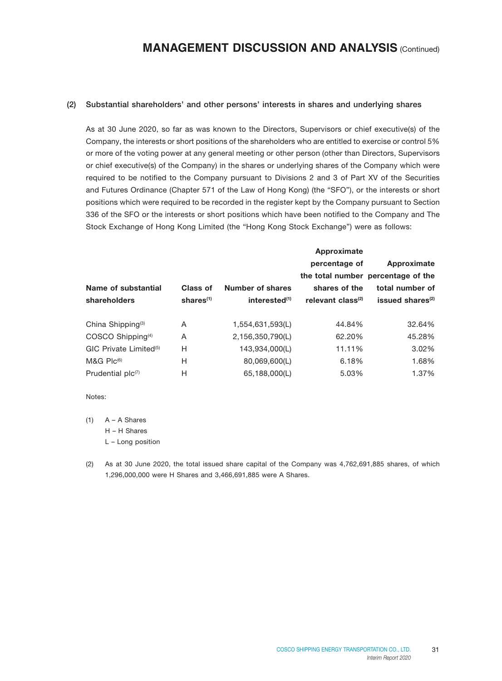#### (2) Substantial shareholders' and other persons' interests in shares and underlying shares

As at 30 June 2020, so far as was known to the Directors, Supervisors or chief executive(s) of the Company, the interests or short positions of the shareholders who are entitled to exercise or control 5% or more of the voting power at any general meeting or other person (other than Directors, Supervisors or chief executive(s) of the Company) in the shares or underlying shares of the Company which were required to be notified to the Company pursuant to Divisions 2 and 3 of Part XV of the Securities and Futures Ordinance (Chapter 571 of the Law of Hong Kong) (the "SFO"), or the interests or short positions which were required to be recorded in the register kept by the Company pursuant to Section 336 of the SFO or the interests or short positions which have been notified to the Company and The Stock Exchange of Hong Kong Limited (the "Hong Kong Stock Exchange") were as follows:

|                                    |              |                           | Approximate                   |                                    |
|------------------------------------|--------------|---------------------------|-------------------------------|------------------------------------|
|                                    |              |                           | percentage of                 | Approximate                        |
|                                    |              |                           |                               | the total number percentage of the |
| Name of substantial                | Class of     | Number of shares          | shares of the                 | total number of                    |
| shareholders                       | shares $(1)$ | interested <sup>(1)</sup> | relevant class <sup>(2)</sup> | issued shares <sup>(2)</sup>       |
|                                    |              |                           |                               |                                    |
| China Shipping <sup>(3)</sup>      | A            | 1,554,631,593(L)          | 44.84%                        | 32.64%                             |
| COSCO Shipping <sup>(4)</sup>      | A            | 2,156,350,790(L)          | 62.20%                        | 45.28%                             |
| GIC Private Limited <sup>(5)</sup> | Н            | 143,934,000(L)            | 11.11%                        | $3.02\%$                           |
| $M&G$ Plc <sup>(6)</sup>           | H            | 80,069,600(L)             | 6.18%                         | 1.68%                              |
| Prudential $plc^{(7)}$             | Н            | 65,188,000(L)             | 5.03%                         | 1.37%                              |

Notes:

 $(1)$   $A - A$  Shares

H – H Shares

L – Long position

(2) As at 30 June 2020, the total issued share capital of the Company was 4,762,691,885 shares, of which 1,296,000,000 were H Shares and 3,466,691,885 were A Shares.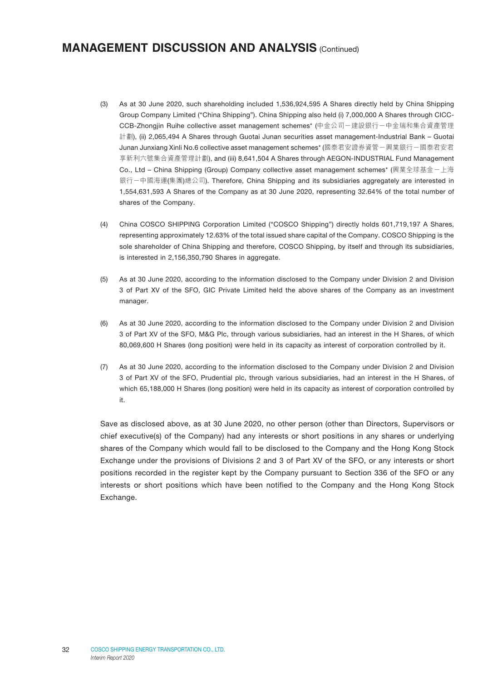- (3) As at 30 June 2020, such shareholding included 1,536,924,595 A Shares directly held by China Shipping Group Company Limited ("China Shipping"). China Shipping also held (i) 7,000,000 A Shares through CICC-CCB-Zhongjin Ruihe collective asset management schemes\* (中金公司-建設銀行-中金瑞和集合資產管理 計劃), (ii) 2,065,494 A Shares through Guotai Junan securities asset management-Industrial Bank – Guotai Junan Junxiang Xinli No.6 collective asset management schemes\* (國泰君安證券資管-興業銀行-國泰君安君 享新利六號集合資產管理計劃), and (iii) 8,641,504 A Shares through AEGON-INDUSTRIAL Fund Management Co., Ltd – China Shipping (Group) Company collective asset management schemes\* (興業全球基金-上海 銀行一中國海運(集團)總公司). Therefore, China Shipping and its subsidiaries aggregately are interested in 1,554,631,593 A Shares of the Company as at 30 June 2020, representing 32.64% of the total number of shares of the Company.
- (4) China COSCO SHIPPING Corporation Limited ("COSCO Shipping") directly holds 601,719,197 A Shares, representing approximately 12.63% of the total issued share capital of the Company. COSCO Shipping is the sole shareholder of China Shipping and therefore, COSCO Shipping, by itself and through its subsidiaries, is interested in 2,156,350,790 Shares in aggregate.
- (5) As at 30 June 2020, according to the information disclosed to the Company under Division 2 and Division 3 of Part XV of the SFO, GIC Private Limited held the above shares of the Company as an investment manager.
- (6) As at 30 June 2020, according to the information disclosed to the Company under Division 2 and Division 3 of Part XV of the SFO, M&G Plc, through various subsidiaries, had an interest in the H Shares, of which 80,069,600 H Shares (long position) were held in its capacity as interest of corporation controlled by it.
- (7) As at 30 June 2020, according to the information disclosed to the Company under Division 2 and Division 3 of Part XV of the SFO, Prudential plc, through various subsidiaries, had an interest in the H Shares, of which 65,188,000 H Shares (long position) were held in its capacity as interest of corporation controlled by it.

Save as disclosed above, as at 30 June 2020, no other person (other than Directors, Supervisors or chief executive(s) of the Company) had any interests or short positions in any shares or underlying shares of the Company which would fall to be disclosed to the Company and the Hong Kong Stock Exchange under the provisions of Divisions 2 and 3 of Part XV of the SFO, or any interests or short positions recorded in the register kept by the Company pursuant to Section 336 of the SFO or any interests or short positions which have been notified to the Company and the Hong Kong Stock Exchange.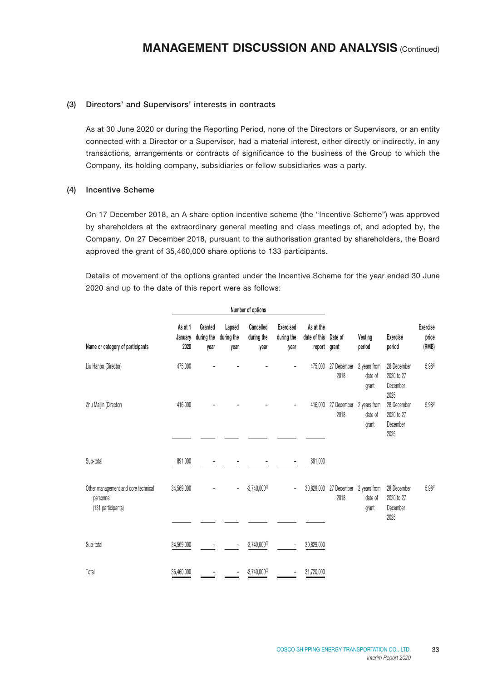#### (3) Directors' and Supervisors' interests in contracts

As at 30 June 2020 or during the Reporting Period, none of the Directors or Supervisors, or an entity connected with a Director or a Supervisor, had a material interest, either directly or indirectly, in any transactions, arrangements or contracts of significance to the business of the Group to which the Company, its holding company, subsidiaries or fellow subsidiaries was a party.

#### (4) Incentive Scheme

On 17 December 2018, an A share option incentive scheme (the "Incentive Scheme") was approved by shareholders at the extraordinary general meeting and class meetings of, and adopted by, the Company. On 27 December 2018, pursuant to the authorisation granted by shareholders, the Board approved the grant of 35,460,000 share options to 133 participants.

Details of movement of the options granted under the Incentive Scheme for the year ended 30 June 2020 and up to the date of this report were as follows:

|                                                                        |                            |                               |                              | Number of options               |                                        |                                     |                                  |                                  |                                               |                                   |
|------------------------------------------------------------------------|----------------------------|-------------------------------|------------------------------|---------------------------------|----------------------------------------|-------------------------------------|----------------------------------|----------------------------------|-----------------------------------------------|-----------------------------------|
| Name or category of participants                                       | As at 1<br>January<br>2020 | Granted<br>during the<br>year | Lapsed<br>during the<br>year | Cancelled<br>during the<br>year | <b>Exercised</b><br>during the<br>year | As at the<br>date of this<br>report | Date of<br>grant                 | Vesting<br>period                | <b>Exercise</b><br>period                     | <b>Exercise</b><br>price<br>(RMB) |
| Liu Hanbo (Director)                                                   | 475,000                    |                               |                              |                                 |                                        | 475,000                             | 27 December<br>2018              | 2 years from<br>date of<br>grant | 28 December<br>2020 to 27<br>December<br>2025 | $5.98^{(2)}$                      |
| Zhu Maijin (Director)                                                  | 416,000                    |                               |                              |                                 |                                        | 416,000                             | 27 December<br>2018              | 2 years from<br>date of<br>grant | 28 December<br>2020 to 27<br>December<br>2025 | 5.98(2)                           |
|                                                                        |                            |                               |                              |                                 |                                        |                                     |                                  |                                  |                                               |                                   |
| Sub-total                                                              | 891,000                    |                               |                              |                                 |                                        | 891,000                             |                                  |                                  |                                               |                                   |
| Other management and core technical<br>personnel<br>(131 participants) | 34,569,000                 |                               | $\qquad \qquad -$            | $-3,740,000^{(3)}$              | $\qquad \qquad -$                      | 30,829,000                          | 27 December 2 years from<br>2018 | date of<br>grant                 | 28 December<br>2020 to 27<br>December         | 5.98(2)                           |
|                                                                        |                            |                               |                              |                                 |                                        |                                     |                                  |                                  | 2025                                          |                                   |
| Sub-total                                                              | 34,569,000                 |                               |                              | $-3,740,000^{(3)}$              |                                        | 30,829,000                          |                                  |                                  |                                               |                                   |
| Total                                                                  | 35,460,000                 |                               |                              | $-3.740.000^{(3)}$              |                                        | 31,720,000                          |                                  |                                  |                                               |                                   |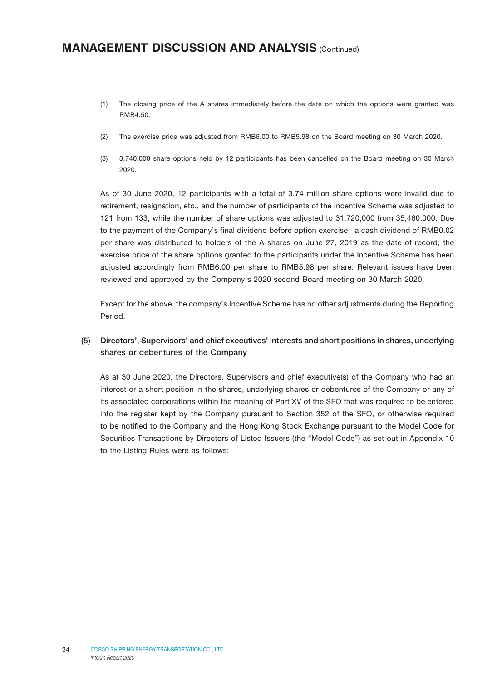- (1) The closing price of the A shares immediately before the date on which the options were granted was RMB4.50.
- (2) The exercise price was adjusted from RMB6.00 to RMB5.98 on the Board meeting on 30 March 2020.
- (3) 3,740,000 share options held by 12 participants has been cancelled on the Board meeting on 30 March 2020.

As of 30 June 2020, 12 participants with a total of 3.74 million share options were invalid due to retirement, resignation, etc., and the number of participants of the Incentive Scheme was adjusted to 121 from 133, while the number of share options was adjusted to 31,720,000 from 35,460,000. Due to the payment of the Company's final dividend before option exercise, a cash dividend of RMB0.02 per share was distributed to holders of the A shares on June 27, 2019 as the date of record, the exercise price of the share options granted to the participants under the Incentive Scheme has been adjusted accordingly from RMB6.00 per share to RMB5.98 per share. Relevant issues have been reviewed and approved by the Company's 2020 second Board meeting on 30 March 2020.

Except for the above, the company's Incentive Scheme has no other adjustments during the Reporting Period.

### (5) Directors', Supervisors' and chief executives' interests and short positions in shares, underlying shares or debentures of the Company

As at 30 June 2020, the Directors, Supervisors and chief executive(s) of the Company who had an interest or a short position in the shares, underlying shares or debentures of the Company or any of its associated corporations within the meaning of Part XV of the SFO that was required to be entered into the register kept by the Company pursuant to Section 352 of the SFO, or otherwise required to be notified to the Company and the Hong Kong Stock Exchange pursuant to the Model Code for Securities Transactions by Directors of Listed Issuers (the "Model Code") as set out in Appendix 10 to the Listing Rules were as follows: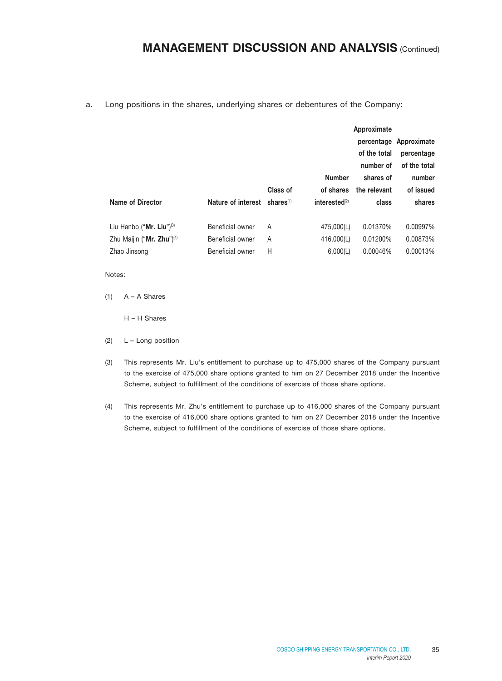a. Long positions in the shares, underlying shares or debentures of the Company:

|                                       |                    |              |                  | Approximate  |                        |
|---------------------------------------|--------------------|--------------|------------------|--------------|------------------------|
|                                       |                    |              |                  |              | percentage Approximate |
|                                       |                    |              |                  | of the total | percentage             |
|                                       |                    |              |                  | number of    | of the total           |
|                                       |                    |              | <b>Number</b>    | shares of    | number                 |
|                                       |                    | Class of     | of shares        | the relevant | of issued              |
|                                       |                    |              |                  |              |                        |
| Name of Director                      | Nature of interest | shares $(1)$ | interested $(2)$ | class        | shares                 |
|                                       |                    |              |                  |              |                        |
| Liu Hanbo ("Mr. Liu") $(3)$           | Beneficial owner   | A            | 475,000(L)       | 0.01370%     | 0.00997%               |
| Zhu Maijin ("Mr. Zhu") <sup>(4)</sup> | Beneficial owner   | A            | 416,000(L)       | 0.01200%     | 0.00873%               |
| Zhao Jinsong                          | Beneficial owner   | Н            | 6,000(L)         | 0.00046%     | 0.00013%               |

Notes:

 $(1)$  A – A Shares

H – H Shares

- (2) L Long position
- (3) This represents Mr. Liu's entitlement to purchase up to 475,000 shares of the Company pursuant to the exercise of 475,000 share options granted to him on 27 December 2018 under the Incentive Scheme, subject to fulfillment of the conditions of exercise of those share options.
- (4) This represents Mr. Zhu's entitlement to purchase up to 416,000 shares of the Company pursuant to the exercise of 416,000 share options granted to him on 27 December 2018 under the Incentive Scheme, subject to fulfillment of the conditions of exercise of those share options.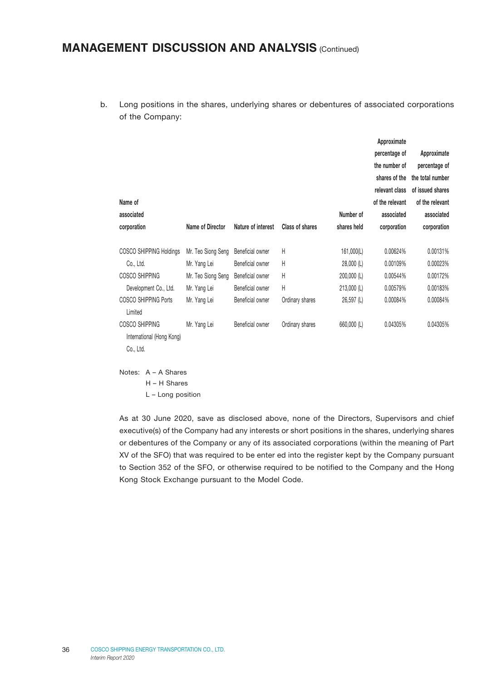b. Long positions in the shares, underlying shares or debentures of associated corporations of the Company:

| Name of                                                                                                                                                                                      |                                                                                                          |                                                                                                                      |                                                        |                                                                                           | Approximate<br>percentage of<br>the number of<br>shares of the<br>relevant class<br>of the relevant | Approximate<br>percentage of<br>the total number<br>of issued shares<br>of the relevant |
|----------------------------------------------------------------------------------------------------------------------------------------------------------------------------------------------|----------------------------------------------------------------------------------------------------------|----------------------------------------------------------------------------------------------------------------------|--------------------------------------------------------|-------------------------------------------------------------------------------------------|-----------------------------------------------------------------------------------------------------|-----------------------------------------------------------------------------------------|
| associated                                                                                                                                                                                   |                                                                                                          |                                                                                                                      |                                                        | Number of                                                                                 | associated                                                                                          | associated                                                                              |
| corporation                                                                                                                                                                                  | Name of Director                                                                                         | Nature of interest                                                                                                   | Class of shares                                        | shares held                                                                               | corporation                                                                                         | corporation                                                                             |
| <b>COSCO SHIPPING Holdings</b><br>Co., Ltd.<br>COSCO SHIPPING<br>Development Co., Ltd.<br><b>COSCO SHIPPING Ports</b><br>Limited<br>COSCO SHIPPING<br>International (Hong Kong)<br>Co., Ltd. | Mr. Teo Siong Seng<br>Mr. Yang Lei<br>Mr. Teo Siong Seng<br>Mr. Yang Lei<br>Mr. Yang Lei<br>Mr. Yang Lei | Beneficial owner<br>Beneficial owner<br>Beneficial owner<br>Beneficial owner<br>Beneficial owner<br>Beneficial owner | H<br>Н<br>Н<br>Н<br>Ordinary shares<br>Ordinary shares | 161,000(L)<br>$28,000$ (L)<br>$200,000$ (L)<br>213,000 (L)<br>$26,597$ (L)<br>660,000 (L) | 0.00624%<br>0.00109%<br>0.00544%<br>0.00579%<br>0.00084%<br>0.04305%                                | 0.00131%<br>0.00023%<br>0.00172%<br>0.00183%<br>0.00084%<br>0.04305%                    |

Notes: A – A Shares

H – H Shares

L – Long position

As at 30 June 2020, save as disclosed above, none of the Directors, Supervisors and chief executive(s) of the Company had any interests or short positions in the shares, underlying shares or debentures of the Company or any of its associated corporations (within the meaning of Part XV of the SFO) that was required to be enter ed into the register kept by the Company pursuant to Section 352 of the SFO, or otherwise required to be notified to the Company and the Hong Kong Stock Exchange pursuant to the Model Code.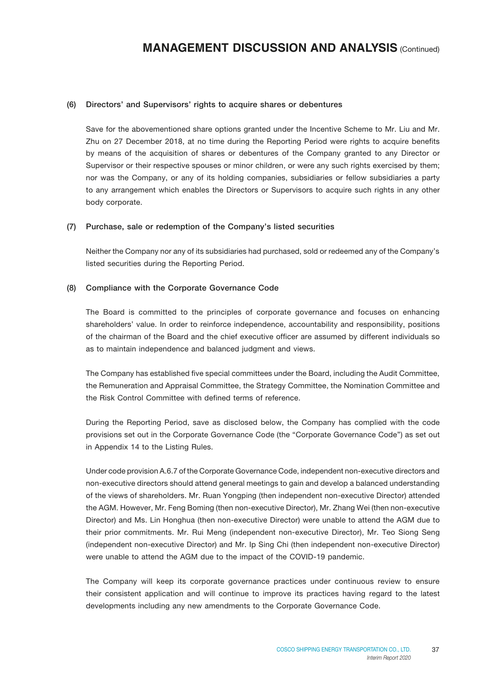#### (6) Directors' and Supervisors' rights to acquire shares or debentures

Save for the abovementioned share options granted under the Incentive Scheme to Mr. Liu and Mr. Zhu on 27 December 2018, at no time during the Reporting Period were rights to acquire benefits by means of the acquisition of shares or debentures of the Company granted to any Director or Supervisor or their respective spouses or minor children, or were any such rights exercised by them; nor was the Company, or any of its holding companies, subsidiaries or fellow subsidiaries a party to any arrangement which enables the Directors or Supervisors to acquire such rights in any other body corporate.

#### (7) Purchase, sale or redemption of the Company's listed securities

Neither the Company nor any of its subsidiaries had purchased, sold or redeemed any of the Company's listed securities during the Reporting Period.

#### (8) Compliance with the Corporate Governance Code

The Board is committed to the principles of corporate governance and focuses on enhancing shareholders' value. In order to reinforce independence, accountability and responsibility, positions of the chairman of the Board and the chief executive officer are assumed by different individuals so as to maintain independence and balanced judgment and views.

The Company has established five special committees under the Board, including the Audit Committee, the Remuneration and Appraisal Committee, the Strategy Committee, the Nomination Committee and the Risk Control Committee with defined terms of reference.

During the Reporting Period, save as disclosed below, the Company has complied with the code provisions set out in the Corporate Governance Code (the "Corporate Governance Code") as set out in Appendix 14 to the Listing Rules.

Under code provision A.6.7 of the Corporate Governance Code, independent non-executive directors and non-executive directors should attend general meetings to gain and develop a balanced understanding of the views of shareholders. Mr. Ruan Yongping (then independent non-executive Director) attended the AGM. However, Mr. Feng Boming (then non-executive Director), Mr. Zhang Wei (then non-executive Director) and Ms. Lin Honghua (then non-executive Director) were unable to attend the AGM due to their prior commitments. Mr. Rui Meng (independent non-executive Director), Mr. Teo Siong Seng (independent non-executive Director) and Mr. Ip Sing Chi (then independent non-executive Director) were unable to attend the AGM due to the impact of the COVID-19 pandemic.

The Company will keep its corporate governance practices under continuous review to ensure their consistent application and will continue to improve its practices having regard to the latest developments including any new amendments to the Corporate Governance Code.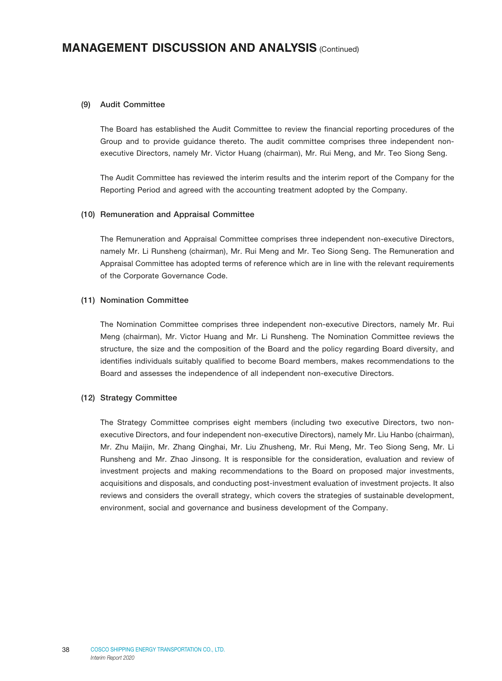#### (9) Audit Committee

The Board has established the Audit Committee to review the financial reporting procedures of the Group and to provide guidance thereto. The audit committee comprises three independent nonexecutive Directors, namely Mr. Victor Huang (chairman), Mr. Rui Meng, and Mr. Teo Siong Seng.

The Audit Committee has reviewed the interim results and the interim report of the Company for the Reporting Period and agreed with the accounting treatment adopted by the Company.

#### (10) Remuneration and Appraisal Committee

The Remuneration and Appraisal Committee comprises three independent non-executive Directors, namely Mr. Li Runsheng (chairman), Mr. Rui Meng and Mr. Teo Siong Seng. The Remuneration and Appraisal Committee has adopted terms of reference which are in line with the relevant requirements of the Corporate Governance Code.

#### (11) Nomination Committee

The Nomination Committee comprises three independent non-executive Directors, namely Mr. Rui Meng (chairman), Mr. Victor Huang and Mr. Li Runsheng. The Nomination Committee reviews the structure, the size and the composition of the Board and the policy regarding Board diversity, and identifies individuals suitably qualified to become Board members, makes recommendations to the Board and assesses the independence of all independent non-executive Directors.

#### (12) Strategy Committee

The Strategy Committee comprises eight members (including two executive Directors, two nonexecutive Directors, and four independent non-executive Directors), namely Mr. Liu Hanbo (chairman), Mr. Zhu Maijin, Mr. Zhang Qinghai, Mr. Liu Zhusheng, Mr. Rui Meng, Mr. Teo Siong Seng, Mr. Li Runsheng and Mr. Zhao Jinsong. It is responsible for the consideration, evaluation and review of investment projects and making recommendations to the Board on proposed major investments, acquisitions and disposals, and conducting post-investment evaluation of investment projects. It also reviews and considers the overall strategy, which covers the strategies of sustainable development, environment, social and governance and business development of the Company.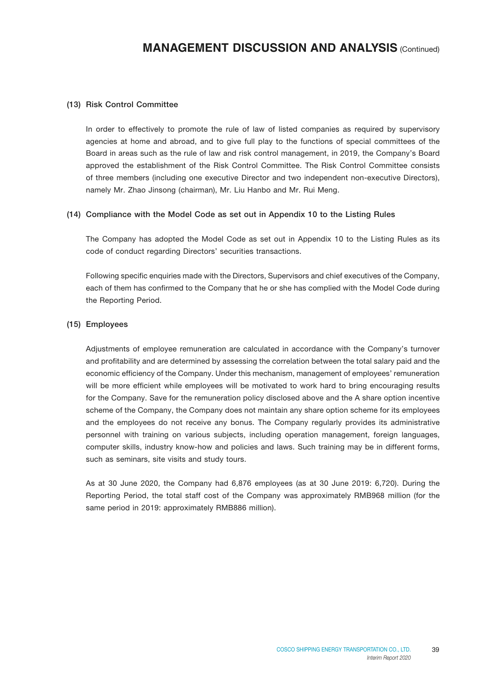#### (13) Risk Control Committee

In order to effectively to promote the rule of law of listed companies as required by supervisory agencies at home and abroad, and to give full play to the functions of special committees of the Board in areas such as the rule of law and risk control management, in 2019, the Company's Board approved the establishment of the Risk Control Committee. The Risk Control Committee consists of three members (including one executive Director and two independent non-executive Directors), namely Mr. Zhao Jinsong (chairman), Mr. Liu Hanbo and Mr. Rui Meng.

#### (14) Compliance with the Model Code as set out in Appendix 10 to the Listing Rules

The Company has adopted the Model Code as set out in Appendix 10 to the Listing Rules as its code of conduct regarding Directors' securities transactions.

Following specific enquiries made with the Directors, Supervisors and chief executives of the Company, each of them has confirmed to the Company that he or she has complied with the Model Code during the Reporting Period.

#### (15) Employees

Adjustments of employee remuneration are calculated in accordance with the Company's turnover and profitability and are determined by assessing the correlation between the total salary paid and the economic efficiency of the Company. Under this mechanism, management of employees' remuneration will be more efficient while employees will be motivated to work hard to bring encouraging results for the Company. Save for the remuneration policy disclosed above and the A share option incentive scheme of the Company, the Company does not maintain any share option scheme for its employees and the employees do not receive any bonus. The Company regularly provides its administrative personnel with training on various subjects, including operation management, foreign languages, computer skills, industry know-how and policies and laws. Such training may be in different forms, such as seminars, site visits and study tours.

As at 30 June 2020, the Company had 6,876 employees (as at 30 June 2019: 6,720). During the Reporting Period, the total staff cost of the Company was approximately RMB968 million (for the same period in 2019: approximately RMB886 million).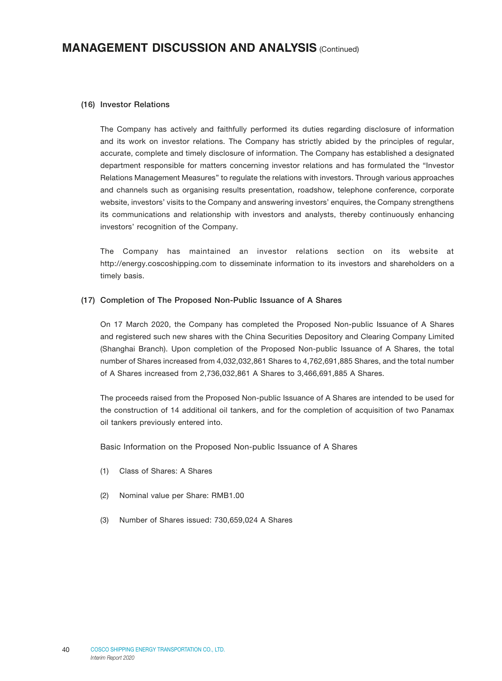#### (16) Investor Relations

The Company has actively and faithfully performed its duties regarding disclosure of information and its work on investor relations. The Company has strictly abided by the principles of regular, accurate, complete and timely disclosure of information. The Company has established a designated department responsible for matters concerning investor relations and has formulated the "Investor Relations Management Measures" to regulate the relations with investors. Through various approaches and channels such as organising results presentation, roadshow, telephone conference, corporate website, investors' visits to the Company and answering investors' enquires, the Company strengthens its communications and relationship with investors and analysts, thereby continuously enhancing investors' recognition of the Company.

The Company has maintained an investor relations section on its website at [http://energy.coscoshipping.com t](http://energy.coscoshipping.com/)o disseminate information to its investors and shareholders on a timely basis.

#### (17) Completion of The Proposed Non-Public Issuance of A Shares

On 17 March 2020, the Company has completed the Proposed Non-public Issuance of A Shares and registered such new shares with the China Securities Depository and Clearing Company Limited (Shanghai Branch). Upon completion of the Proposed Non-public Issuance of A Shares, the total number of Shares increased from 4,032,032,861 Shares to 4,762,691,885 Shares, and the total number of A Shares increased from 2,736,032,861 A Shares to 3,466,691,885 A Shares.

The proceeds raised from the Proposed Non-public Issuance of A Shares are intended to be used for the construction of 14 additional oil tankers, and for the completion of acquisition of two Panamax oil tankers previously entered into.

Basic Information on the Proposed Non-public Issuance of A Shares

- (1) Class of Shares: A Shares
- (2) Nominal value per Share: RMB1.00
- (3) Number of Shares issued: 730,659,024 A Shares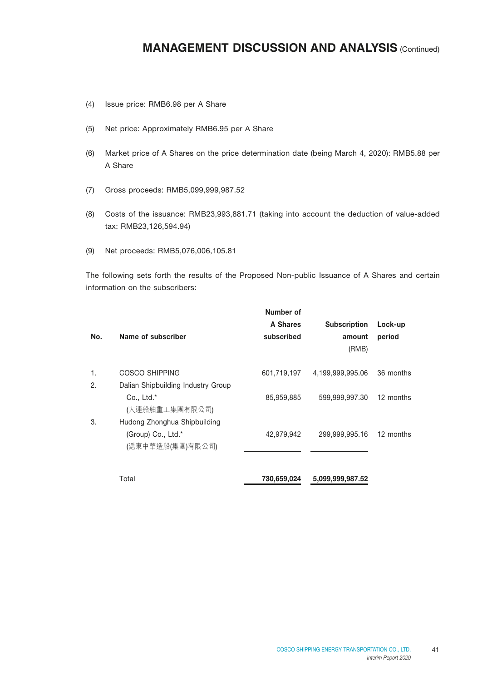- (4) Issue price: RMB6.98 per A Share
- (5) Net price: Approximately RMB6.95 per A Share
- (6) Market price of A Shares on the price determination date (being March 4, 2020): RMB5.88 per A Share
- (7) Gross proceeds: RMB5,099,999,987.52
- (8) Costs of the issuance: RMB23,993,881.71 (taking into account the deduction of value-added tax: RMB23,126,594.94)
- (9) Net proceeds: RMB5,076,006,105.81

The following sets forth the results of the Proposed Non-public Issuance of A Shares and certain information on the subscribers:

| No. | Name of subscriber                     | Number of<br>A Shares<br>subscribed | <b>Subscription</b><br>amount<br>(RMB) | Lock-up<br>period |
|-----|----------------------------------------|-------------------------------------|----------------------------------------|-------------------|
| 1.  | COSCO SHIPPING                         | 601,719,197                         | 4,199,999,995.06                       | 36 months         |
| 2.  | Dalian Shipbuilding Industry Group     |                                     |                                        |                   |
|     | Co., Ltd.*<br>(大連船舶重工集團有限公司)           | 85,959,885                          | 599,999,997.30                         | 12 months         |
| 3.  | Hudong Zhonghua Shipbuilding           |                                     |                                        |                   |
|     | (Group) Co., Ltd.*<br>(滬東中華造船(集團)有限公司) | 42,979,942                          | 299,999,995.16                         | 12 months         |
|     | Total                                  | 730,659,024                         | 5,099,999,987.52                       |                   |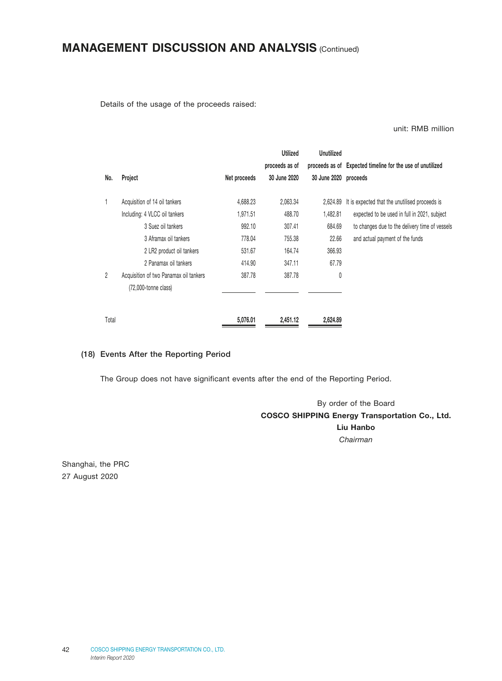Details of the usage of the proceeds raised:

unit: RMB million

|                |                                                                   |              | <b>Utilized</b> | Unutilized            |                                                            |
|----------------|-------------------------------------------------------------------|--------------|-----------------|-----------------------|------------------------------------------------------------|
|                |                                                                   |              | proceeds as of  |                       | proceeds as of Expected timeline for the use of unutilized |
| No.            | Project                                                           | Net proceeds | 30 June 2020    | 30 June 2020 proceeds |                                                            |
| 1              | Acquisition of 14 oil tankers                                     | 4,688.23     | 2,063.34        | 2,624.89              | It is expected that the unutilised proceeds is             |
|                | Including: 4 VLCC oil tankers                                     | 1.971.51     | 488.70          | 1,482.81              | expected to be used in full in 2021, subject               |
|                | 3 Suez oil tankers                                                | 992.10       | 307.41          | 684.69                | to changes due to the delivery time of vessels             |
|                | 3 Aframax oil tankers                                             | 778.04       | 755.38          | 22.66                 | and actual payment of the funds                            |
|                | 2 LR2 product oil tankers                                         | 531.67       | 164.74          | 366.93                |                                                            |
|                | 2 Panamax oil tankers                                             | 414.90       | 347.11          | 67.79                 |                                                            |
| $\overline{2}$ | Acquisition of two Panamax oil tankers<br>$(72,000$ -tonne class) | 387.78       | 387.78          | 0                     |                                                            |
| Total          |                                                                   | 5,076.01     | 2,451.12        | 2,624.89              |                                                            |

#### (18) Events After the Reporting Period

The Group does not have significant events after the end of the Reporting Period.

By order of the Board COSCO SHIPPING Energy Transportation Co., Ltd. Liu Hanbo *Chairman*

Shanghai, the PRC 27 August 2020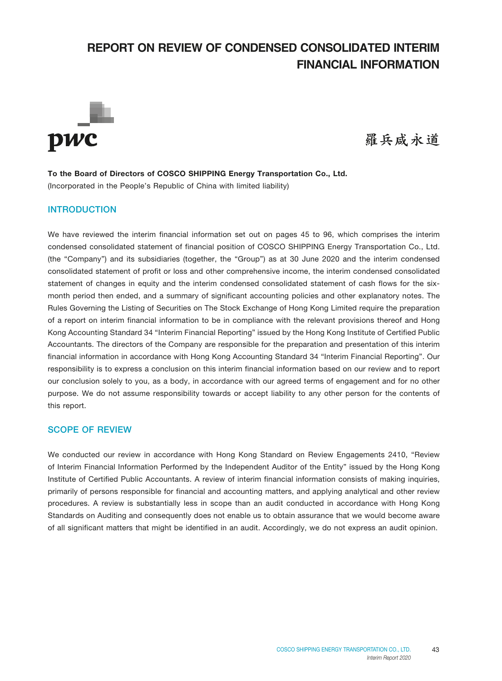# **REPORT ON REVIEW OF CONDENSED CONSOLIDATED INTERIM FINANCIAL INFORMATION**



羅兵咸永道

To the Board of Directors of COSCO SHIPPING Energy Transportation Co., Ltd. (Incorporated in the People's Republic of China with limited liability)

### INTRODUCTION

We have reviewed the interim financial information set out on pages 45 to 96, which comprises the interim condensed consolidated statement of financial position of COSCO SHIPPING Energy Transportation Co., Ltd. (the "Company") and its subsidiaries (together, the "Group") as at 30 June 2020 and the interim condensed consolidated statement of profit or loss and other comprehensive income, the interim condensed consolidated statement of changes in equity and the interim condensed consolidated statement of cash flows for the sixmonth period then ended, and a summary of significant accounting policies and other explanatory notes. The Rules Governing the Listing of Securities on The Stock Exchange of Hong Kong Limited require the preparation of a report on interim financial information to be in compliance with the relevant provisions thereof and Hong Kong Accounting Standard 34 "Interim Financial Reporting" issued by the Hong Kong Institute of Certified Public Accountants. The directors of the Company are responsible for the preparation and presentation of this interim financial information in accordance with Hong Kong Accounting Standard 34 "Interim Financial Reporting". Our responsibility is to express a conclusion on this interim financial information based on our review and to report our conclusion solely to you, as a body, in accordance with our agreed terms of engagement and for no other purpose. We do not assume responsibility towards or accept liability to any other person for the contents of this report.

#### SCOPE OF REVIEW

We conducted our review in accordance with Hong Kong Standard on Review Engagements 2410, "Review of Interim Financial Information Performed by the Independent Auditor of the Entity" issued by the Hong Kong Institute of Certified Public Accountants. A review of interim financial information consists of making inquiries, primarily of persons responsible for financial and accounting matters, and applying analytical and other review procedures. A review is substantially less in scope than an audit conducted in accordance with Hong Kong Standards on Auditing and consequently does not enable us to obtain assurance that we would become aware of all significant matters that might be identified in an audit. Accordingly, we do not express an audit opinion.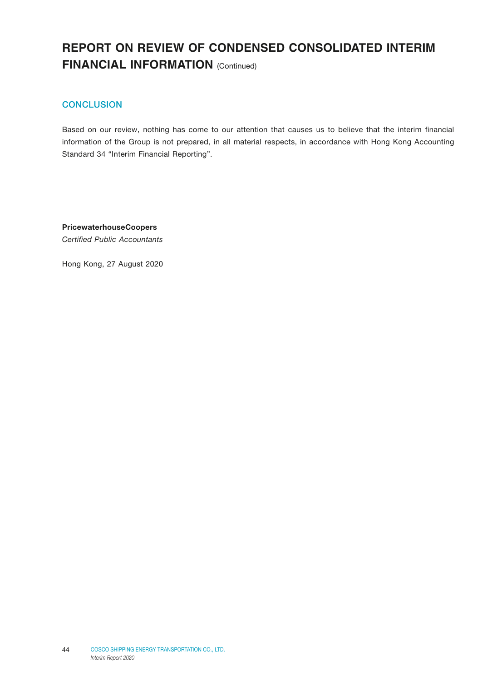# **REPORT ON REVIEW OF CONDENSED CONSOLIDATED INTERIM FINANCIAL INFORMATION** (Continued)

### **CONCLUSION**

Based on our review, nothing has come to our attention that causes us to believe that the interim financial information of the Group is not prepared, in all material respects, in accordance with Hong Kong Accounting Standard 34 "Interim Financial Reporting".

PricewaterhouseCoopers *Certified Public Accountants*

Hong Kong, 27 August 2020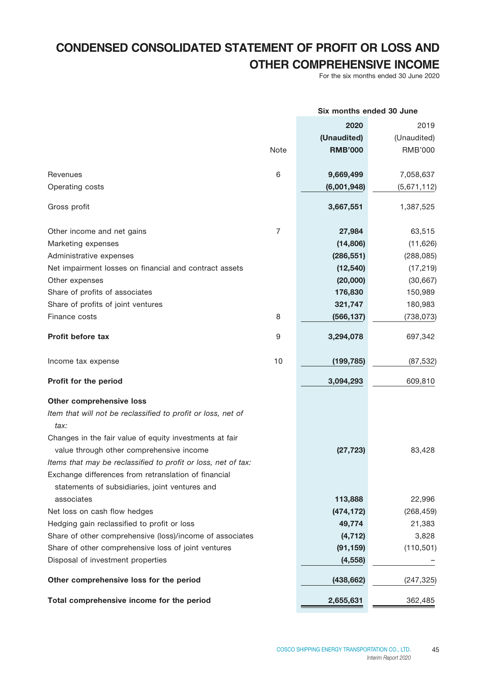# **CONDENSED CONSOLIDATED STATEMENT OF PROFIT OR LOSS AND OTHER COMPREHENSIVE INCOME**

For the six months ended 30 June 2020

|                                                                                                        |             | Six months ended 30 June |             |
|--------------------------------------------------------------------------------------------------------|-------------|--------------------------|-------------|
|                                                                                                        |             | 2020                     | 2019        |
|                                                                                                        |             | (Unaudited)              | (Unaudited) |
|                                                                                                        | <b>Note</b> | <b>RMB'000</b>           | RMB'000     |
| Revenues                                                                                               | 6           | 9,669,499                | 7,058,637   |
| Operating costs                                                                                        |             | (6,001,948)              | (5,671,112) |
| Gross profit                                                                                           |             | 3,667,551                | 1,387,525   |
| Other income and net gains                                                                             | 7           | 27,984                   | 63,515      |
| Marketing expenses                                                                                     |             | (14, 806)                | (11,626)    |
| Administrative expenses                                                                                |             | (286, 551)               | (288, 085)  |
| Net impairment losses on financial and contract assets                                                 |             | (12, 540)                | (17, 219)   |
| Other expenses                                                                                         |             | (20,000)                 | (30, 667)   |
| Share of profits of associates                                                                         |             | 176,830                  | 150,989     |
| Share of profits of joint ventures                                                                     |             | 321,747                  | 180,983     |
| Finance costs                                                                                          | 8           | (566, 137)               | (738,073)   |
| Profit before tax                                                                                      | 9           | 3,294,078                | 697,342     |
| Income tax expense                                                                                     | 10          | (199, 785)               | (87, 532)   |
| Profit for the period                                                                                  |             | 3,094,293                | 609,810     |
| Other comprehensive loss                                                                               |             |                          |             |
| Item that will not be reclassified to profit or loss, net of<br>tax:                                   |             |                          |             |
| Changes in the fair value of equity investments at fair                                                |             |                          |             |
| value through other comprehensive income                                                               |             | (27, 723)                | 83,428      |
| Items that may be reclassified to profit or loss, net of tax:                                          |             |                          |             |
| Exchange differences from retranslation of financial<br>statements of subsidiaries, joint ventures and |             |                          |             |
| associates                                                                                             |             | 113,888                  | 22,996      |
| Net loss on cash flow hedges                                                                           |             | (474, 172)               | (268, 459)  |
| Hedging gain reclassified to profit or loss                                                            |             | 49,774                   | 21,383      |
| Share of other comprehensive (loss)/income of associates                                               |             | (4, 712)                 | 3,828       |
| Share of other comprehensive loss of joint ventures                                                    |             | (91, 159)                | (110, 501)  |
| Disposal of investment properties                                                                      |             | (4, 558)                 |             |
| Other comprehensive loss for the period                                                                |             | (438, 662)               | (247, 325)  |
| Total comprehensive income for the period                                                              |             | 2,655,631                | 362,485     |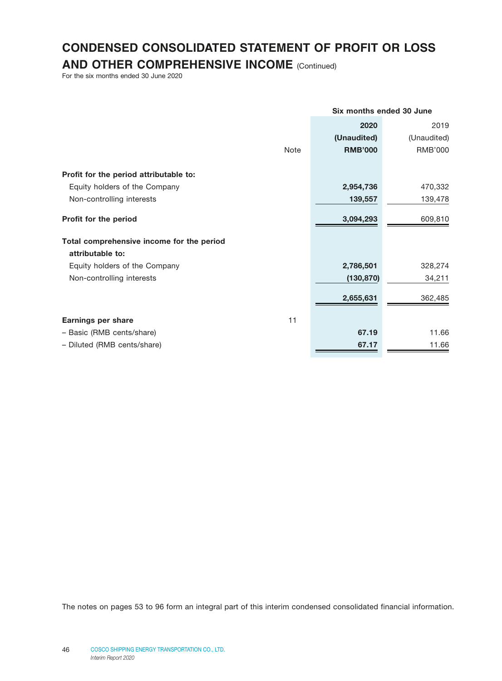# **CONDENSED CONSOLIDATED STATEMENT OF PROFIT OR LOSS**

**AND OTHER COMPREHENSIVE INCOME** (Continued)

For the six months ended 30 June 2020

|                                           |             | Six months ended 30 June |             |
|-------------------------------------------|-------------|--------------------------|-------------|
|                                           |             | 2020                     | 2019        |
|                                           |             | (Unaudited)              | (Unaudited) |
|                                           | <b>Note</b> | <b>RMB'000</b>           | RMB'000     |
| Profit for the period attributable to:    |             |                          |             |
| Equity holders of the Company             |             | 2,954,736                | 470,332     |
| Non-controlling interests                 |             | 139,557                  | 139,478     |
| Profit for the period                     |             | 3,094,293                | 609,810     |
| Total comprehensive income for the period |             |                          |             |
| attributable to:                          |             |                          |             |
| Equity holders of the Company             |             | 2,786,501                | 328,274     |
| Non-controlling interests                 |             | (130, 870)               | 34,211      |
|                                           |             | 2,655,631                | 362,485     |
| <b>Earnings per share</b>                 | 11          |                          |             |
| - Basic (RMB cents/share)                 |             | 67.19                    | 11.66       |
| - Diluted (RMB cents/share)               |             | 67.17                    | 11.66       |
|                                           |             |                          |             |

The notes on pages 53 to 96 form an integral part of this interim condensed consolidated financial information.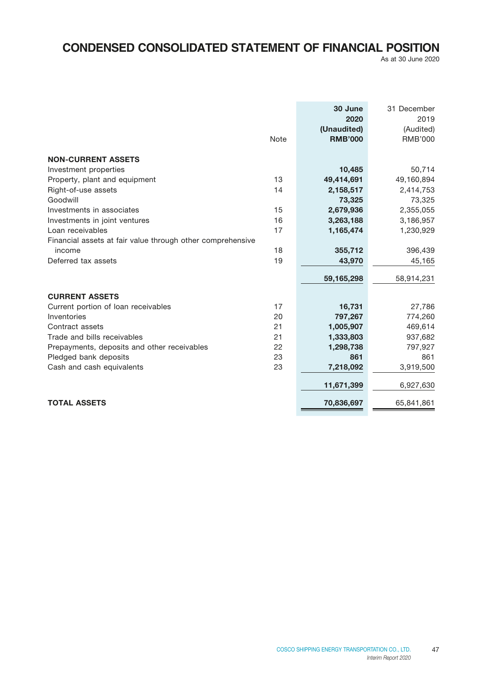# **CONDENSED CONSOLIDATED STATEMENT OF FINANCIAL POSITION**

As at 30 June 2020

|                                                            | <b>Note</b> | 30 June<br>2020<br>(Unaudited)<br><b>RMB'000</b> | 31 December<br>2019<br>(Audited)<br><b>RMB'000</b> |
|------------------------------------------------------------|-------------|--------------------------------------------------|----------------------------------------------------|
| <b>NON-CURRENT ASSETS</b>                                  |             |                                                  |                                                    |
| Investment properties                                      |             | 10,485                                           | 50,714                                             |
| Property, plant and equipment                              | 13          | 49,414,691                                       | 49,160,894                                         |
| Right-of-use assets                                        | 14          | 2,158,517                                        | 2,414,753                                          |
| Goodwill                                                   |             | 73,325                                           | 73,325                                             |
| Investments in associates                                  | 15          | 2,679,936                                        | 2,355,055                                          |
| Investments in joint ventures                              | 16          | 3,263,188                                        | 3,186,957                                          |
| Loan receivables                                           | 17          | 1,165,474                                        | 1,230,929                                          |
| Financial assets at fair value through other comprehensive |             |                                                  |                                                    |
| income                                                     | 18          | 355,712                                          | 396,439                                            |
| Deferred tax assets                                        | 19          | 43,970                                           | 45,165                                             |
|                                                            |             |                                                  |                                                    |
|                                                            |             | 59,165,298                                       | 58,914,231                                         |
| <b>CURRENT ASSETS</b>                                      |             |                                                  |                                                    |
| Current portion of loan receivables                        | 17          | 16,731                                           | 27,786                                             |
| Inventories                                                | 20          | 797,267                                          | 774,260                                            |
| Contract assets                                            | 21          | 1,005,907                                        | 469,614                                            |
| Trade and bills receivables                                | 21          | 1,333,803                                        | 937,682                                            |
| Prepayments, deposits and other receivables                | 22          | 1,298,738                                        | 797,927                                            |
| Pledged bank deposits                                      | 23          | 861                                              | 861                                                |
| Cash and cash equivalents                                  | 23          | 7,218,092                                        | 3,919,500                                          |
|                                                            |             | 11,671,399                                       | 6,927,630                                          |
| <b>TOTAL ASSETS</b>                                        |             | 70,836,697                                       | 65,841,861                                         |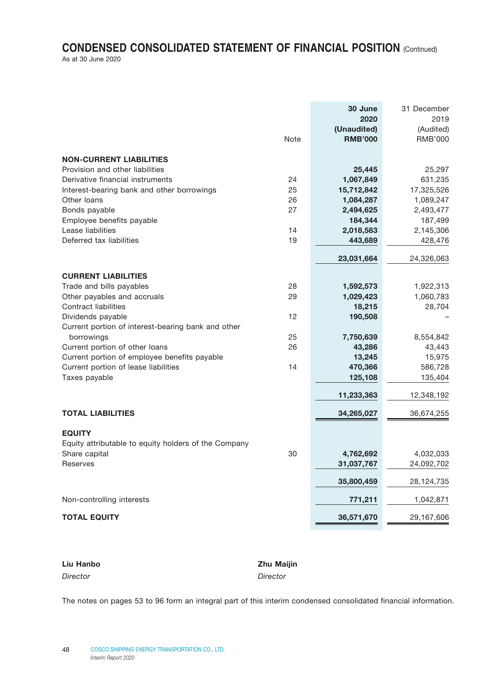# **CONDENSED CONSOLIDATED STATEMENT OF FINANCIAL POSITION** (Continued)

| As at 30 June 2020 |  |
|--------------------|--|
|--------------------|--|

|                                                      |      | 30 June        | 31 December    |
|------------------------------------------------------|------|----------------|----------------|
|                                                      |      | 2020           | 2019           |
|                                                      |      | (Unaudited)    | (Audited)      |
|                                                      | Note | <b>RMB'000</b> | <b>RMB'000</b> |
| <b>NON-CURRENT LIABILITIES</b>                       |      |                |                |
| Provision and other liabilities                      |      | 25,445         | 25,297         |
| Derivative financial instruments                     | 24   | 1,067,849      | 631,235        |
| Interest-bearing bank and other borrowings           | 25   | 15,712,842     | 17,325,526     |
| Other loans                                          | 26   | 1,084,287      | 1,089,247      |
| Bonds payable                                        | 27   | 2,494,625      | 2,493,477      |
| Employee benefits payable                            |      | 184,344        | 187,499        |
| Lease liabilities                                    | 14   | 2,018,583      | 2,145,306      |
| Deferred tax liabilities                             | 19   | 443,689        | 428,476        |
|                                                      |      | 23,031,664     | 24,326,063     |
| <b>CURRENT LIABILITIES</b>                           |      |                |                |
| Trade and bills payables                             | 28   | 1,592,573      | 1,922,313      |
| Other payables and accruals                          | 29   | 1,029,423      | 1,060,783      |
| Contract liabilities                                 |      | 18,215         | 28,704         |
| Dividends payable                                    | 12   | 190,508        |                |
| Current portion of interest-bearing bank and other   |      |                |                |
| borrowings                                           | 25   | 7,750,639      | 8,554,842      |
| Current portion of other loans                       | 26   | 43,286         | 43,443         |
| Current portion of employee benefits payable         |      | 13,245         | 15,975         |
| Current portion of lease liabilities                 | 14   | 470,366        | 586,728        |
| Taxes payable                                        |      | 125,108        | 135,404        |
|                                                      |      | 11,233,363     | 12,348,192     |
| <b>TOTAL LIABILITIES</b>                             |      | 34,265,027     | 36,674,255     |
|                                                      |      |                |                |
| <b>EQUITY</b>                                        |      |                |                |
| Equity attributable to equity holders of the Company |      |                |                |
| Share capital                                        | 30   | 4,762,692      | 4,032,033      |
| Reserves                                             |      | 31,037,767     | 24,092,702     |
|                                                      |      | 35,800,459     | 28,124,735     |
| Non-controlling interests                            |      | 771,211        | 1,042,871      |
| <b>TOTAL EQUITY</b>                                  |      | 36,571,670     | 29,167,606     |
|                                                      |      |                |                |

| Liu Hanbo | <b>Zhu Maijin</b> |
|-----------|-------------------|
| Director  | Director          |

The notes on pages 53 to 96 form an integral part of this interim condensed consolidated financial information.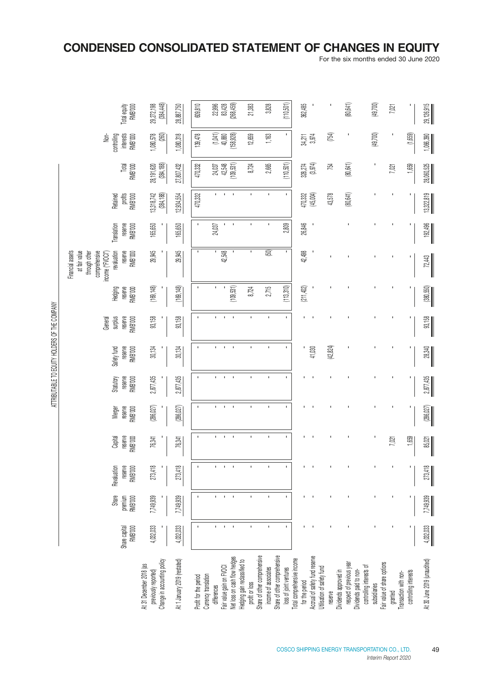# **CONDENSED CONSOLIDATED STATEMENT OF CHANGES IN EQUITY**

For the six months ended 30 June 2020

|                                                                                |                                 |                                    |                                             |                               |                              |                                        | ATTRIBOTABLE TO EQUIT FOUR DISPONSIBLE THE SATTRIBOT |                                          |                                      |                                                                                                                                     |                                          |                                |                               |                                                    |                               |
|--------------------------------------------------------------------------------|---------------------------------|------------------------------------|---------------------------------------------|-------------------------------|------------------------------|----------------------------------------|------------------------------------------------------|------------------------------------------|--------------------------------------|-------------------------------------------------------------------------------------------------------------------------------------|------------------------------------------|--------------------------------|-------------------------------|----------------------------------------------------|-------------------------------|
|                                                                                | Share capital<br><b>RMB'000</b> | Share<br>premium<br><b>RMB</b> 000 | Revaluation<br>reserve<br><b>B'000</b><br>줉 | reserve<br>RMB'000<br>Capital | reserve<br>RMB'000<br>Merger | Statutory<br>reserve<br><b>RMB</b> 000 | Safety fund<br>reserve<br><b>RMB1000</b>             | reserve<br>RMB'000<br>surplus<br>General | reserve<br>Hedging<br><b>RMB1000</b> | at fair value<br>Financial assets<br>comprehensive<br>reserve<br>through other<br>income ("FVOCI")<br>revaluation<br><b>RMB'000</b> | reserve<br>Translation<br><b>RMB'000</b> | profits<br>RMB'000<br>Retained | Total<br><b>RMB1000</b>       | interests<br>Non-<br>controlling<br><b>RMB1000</b> | Total equity<br>RMB'000       |
| Change in accounting policy<br>At 31 December 2018 (as<br>previously reported) | 4,032,033                       | 7,749,939                          | 273,418                                     | 76,341                        | (286,027)                    | 2,877,435                              | 30,134                                               | 93,158                                   | (169, 148)                           | 29,945                                                                                                                              | 165,650                                  | (384, 188)<br>13,318,742       | (384, 188)<br>28,191,620      | (260)<br>1,080,578                                 | (384, 448)<br>29,272,198      |
| At 1 January 2019 (restated)                                                   | 4,032,033                       | 7,749,939                          | 273,418                                     | 76,341                        | (286, 027)                   | 2,877,435                              | 30,134                                               | 93,158                                   | (169, 148)                           | 29,945                                                                                                                              | 165,650                                  | 12,934,554                     | 27,807,432                    | 1,080,318                                          | 28,887,750                    |
| Currency translation<br>Profit for the period                                  | $\mathbf{r}$                    | $\mathbf{I}$                       | $\mathbf{I}$                                |                               | J.                           | $\mathbf{I}$                           | $\mathbf I$                                          | J.                                       | $\mathbf I$                          | J.                                                                                                                                  |                                          | 470,332                        | 470,332                       | 139,478                                            | 609,810                       |
| differences                                                                    | $\mathbf{L}$                    | f.                                 | f.                                          | I.                            |                              | $\mathbf{I}$                           | I.                                                   | L.                                       | ı.                                   | ٠                                                                                                                                   | $24,037$                                 |                                |                               |                                                    |                               |
| let loss on cash flow hedges<br>air value gain on FVOCI                        | $\mathbf{I}$<br>$\sim$          | $\mathbf{I}$<br>$\mathbf{I}$       | $\mathbf{I}$<br>$\mathbf{I}$                | $\Gamma = 1$                  | $\mathbf{I}$                 | $\mathbf{I}$<br>$\sim$                 | $\mathbf{I}$<br>$\mathbf{I}$                         | $\Gamma = 1$                             | (109, 531)<br>$\mathbf{I}$           | 42,548                                                                                                                              | $\mathbf{I}$<br>$\sim$ 1                 | $\mathbf{I}$<br>$\mathbf{I}$   | 24,037<br>42,548<br>(109,531) | $(1,041)$<br>40,880<br>(158,928)                   | 22,996<br>83,428<br>(268,459) |
| edging gain reclassified to<br>profit or loss                                  | $\mathbf{I}$                    | $\mathbf{I}$                       |                                             |                               | $\mathbf{I}$                 | $\mathbf{I}$                           | $\mathbf{I}$                                         |                                          | 8,724                                | $\mathbf{I}$                                                                                                                        |                                          | $\mathbf{I}$                   | 8,724                         | 12,659                                             | 21,383                        |
| share of other comprehensive                                                   |                                 |                                    | $\mathbf{I}$                                | $\mathbf{I}$                  |                              |                                        |                                                      | $\mathbf{I}$                             |                                      |                                                                                                                                     | $\mathbf{I}$                             |                                |                               |                                                    |                               |
| hare of other comprehensive<br>income of associates                            | í.                              | $\mathbf{r}$                       | f,                                          | $\mathbf{r}$                  | $\mathbf{r}$                 | Î.                                     | $\mathbf{I}$                                         | $\mathbf{r}$                             | 2,715                                | $\boxed{60}$                                                                                                                        | $\mathbf{I}$                             | $\mathbf{r}$                   | 2,665                         | 1,163                                              | 3,828                         |
| loss of joint ventures                                                         | $\mathbf{I}$                    | $\mathbf{I}$                       | f,                                          | I.                            | f,                           | ï                                      | I.                                                   | $\mathbf{r}$                             | (113,310)                            | $\blacksquare$                                                                                                                      | 2,809                                    | $\mathbf{I}$                   | (110, 501)                    | T,                                                 | (110,501)                     |
| otal comprehensive income<br>for the period                                    |                                 |                                    |                                             |                               |                              |                                        |                                                      |                                          | (211,402)                            | 42,498                                                                                                                              | 26,846                                   |                                |                               |                                                    | 362,485                       |
| ccrual of safety fund reserve                                                  |                                 |                                    |                                             |                               |                              |                                        | 41,030                                               |                                          |                                      |                                                                                                                                     |                                          | 470,332<br>(45,004)            | 328,274<br>(3,974)            | 34,211<br>3,974                                    |                               |
| tilisation of safety fund<br>reserve                                           |                                 |                                    |                                             |                               |                              |                                        | (42, 824)                                            |                                          |                                      |                                                                                                                                     |                                          | 43,578                         | 754                           | [754]                                              |                               |
| lividends approved in                                                          |                                 |                                    |                                             |                               |                              |                                        |                                                      |                                          |                                      |                                                                                                                                     |                                          |                                |                               |                                                    |                               |
| respect of previous yea<br>lividends paid to non-                              |                                 |                                    |                                             |                               |                              |                                        |                                                      |                                          |                                      |                                                                                                                                     |                                          | (80, 641)                      | (80, 641)                     |                                                    | (80,641)                      |
| controlling interests of                                                       |                                 |                                    |                                             |                               |                              |                                        |                                                      |                                          |                                      |                                                                                                                                     |                                          |                                |                               |                                                    |                               |
| subsidiaries                                                                   |                                 |                                    |                                             |                               |                              |                                        |                                                      |                                          |                                      |                                                                                                                                     |                                          |                                | ı                             | (49, 700)                                          | (49,700)                      |
| air value of share options<br>granted                                          |                                 |                                    |                                             | 7,021                         |                              |                                        |                                                      |                                          |                                      |                                                                                                                                     |                                          |                                | 7,021                         |                                                    | 7,021                         |
| ransaction with non-                                                           |                                 |                                    |                                             |                               |                              |                                        |                                                      |                                          |                                      |                                                                                                                                     |                                          |                                |                               |                                                    |                               |
| controlling interests                                                          |                                 |                                    |                                             | 1,659                         |                              |                                        |                                                      |                                          |                                      |                                                                                                                                     |                                          |                                | 1,659                         | (1,659)                                            |                               |
| 4t 30 June 2019 (unaudited)                                                    | 4,032,033                       | 7,749,939                          | $\frac{273,418}{2}$                         | 85,021                        | (286, 027)                   | 2,877,435                              | $28,340$                                             | 93,158                                   | (380, 550)                           | $\frac{72,443}{2}$                                                                                                                  | 192,496                                  | 13,322,819                     | 28,060,525                    | 1,066,390                                          | 29,126,915                    |

ATTEIRI ITARI E TA EAHTIY UAI NEBO AE TUE ANABANY ATTRIBUTABLE TO EQUITY HOLDERS OF THE COMPANY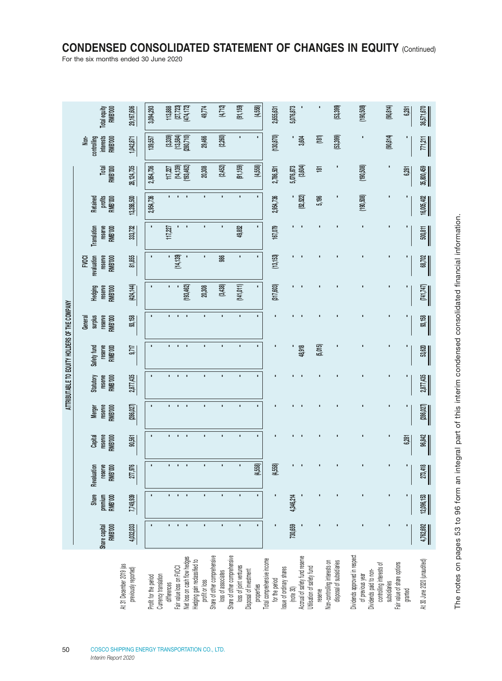# **CONDENSED CONSOLIDATED STATEMENT OF CHANGES IN EQUITY** (Continued)

For the six months ended 30 June 2020

|                                               | <b>RMB'000</b><br>Total equity                            | 29,167,606                                      | 3,094,293             |                                     | 113,888<br>(27,723)<br>(474,172)                         | 49,774                                         | (4, 712)                                           |                              | (91, 159)              | (4,558)                              |                            | 2,655,631      | 5,076,873                            |                                                              |         | (53, 399)                                                | (190, 508)                                                                  | (90, 814)                                                               | 6,281   | 36,571,670                  |
|-----------------------------------------------|-----------------------------------------------------------|-------------------------------------------------|-----------------------|-------------------------------------|----------------------------------------------------------|------------------------------------------------|----------------------------------------------------|------------------------------|------------------------|--------------------------------------|----------------------------|----------------|--------------------------------------|--------------------------------------------------------------|---------|----------------------------------------------------------|-----------------------------------------------------------------------------|-------------------------------------------------------------------------|---------|-----------------------------|
|                                               | <b>interests</b><br>Non-<br>controlling<br><b>RMB'000</b> | 1,042,871                                       | 139,557               |                                     | $(3,339)$<br>$(13,584)$<br>$(280,710)$                   | 29,466                                         | (2,260)                                            |                              | $\blacksquare$         | ×,                                   |                            | (130, 870)     |                                      | 3,604                                                        | (181)   | (53, 399)                                                |                                                                             | (90, 814)                                                               |         | $\frac{77,211}{2}$          |
|                                               | <b>RMB'000</b><br>Total                                   | 28, 124, 735                                    | 2,954,736             |                                     | 117,227<br>(14,139)<br>(193,462)                         | 20,308                                         | (2,452)                                            |                              | (91, 159)              | (4,558)                              |                            | 2,786,501      | 5,076,873<br>[3,604]                 |                                                              | 흔       |                                                          | (190, 508)                                                                  | J.                                                                      | 6,281   | 35,800,459                  |
|                                               | profits<br>RMB <sup>7</sup> 000<br>Retained               | 13,288,500                                      | 2,954,736             |                                     |                                                          | r.                                             |                                                    |                              |                        | ٠                                    |                            | 2,954,736      |                                      | (52, 522)                                                    | 5,196   |                                                          | (190,508)                                                                   |                                                                         |         | 16,005,402                  |
|                                               | reserve<br><b>RMB'000</b><br><b>Translation</b>           | 333,732                                         | п                     | 117,227                             |                                                          |                                                |                                                    |                              | 49,852                 | ٠                                    |                            | 167,079        |                                      |                                                              |         |                                                          |                                                                             |                                                                         |         | 500,811                     |
|                                               | reserve<br><b>FVOCI</b><br>revaluation<br><b>RMB'000</b>  | 81,855                                          |                       | ٠                                   | (14, 139)                                                |                                                | <b>986</b>                                         |                              | f,                     | r.                                   |                            | (13, 153)      |                                      |                                                              |         |                                                          |                                                                             |                                                                         |         | 68,702                      |
|                                               | Hedging<br>reserve<br><b>RMB'000</b>                      | (424,144)                                       |                       |                                     | (193, 462)                                               | 20,308                                         | (3, 438)                                           |                              | (141, 011)             | ٠                                    |                            | (317, 603)     |                                      |                                                              |         |                                                          |                                                                             |                                                                         |         | [741, 747]                  |
|                                               | surplus<br>reserve<br>RMB'000<br>General                  | 93,158                                          |                       |                                     |                                                          |                                                |                                                    |                              |                        |                                      |                            |                |                                      |                                                              |         |                                                          |                                                                             |                                                                         |         | 93,158                      |
| ATTRIBUTABLE TO EQUITY HOLDERS OF THE COMPANY | reserve<br><b>RMB'000</b><br>Safety fund                  | 9,717                                           |                       |                                     |                                                          | r.                                             | I,                                                 |                              | п                      | r.                                   |                            |                |                                      | 48,918                                                       | (5,015) |                                                          |                                                                             |                                                                         |         | 53,620                      |
|                                               | <b>Statutory</b><br>reserve<br><b>RMB'000</b>             | 2,877,435                                       |                       |                                     | $\blacksquare$<br>$\blacksquare$                         | ×                                              | ×,                                                 |                              | ×,                     | ٠                                    |                            |                |                                      |                                                              |         |                                                          |                                                                             |                                                                         |         | 2,877,435                   |
|                                               | reserve<br>RMB'000<br><b>Merger</b>                       | (286, 027)                                      | J.                    |                                     | $\mathbf{r}$<br>$\mathbf{r}$                             | ×,                                             | $\mathbf{r}$                                       |                              | $\mathbf{r}$           | r.                                   |                            |                |                                      |                                                              |         |                                                          |                                                                             |                                                                         |         | (286, 027)                  |
|                                               | reserve<br>RMB'000<br>Capital                             | 90,561                                          | $\mathbf{r}$          | ٠                                   | $\mathbf{r}$<br>$\mathcal{A}$                            | $\mathbf{r}$                                   | r.                                                 |                              | ï                      | r.                                   |                            |                |                                      |                                                              |         |                                                          |                                                                             |                                                                         | 6,281   | 96,842                      |
|                                               | Revaluation<br>reserve<br><b>MB'000</b><br>ᄒ              | 277,976                                         | ×                     | п.                                  | $\mathbf{r}$<br>- 11                                     | r.                                             | f.                                                 |                              | $\blacksquare$         | (4,558)                              |                            | (4,558)        |                                      |                                                              |         |                                                          |                                                                             |                                                                         |         | 273,418                     |
|                                               | <b>Share</b><br><b>RMB'000</b><br>premium                 | 7,749,939                                       |                       |                                     | $\blacksquare$<br>×                                      | ٠                                              | ٠                                                  |                              | ı                      | ٠                                    |                            |                | 4,346,214                            |                                                              |         |                                                          |                                                                             |                                                                         |         | 12,096,153                  |
|                                               | <b>RMB'000</b><br>Share capital                           | 4,032,033                                       |                       |                                     | $\blacksquare$<br>$\blacksquare$                         | r.                                             | ×                                                  |                              | ×                      | r.                                   |                            | p              | 730,659                              |                                                              |         |                                                          |                                                                             |                                                                         |         | 4,762,692                   |
|                                               |                                                           | At 31 December 2019 (as<br>previously reported) | Profit for the period | Currency translation<br>differences | Net loss on cash flow hedges<br>Fair value loss on FVOCI | Hedging gain reclassified to<br>profit or loss | Share of other comprehensive<br>loss of associates | Share of other comprehensive | loss of joint ventures | Disposal of investment<br>properties | Total comprehensive income | for the period | Issue of ordinary shares<br>Inote 30 | Accrual of safety fund reserve<br>Utilisation of safety fund | reserve | Non-controlling interests on<br>disposal of subsidiaries | Dividends approved in respect<br>Dividends paid to non-<br>of previous year | Fair value of share options<br>controlling interests of<br>subsidiaries | granted | At 30 June 2020 (unaudited) |

The notes on pages 53 to 96 form an integral part of this interim condensed consolidated financial information. The notes on pages 53 to 96 form an integral part of this interim condensed consolidated financial information.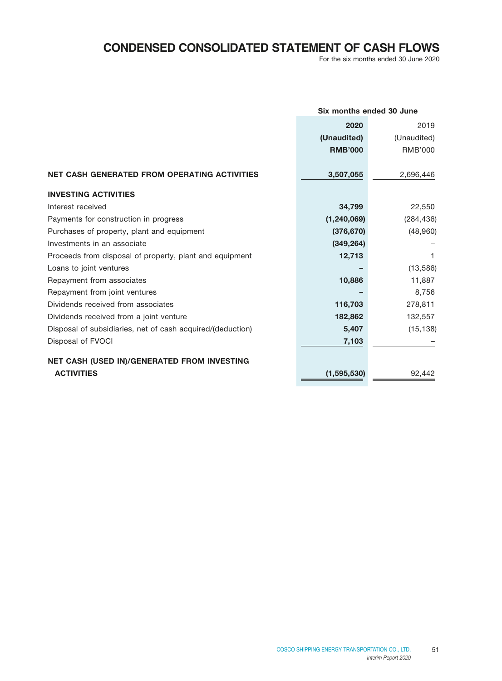# **CONDENSED CONSOLIDATED STATEMENT OF CASH FLOWS**

For the six months ended 30 June 2020

|                                                            | Six months ended 30 June |                |
|------------------------------------------------------------|--------------------------|----------------|
|                                                            | 2020                     | 2019           |
|                                                            | (Unaudited)              | (Unaudited)    |
|                                                            | <b>RMB'000</b>           | <b>RMB'000</b> |
| <b>NET CASH GENERATED FROM OPERATING ACTIVITIES</b>        | 3,507,055                | 2,696,446      |
| <b>INVESTING ACTIVITIES</b>                                |                          |                |
| Interest received                                          | 34,799                   | 22,550         |
| Payments for construction in progress                      | (1, 240, 069)            | (284, 436)     |
| Purchases of property, plant and equipment                 | (376, 670)               | (48, 960)      |
| Investments in an associate                                | (349, 264)               |                |
| Proceeds from disposal of property, plant and equipment    | 12,713                   | 1              |
| Loans to joint ventures                                    |                          | (13, 586)      |
| Repayment from associates                                  | 10,886                   | 11,887         |
| Repayment from joint ventures                              |                          | 8,756          |
| Dividends received from associates                         | 116,703                  | 278,811        |
| Dividends received from a joint venture                    | 182,862                  | 132,557        |
| Disposal of subsidiaries, net of cash acquired/(deduction) | 5,407                    | (15, 138)      |
| Disposal of FVOCI                                          | 7,103                    |                |
| NET CASH (USED IN)/GENERATED FROM INVESTING                |                          |                |
| <b>ACTIVITIES</b>                                          | (1, 595, 530)            | 92,442         |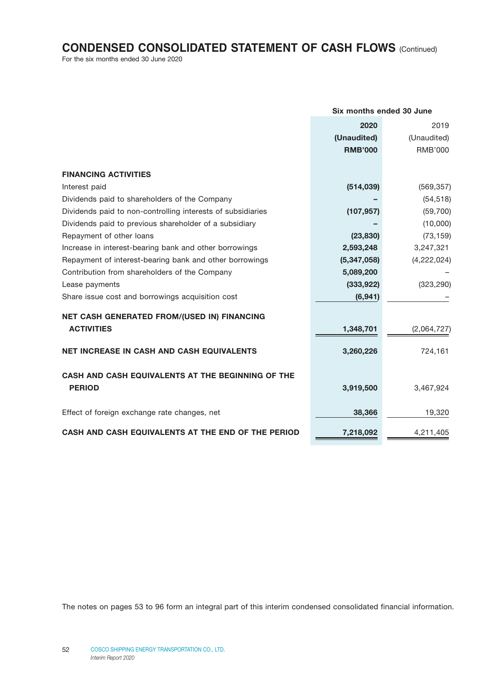# **CONDENSED CONSOLIDATED STATEMENT OF CASH FLOWS** (Continued)

For the six months ended 30 June 2020

|                                                                    | Six months ended 30 June |                |
|--------------------------------------------------------------------|--------------------------|----------------|
|                                                                    | 2020                     | 2019           |
|                                                                    | (Unaudited)              | (Unaudited)    |
|                                                                    | <b>RMB'000</b>           | <b>RMB'000</b> |
| <b>FINANCING ACTIVITIES</b>                                        |                          |                |
| Interest paid                                                      | (514, 039)               | (569, 357)     |
| Dividends paid to shareholders of the Company                      |                          | (54, 518)      |
| Dividends paid to non-controlling interests of subsidiaries        | (107, 957)               | (59, 700)      |
| Dividends paid to previous shareholder of a subsidiary             |                          | (10,000)       |
| Repayment of other loans                                           | (23, 830)                | (73, 159)      |
| Increase in interest-bearing bank and other borrowings             | 2,593,248                | 3,247,321      |
| Repayment of interest-bearing bank and other borrowings            | (5,347,058)              | (4,222,024)    |
| Contribution from shareholders of the Company                      | 5,089,200                |                |
| Lease payments                                                     | (333, 922)               | (323, 290)     |
| Share issue cost and borrowings acquisition cost                   | (6, 941)                 |                |
| NET CASH GENERATED FROM/(USED IN) FINANCING                        |                          |                |
| <b>ACTIVITIES</b>                                                  | 1,348,701                | (2,064,727)    |
| <b>NET INCREASE IN CASH AND CASH EQUIVALENTS</b>                   | 3,260,226                | 724,161        |
| CASH AND CASH EQUIVALENTS AT THE BEGINNING OF THE<br><b>PERIOD</b> | 3,919,500                | 3,467,924      |
| Effect of foreign exchange rate changes, net                       | 38,366                   | 19,320         |
| CASH AND CASH EQUIVALENTS AT THE END OF THE PERIOD                 | 7,218,092                | 4,211,405      |

The notes on pages 53 to 96 form an integral part of this interim condensed consolidated financial information.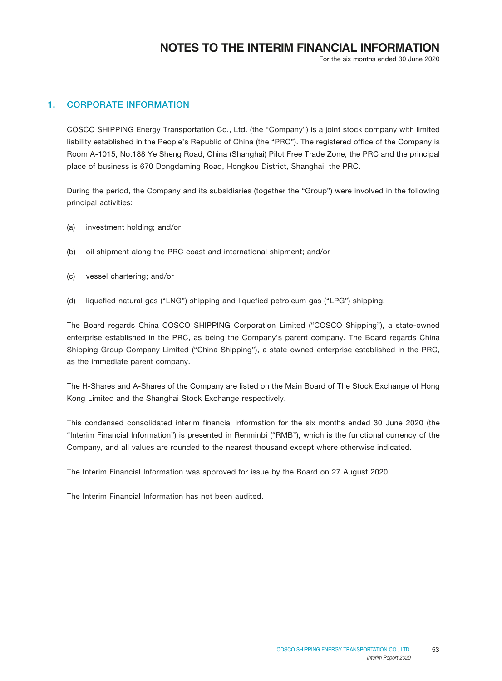# **NOTES TO THE INTERIM FINANCIAL INFORMATION**

For the six months ended 30 June 2020

### 1. CORPORATE INFORMATION

COSCO SHIPPING Energy Transportation Co., Ltd. (the "Company") is a joint stock company with limited liability established in the People's Republic of China (the "PRC"). The registered office of the Company is Room A-1015, No.188 Ye Sheng Road, China (Shanghai) Pilot Free Trade Zone, the PRC and the principal place of business is 670 Dongdaming Road, Hongkou District, Shanghai, the PRC.

During the period, the Company and its subsidiaries (together the "Group") were involved in the following principal activities:

- (a) investment holding; and/or
- (b) oil shipment along the PRC coast and international shipment; and/or
- (c) vessel chartering; and/or
- (d) liquefied natural gas ("LNG") shipping and liquefied petroleum gas ("LPG") shipping.

The Board regards China COSCO SHIPPING Corporation Limited ("COSCO Shipping"), a state-owned enterprise established in the PRC, as being the Company's parent company. The Board regards China Shipping Group Company Limited ("China Shipping"), a state-owned enterprise established in the PRC, as the immediate parent company.

The H-Shares and A-Shares of the Company are listed on the Main Board of The Stock Exchange of Hong Kong Limited and the Shanghai Stock Exchange respectively.

This condensed consolidated interim financial information for the six months ended 30 June 2020 (the "Interim Financial Information") is presented in Renminbi ("RMB"), which is the functional currency of the Company, and all values are rounded to the nearest thousand except where otherwise indicated.

The Interim Financial Information was approved for issue by the Board on 27 August 2020.

The Interim Financial Information has not been audited.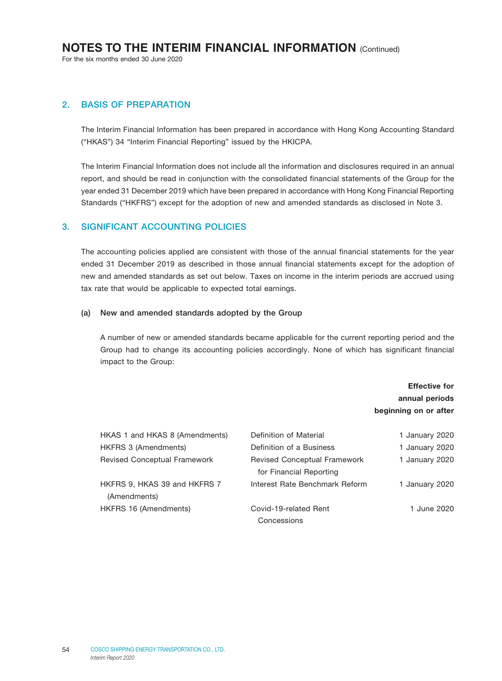For the six months ended 30 June 2020

### 2. BASIS OF PREPARATION

The Interim Financial Information has been prepared in accordance with Hong Kong Accounting Standard ("HKAS") 34 "Interim Financial Reporting" issued by the HKICPA.

The Interim Financial Information does not include all the information and disclosures required in an annual report, and should be read in conjunction with the consolidated financial statements of the Group for the year ended 31 December 2019 which have been prepared in accordance with Hong Kong Financial Reporting Standards ("HKFRS") except for the adoption of new and amended standards as disclosed in Note 3.

#### 3. SIGNIFICANT ACCOUNTING POLICIES

The accounting policies applied are consistent with those of the annual financial statements for the year ended 31 December 2019 as described in those annual financial statements except for the adoption of new and amended standards as set out below. Taxes on income in the interim periods are accrued using tax rate that would be applicable to expected total earnings.

#### (a) New and amended standards adopted by the Group

A number of new or amended standards became applicable for the current reporting period and the Group had to change its accounting policies accordingly. None of which has significant financial impact to the Group:

### Effective for annual periods beginning on or after

| HKAS 1 and HKAS 8 (Amendments)      | Definition of Material              | 1 January 2020 |
|-------------------------------------|-------------------------------------|----------------|
| <b>HKFRS 3 (Amendments)</b>         | Definition of a Business            | 1 January 2020 |
| <b>Revised Conceptual Framework</b> | <b>Revised Conceptual Framework</b> | 1 January 2020 |
|                                     | for Financial Reporting             |                |
| HKFRS 9, HKAS 39 and HKFRS 7        | Interest Rate Benchmark Reform      | 1 January 2020 |
| (Amendments)                        |                                     |                |
| HKFRS 16 (Amendments)               | Covid-19-related Rent               | 1 June 2020    |
|                                     | Concessions                         |                |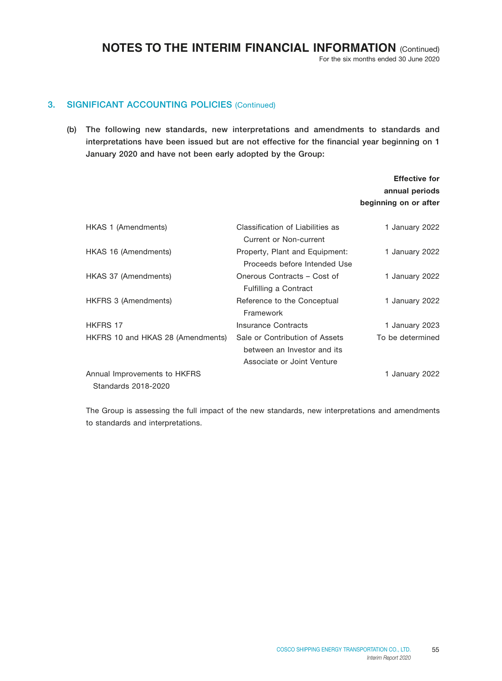For the six months ended 30 June 2020

Effective for annual periods

### 3. SIGNIFICANT ACCOUNTING POLICIES (Continued)

(b) The following new standards, new interpretations and amendments to standards and interpretations have been issued but are not effective for the financial year beginning on 1 January 2020 and have not been early adopted by the Group:

|                                   |                                                                                             | beginning on or after |
|-----------------------------------|---------------------------------------------------------------------------------------------|-----------------------|
| HKAS 1 (Amendments)               | Classification of Liabilities as<br>Current or Non-current                                  | 1 January 2022        |
| HKAS 16 (Amendments)              | Property, Plant and Equipment:<br>Proceeds before Intended Use                              | 1 January 2022        |
| HKAS 37 (Amendments)              | Onerous Contracts - Cost of<br><b>Fulfilling a Contract</b>                                 | 1 January 2022        |
| HKFRS 3 (Amendments)              | Reference to the Conceptual<br>Framework                                                    | 1 January 2022        |
| HKFRS 17                          | <b>Insurance Contracts</b>                                                                  | 1 January 2023        |
| HKFRS 10 and HKAS 28 (Amendments) | Sale or Contribution of Assets<br>between an Investor and its<br>Associate or Joint Venture | To be determined      |
| Annual Improvements to HKFRS      |                                                                                             | 1 January 2022        |
| Standards 2018-2020               |                                                                                             |                       |

The Group is assessing the full impact of the new standards, new interpretations and amendments to standards and interpretations.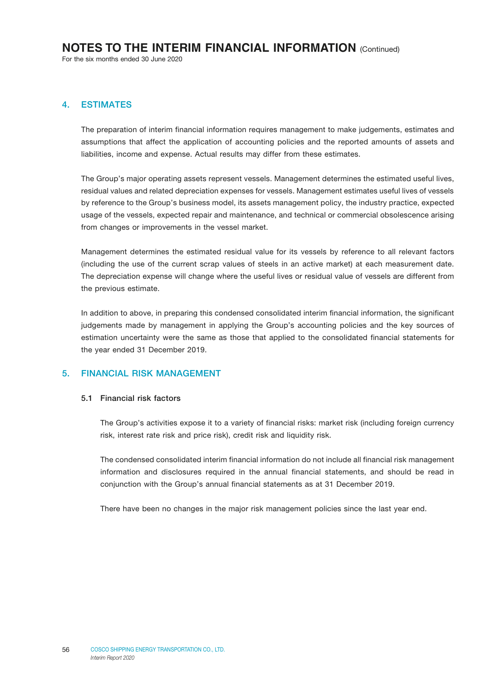For the six months ended 30 June 2020

### 4. ESTIMATES

The preparation of interim financial information requires management to make judgements, estimates and assumptions that affect the application of accounting policies and the reported amounts of assets and liabilities, income and expense. Actual results may differ from these estimates.

The Group's major operating assets represent vessels. Management determines the estimated useful lives, residual values and related depreciation expenses for vessels. Management estimates useful lives of vessels by reference to the Group's business model, its assets management policy, the industry practice, expected usage of the vessels, expected repair and maintenance, and technical or commercial obsolescence arising from changes or improvements in the vessel market.

Management determines the estimated residual value for its vessels by reference to all relevant factors (including the use of the current scrap values of steels in an active market) at each measurement date. The depreciation expense will change where the useful lives or residual value of vessels are different from the previous estimate.

In addition to above, in preparing this condensed consolidated interim financial information, the significant judgements made by management in applying the Group's accounting policies and the key sources of estimation uncertainty were the same as those that applied to the consolidated financial statements for the year ended 31 December 2019.

### 5. FINANCIAL RISK MANAGEMENT

#### 5.1 Financial risk factors

The Group's activities expose it to a variety of financial risks: market risk (including foreign currency risk, interest rate risk and price risk), credit risk and liquidity risk.

The condensed consolidated interim financial information do not include all financial risk management information and disclosures required in the annual financial statements, and should be read in conjunction with the Group's annual financial statements as at 31 December 2019.

There have been no changes in the major risk management policies since the last year end.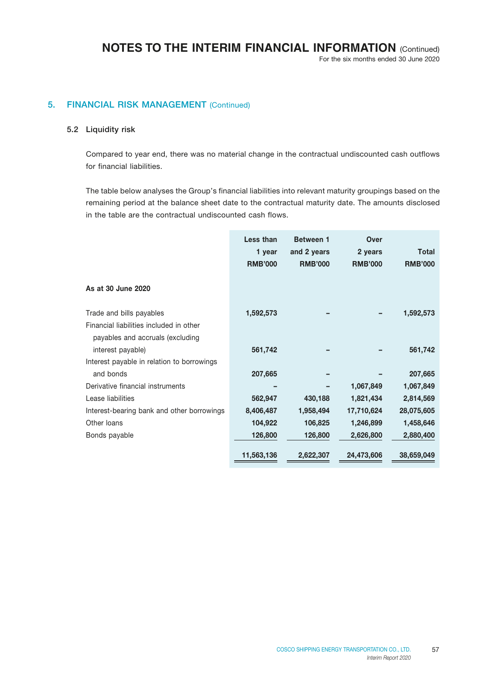For the six months ended 30 June 2020

### 5. FINANCIAL RISK MANAGEMENT (Continued)

#### 5.2 Liquidity risk

Compared to year end, there was no material change in the contractual undiscounted cash outflows for financial liabilities.

The table below analyses the Group's financial liabilities into relevant maturity groupings based on the remaining period at the balance sheet date to the contractual maturity date. The amounts disclosed in the table are the contractual undiscounted cash flows.

|                                                                                                         | Less than<br>1 year<br><b>RMB'000</b> | <b>Between 1</b><br>and 2 years<br><b>RMB'000</b> | Over<br>2 years<br><b>RMB'000</b> | <b>Total</b><br><b>RMB'000</b> |
|---------------------------------------------------------------------------------------------------------|---------------------------------------|---------------------------------------------------|-----------------------------------|--------------------------------|
| As at 30 June 2020                                                                                      |                                       |                                                   |                                   |                                |
| Trade and bills payables<br>Financial liabilities included in other<br>payables and accruals (excluding | 1,592,573                             |                                                   |                                   | 1,592,573                      |
| interest payable)                                                                                       | 561,742                               |                                                   |                                   | 561,742                        |
| Interest payable in relation to borrowings                                                              |                                       |                                                   |                                   |                                |
| and bonds                                                                                               | 207,665                               |                                                   |                                   | 207,665                        |
| Derivative financial instruments                                                                        |                                       |                                                   | 1,067,849                         | 1,067,849                      |
| Lease liabilities                                                                                       | 562,947                               | 430,188                                           | 1,821,434                         | 2,814,569                      |
| Interest-bearing bank and other borrowings                                                              | 8,406,487                             | 1,958,494                                         | 17,710,624                        | 28,075,605                     |
| Other loans                                                                                             | 104,922                               | 106,825                                           | 1,246,899                         | 1,458,646                      |
| Bonds payable                                                                                           | 126,800                               | 126,800                                           | 2,626,800                         | 2,880,400                      |
|                                                                                                         | 11,563,136                            | 2,622,307                                         | 24,473,606                        | 38,659,049                     |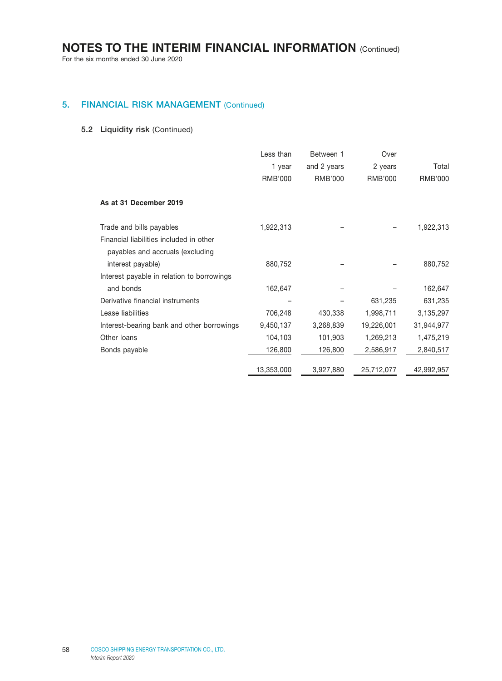For the six months ended 30 June 2020

### 5. FINANCIAL RISK MANAGEMENT (Continued)

### 5.2 Liquidity risk (Continued)

|                                                                                                         | Less than<br>1 year<br><b>RMB'000</b> | Between 1<br>and 2 years<br><b>RMB'000</b> | Over<br>2 years<br>RMB'000 | Total<br><b>RMB'000</b> |
|---------------------------------------------------------------------------------------------------------|---------------------------------------|--------------------------------------------|----------------------------|-------------------------|
| As at 31 December 2019                                                                                  |                                       |                                            |                            |                         |
| Trade and bills payables<br>Financial liabilities included in other<br>payables and accruals (excluding | 1,922,313                             |                                            |                            | 1,922,313               |
| interest payable)<br>Interest payable in relation to borrowings                                         | 880,752                               |                                            |                            | 880,752                 |
| and bonds                                                                                               | 162,647                               |                                            |                            | 162,647                 |
| Derivative financial instruments                                                                        |                                       |                                            | 631,235                    | 631,235                 |
| Lease liabilities                                                                                       | 706,248                               | 430,338                                    | 1,998,711                  | 3,135,297               |
| Interest-bearing bank and other borrowings                                                              | 9,450,137                             | 3,268,839                                  | 19,226,001                 | 31,944,977              |
| Other loans                                                                                             | 104,103                               | 101,903                                    | 1,269,213                  | 1,475,219               |
| Bonds payable                                                                                           | 126,800                               | 126,800                                    | 2,586,917                  | 2,840,517               |
|                                                                                                         | 13,353,000                            | 3,927,880                                  | 25,712,077                 | 42,992,957              |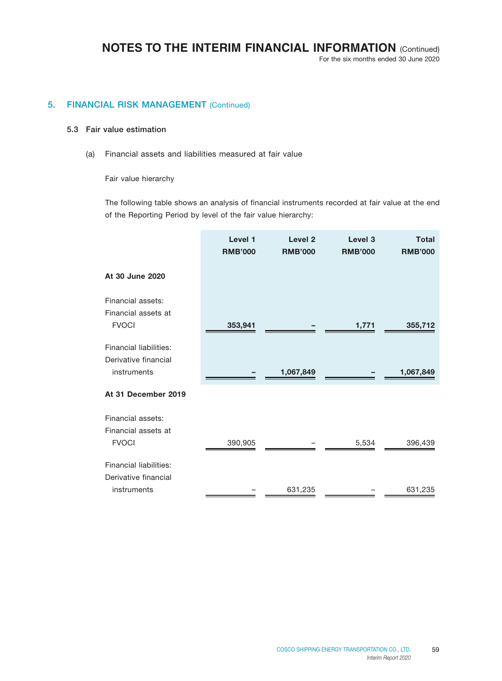For the six months ended 30 June 2020

### 5. FINANCIAL RISK MANAGEMENT (Continued)

#### 5.3 Fair value estimation

(a) Financial assets and liabilities measured at fair value

Fair value hierarchy

The following table shows an analysis of financial instruments recorded at fair value at the end of the Reporting Period by level of the fair value hierarchy:

|                        | Level 1<br><b>RMB'000</b> | Level <sub>2</sub><br><b>RMB'000</b> | Level <sub>3</sub><br><b>RMB'000</b> | <b>Total</b><br><b>RMB'000</b> |
|------------------------|---------------------------|--------------------------------------|--------------------------------------|--------------------------------|
| At 30 June 2020        |                           |                                      |                                      |                                |
| Financial assets:      |                           |                                      |                                      |                                |
| Financial assets at    |                           |                                      |                                      |                                |
| <b>FVOCI</b>           | 353,941                   |                                      | 1,771                                | 355,712                        |
| Financial liabilities: |                           |                                      |                                      |                                |
| Derivative financial   |                           |                                      |                                      |                                |
| instruments            |                           | 1,067,849                            |                                      | 1,067,849                      |
| At 31 December 2019    |                           |                                      |                                      |                                |
| Financial assets:      |                           |                                      |                                      |                                |
| Financial assets at    |                           |                                      |                                      |                                |
| <b>FVOCI</b>           | 390,905                   |                                      | 5,534                                | 396,439                        |
| Financial liabilities: |                           |                                      |                                      |                                |
| Derivative financial   |                           |                                      |                                      |                                |
| instruments            |                           | 631,235                              |                                      | 631,235                        |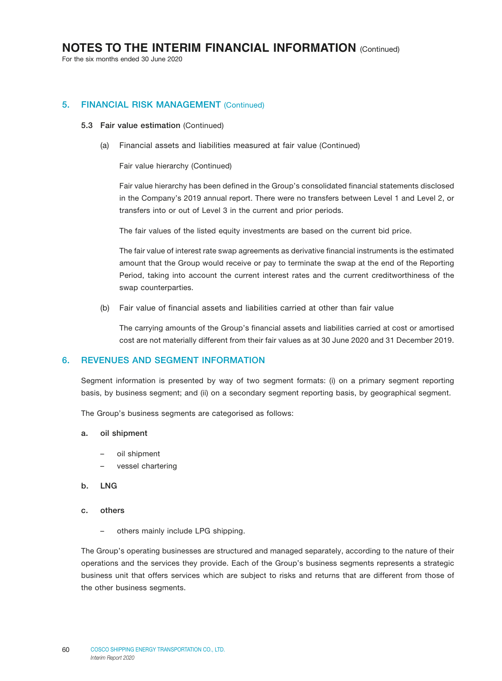For the six months ended 30 June 2020

### 5. FINANCIAL RISK MANAGEMENT (Continued)

#### 5.3 Fair value estimation (Continued)

(a) Financial assets and liabilities measured at fair value (Continued)

Fair value hierarchy (Continued)

Fair value hierarchy has been defined in the Group's consolidated financial statements disclosed in the Company's 2019 annual report. There were no transfers between Level 1 and Level 2, or transfers into or out of Level 3 in the current and prior periods.

The fair values of the listed equity investments are based on the current bid price.

The fair value of interest rate swap agreements as derivative financial instruments is the estimated amount that the Group would receive or pay to terminate the swap at the end of the Reporting Period, taking into account the current interest rates and the current creditworthiness of the swap counterparties.

(b) Fair value of financial assets and liabilities carried at other than fair value

The carrying amounts of the Group's financial assets and liabilities carried at cost or amortised cost are not materially different from their fair values as at 30 June 2020 and 31 December 2019.

#### 6. REVENUES AND SEGMENT INFORMATION

Segment information is presented by way of two segment formats: (i) on a primary segment reporting basis, by business segment; and (ii) on a secondary segment reporting basis, by geographical segment.

The Group's business segments are categorised as follows:

- a. oil shipment
	- oil shipment
	- vessel chartering
- b. LNG
- c. others
	- others mainly include LPG shipping.

The Group's operating businesses are structured and managed separately, according to the nature of their operations and the services they provide. Each of the Group's business segments represents a strategic business unit that offers services which are subject to risks and returns that are different from those of the other business segments.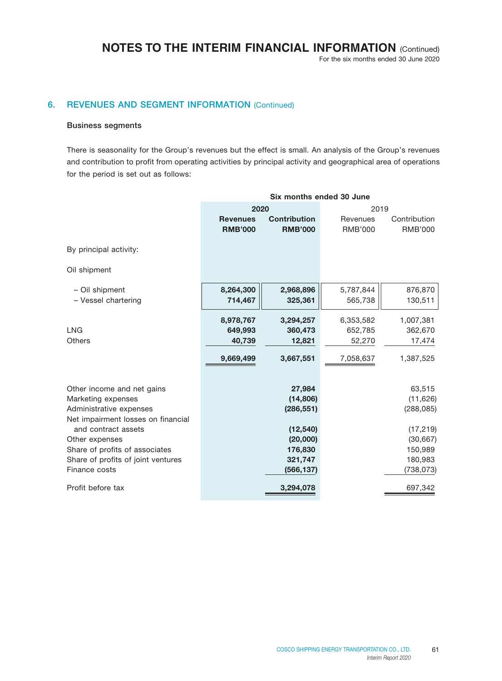### For the six months ended 30 June 2020

### 6. REVENUES AND SEGMENT INFORMATION (Continued)

#### Business segments

There is seasonality for the Group's revenues but the effect is small. An analysis of the Group's revenues and contribution to profit from operating activities by principal activity and geographical area of operations for the period is set out as follows:

|                                                           |                 | Six months ended 30 June |                |                |
|-----------------------------------------------------------|-----------------|--------------------------|----------------|----------------|
|                                                           | 2020            |                          | 2019           |                |
|                                                           | <b>Revenues</b> | <b>Contribution</b>      | Revenues       | Contribution   |
|                                                           | <b>RMB'000</b>  | <b>RMB'000</b>           | <b>RMB'000</b> | <b>RMB'000</b> |
| By principal activity:                                    |                 |                          |                |                |
| Oil shipment                                              |                 |                          |                |                |
|                                                           |                 |                          |                |                |
| - Oil shipment                                            | 8,264,300       | 2,968,896                | 5,787,844      | 876,870        |
| - Vessel chartering                                       | 714,467         | 325,361                  | 565,738        | 130,511        |
|                                                           | 8,978,767       | 3,294,257                | 6,353,582      | 1,007,381      |
| <b>LNG</b>                                                | 649,993         | 360,473                  | 652,785        | 362,670        |
| <b>Others</b>                                             | 40,739          | 12,821                   | 52,270         | 17,474         |
|                                                           | 9,669,499       | 3,667,551                | 7,058,637      | 1,387,525      |
|                                                           |                 |                          |                |                |
| Other income and net gains                                |                 | 27,984                   |                | 63,515         |
| Marketing expenses                                        |                 | (14, 806)                |                | (11, 626)      |
| Administrative expenses                                   |                 | (286, 551)               |                | (288, 085)     |
| Net impairment losses on financial<br>and contract assets |                 | (12, 540)                |                | (17, 219)      |
| Other expenses                                            |                 | (20,000)                 |                | (30, 667)      |
| Share of profits of associates                            |                 | 176,830                  |                | 150,989        |
| Share of profits of joint ventures                        |                 | 321,747                  |                | 180,983        |
| Finance costs                                             |                 | (566, 137)               |                | (738,073)      |
| Profit before tax                                         |                 | 3,294,078                |                | 697,342        |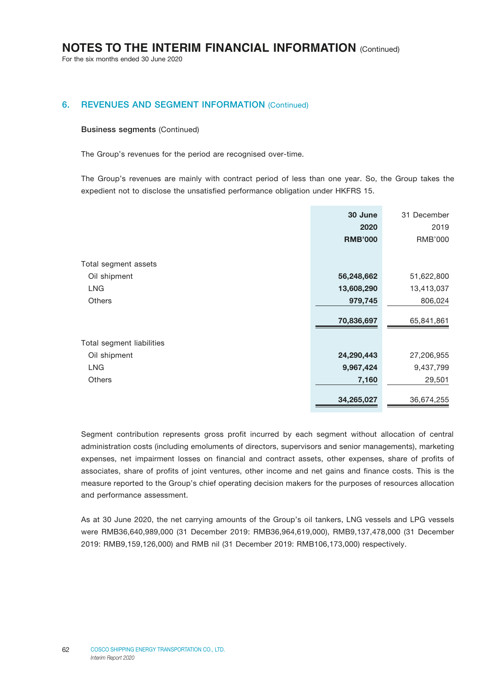For the six months ended 30 June 2020

### 6. REVENUES AND SEGMENT INFORMATION (Continued)

#### Business segments (Continued)

The Group's revenues for the period are recognised over-time.

The Group's revenues are mainly with contract period of less than one year. So, the Group takes the expedient not to disclose the unsatisfied performance obligation under HKFRS 15.

|                           | 30 June        | 31 December |
|---------------------------|----------------|-------------|
|                           | 2020           | 2019        |
|                           | <b>RMB'000</b> | RMB'000     |
| Total segment assets      |                |             |
| Oil shipment              | 56,248,662     | 51,622,800  |
| LNG                       | 13,608,290     | 13,413,037  |
| <b>Others</b>             | 979,745        | 806,024     |
|                           | 70,836,697     | 65,841,861  |
| Total segment liabilities |                |             |
| Oil shipment              | 24,290,443     | 27,206,955  |
| <b>LNG</b>                | 9,967,424      | 9,437,799   |
| <b>Others</b>             | 7,160          | 29,501      |
|                           | 34,265,027     | 36,674,255  |

Segment contribution represents gross profit incurred by each segment without allocation of central administration costs (including emoluments of directors, supervisors and senior managements), marketing expenses, net impairment losses on financial and contract assets, other expenses, share of profits of associates, share of profits of joint ventures, other income and net gains and finance costs. This is the measure reported to the Group's chief operating decision makers for the purposes of resources allocation and performance assessment.

As at 30 June 2020, the net carrying amounts of the Group's oil tankers, LNG vessels and LPG vessels were RMB36,640,989,000 (31 December 2019: RMB36,964,619,000), RMB9,137,478,000 (31 December 2019: RMB9,159,126,000) and RMB nil (31 December 2019: RMB106,173,000) respectively.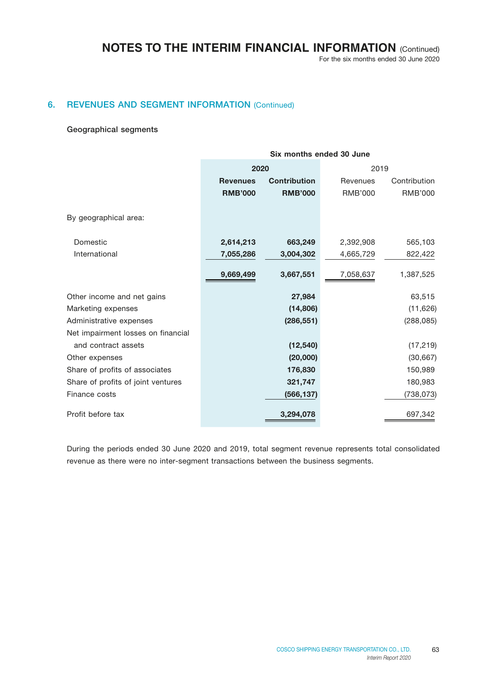For the six months ended 30 June 2020

### 6. REVENUES AND SEGMENT INFORMATION (Continued)

#### Geographical segments

|                                    | Six months ended 30 June |                     |                |              |
|------------------------------------|--------------------------|---------------------|----------------|--------------|
|                                    | 2020                     |                     | 2019           |              |
|                                    | <b>Revenues</b>          | <b>Contribution</b> | Revenues       | Contribution |
|                                    | <b>RMB'000</b>           | <b>RMB'000</b>      | <b>RMB'000</b> | RMB'000      |
| By geographical area:              |                          |                     |                |              |
| Domestic                           | 2,614,213                | 663,249             | 2,392,908      | 565,103      |
| International                      | 7,055,286                | 3,004,302           | 4,665,729      | 822,422      |
|                                    | 9,669,499                | 3,667,551           | 7,058,637      | 1,387,525    |
| Other income and net gains         |                          | 27,984              |                | 63,515       |
| Marketing expenses                 |                          | (14, 806)           |                | (11, 626)    |
| Administrative expenses            |                          | (286, 551)          |                | (288, 085)   |
| Net impairment losses on financial |                          |                     |                |              |
| and contract assets                |                          | (12, 540)           |                | (17, 219)    |
| Other expenses                     |                          | (20,000)            |                | (30, 667)    |
| Share of profits of associates     |                          | 176,830             |                | 150,989      |
| Share of profits of joint ventures |                          | 321,747             |                | 180,983      |
| Finance costs                      |                          | (566, 137)          |                | (738, 073)   |
| Profit before tax                  |                          | 3,294,078           |                | 697,342      |

During the periods ended 30 June 2020 and 2019, total segment revenue represents total consolidated revenue as there were no inter-segment transactions between the business segments.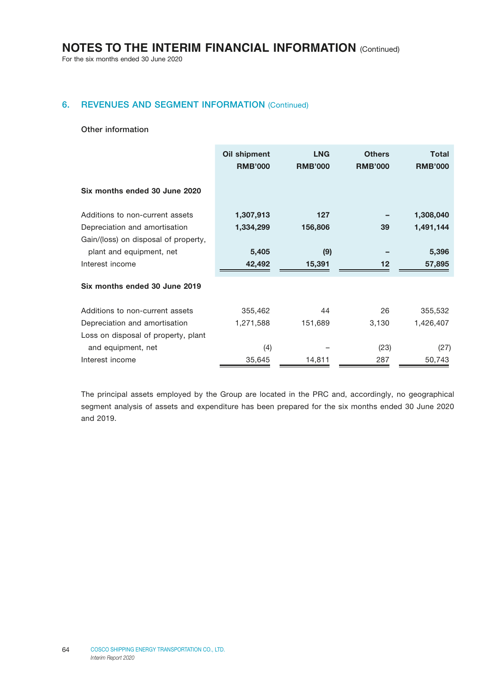For the six months ended 30 June 2020

### 6. REVENUES AND SEGMENT INFORMATION (Continued)

#### Other information

|                                      | Oil shipment<br><b>RMB'000</b> | <b>LNG</b><br><b>RMB'000</b> | <b>Others</b><br><b>RMB'000</b> | Total<br><b>RMB'000</b> |
|--------------------------------------|--------------------------------|------------------------------|---------------------------------|-------------------------|
| Six months ended 30 June 2020        |                                |                              |                                 |                         |
| Additions to non-current assets      | 1,307,913                      | 127                          |                                 | 1,308,040               |
| Depreciation and amortisation        | 1,334,299                      | 156,806                      | 39                              | 1,491,144               |
| Gain/(loss) on disposal of property, |                                |                              |                                 |                         |
| plant and equipment, net             | 5,405                          | (9)                          |                                 | 5,396                   |
| Interest income                      | 42,492                         | 15,391                       | $12 \,$                         | 57,895                  |
| Six months ended 30 June 2019        |                                |                              |                                 |                         |
| Additions to non-current assets      | 355,462                        | 44                           | 26                              | 355,532                 |
| Depreciation and amortisation        | 1,271,588                      | 151,689                      | 3,130                           | 1,426,407               |
| Loss on disposal of property, plant  |                                |                              |                                 |                         |
| and equipment, net                   | (4)                            |                              | (23)                            | (27)                    |
| Interest income                      | 35,645                         | 14,811                       | 287                             | 50,743                  |

The principal assets employed by the Group are located in the PRC and, accordingly, no geographical segment analysis of assets and expenditure has been prepared for the six months ended 30 June 2020 and 2019.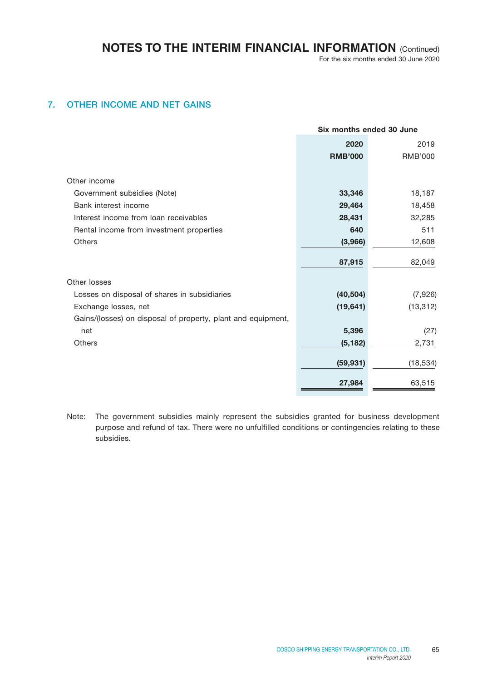### 7. OTHER INCOME AND NET GAINS

|                                                              | Six months ended 30 June |                |
|--------------------------------------------------------------|--------------------------|----------------|
|                                                              | 2020                     | 2019           |
|                                                              | <b>RMB'000</b>           | <b>RMB'000</b> |
|                                                              |                          |                |
| Other income                                                 |                          |                |
| Government subsidies (Note)                                  | 33,346                   | 18,187         |
| Bank interest income                                         | 29,464                   | 18,458         |
| Interest income from loan receivables                        | 28,431                   | 32,285         |
| Rental income from investment properties                     | 640                      | 511            |
| <b>Others</b>                                                | (3,966)                  | 12,608         |
|                                                              | 87,915                   | 82,049         |
| Other losses                                                 |                          |                |
| Losses on disposal of shares in subsidiaries                 | (40, 504)                | (7,926)        |
| Exchange losses, net                                         | (19, 641)                | (13, 312)      |
| Gains/(losses) on disposal of property, plant and equipment, |                          |                |
| net                                                          | 5,396                    | (27)           |
| <b>Others</b>                                                | (5, 182)                 | 2,731          |
|                                                              | (59, 931)                | (18, 534)      |
|                                                              | 27,984                   | 63,515         |

Note: The government subsidies mainly represent the subsidies granted for business development purpose and refund of tax. There were no unfulfilled conditions or contingencies relating to these subsidies.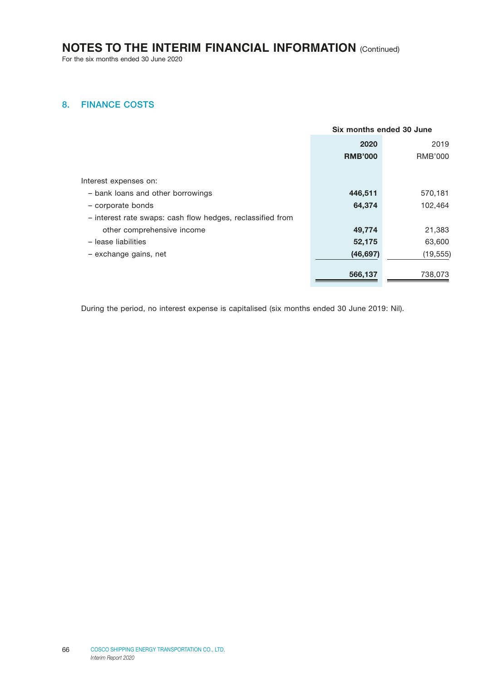For the six months ended 30 June 2020

### 8. FINANCE COSTS

|                                                            | Six months ended 30 June |                |
|------------------------------------------------------------|--------------------------|----------------|
|                                                            | 2020                     | 2019           |
|                                                            | <b>RMB'000</b>           | <b>RMB'000</b> |
|                                                            |                          |                |
| Interest expenses on:                                      |                          |                |
| - bank loans and other borrowings                          | 446,511                  | 570,181        |
| - corporate bonds                                          | 64,374                   | 102,464        |
| - interest rate swaps: cash flow hedges, reclassified from |                          |                |
| other comprehensive income                                 | 49,774                   | 21,383         |
| - lease liabilities                                        | 52,175                   | 63,600         |
| - exchange gains, net                                      | (46, 697)                | (19, 555)      |
|                                                            | 566,137                  | 738,073        |
|                                                            |                          |                |

During the period, no interest expense is capitalised (six months ended 30 June 2019: Nil).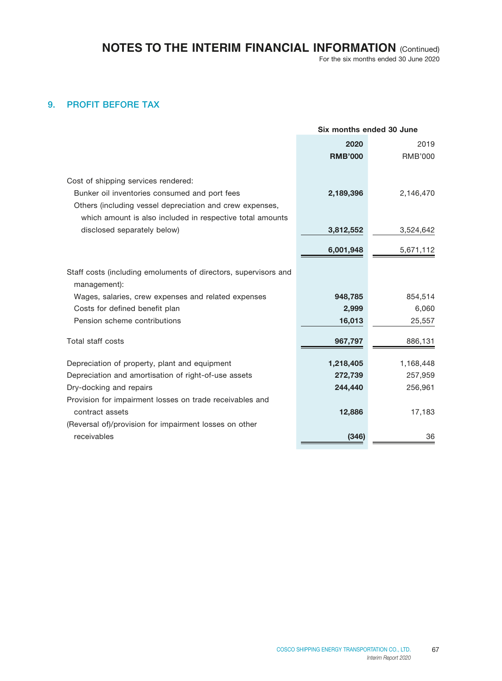For the six months ended 30 June 2020

### 9. PROFIT BEFORE TAX

|                                                                                 | Six months ended 30 June |                |
|---------------------------------------------------------------------------------|--------------------------|----------------|
|                                                                                 | 2020                     | 2019           |
|                                                                                 | <b>RMB'000</b>           | <b>RMB'000</b> |
|                                                                                 |                          |                |
| Cost of shipping services rendered:                                             |                          |                |
| Bunker oil inventories consumed and port fees                                   | 2,189,396                | 2,146,470      |
| Others (including vessel depreciation and crew expenses,                        |                          |                |
| which amount is also included in respective total amounts                       |                          |                |
| disclosed separately below)                                                     | 3,812,552                | 3,524,642      |
|                                                                                 | 6,001,948                | 5,671,112      |
|                                                                                 |                          |                |
| Staff costs (including emoluments of directors, supervisors and<br>management): |                          |                |
| Wages, salaries, crew expenses and related expenses                             | 948,785                  | 854,514        |
| Costs for defined benefit plan                                                  | 2,999                    | 6,060          |
| Pension scheme contributions                                                    | 16,013                   | 25,557         |
| Total staff costs                                                               |                          |                |
|                                                                                 | 967,797                  | 886,131        |
| Depreciation of property, plant and equipment                                   | 1,218,405                | 1,168,448      |
| Depreciation and amortisation of right-of-use assets                            | 272,739                  | 257,959        |
| Dry-docking and repairs                                                         | 244,440                  | 256,961        |
| Provision for impairment losses on trade receivables and                        |                          |                |
| contract assets                                                                 | 12,886                   | 17,183         |
| (Reversal of)/provision for impairment losses on other                          |                          |                |
| receivables                                                                     | (346)                    | 36             |
|                                                                                 |                          |                |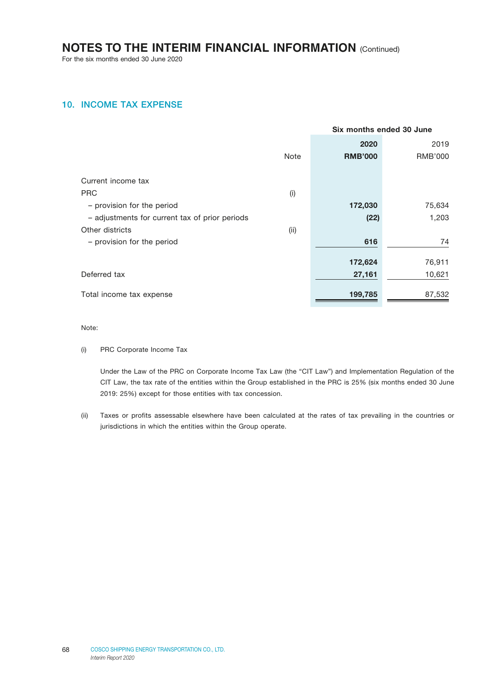For the six months ended 30 June 2020

### 10. INCOME TAX EXPENSE

|      | Six months ended 30 June |                   |
|------|--------------------------|-------------------|
|      | 2020                     | 2019              |
| Note | <b>RMB'000</b>           | <b>RMB'000</b>    |
|      |                          |                   |
|      |                          |                   |
| (i)  |                          |                   |
|      | 172,030                  | 75,634            |
|      | (22)                     | 1,203             |
| (ii) |                          |                   |
|      | 616                      | 74                |
|      |                          |                   |
|      |                          | 76,911            |
|      |                          | 10,621            |
|      | 199,785                  | 87,532            |
|      |                          | 172,624<br>27,161 |

Note:

(i) PRC Corporate Income Tax

Under the Law of the PRC on Corporate Income Tax Law (the "CIT Law") and Implementation Regulation of the CIT Law, the tax rate of the entities within the Group established in the PRC is 25% (six months ended 30 June 2019: 25%) except for those entities with tax concession.

(ii) Taxes or profits assessable elsewhere have been calculated at the rates of tax prevailing in the countries or jurisdictions in which the entities within the Group operate.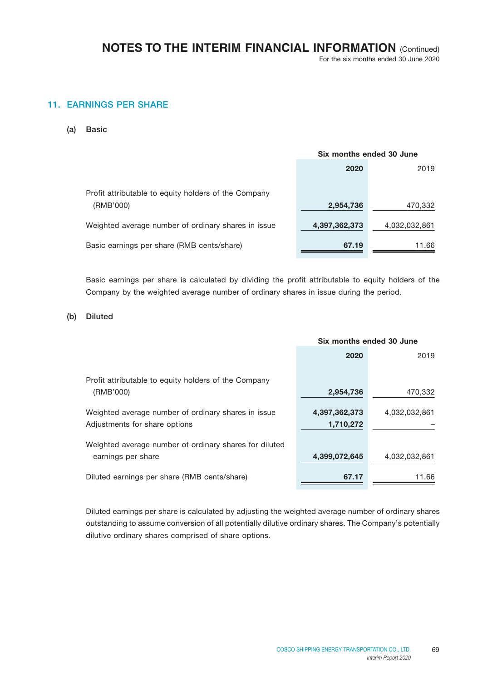For the six months ended 30 June 2020

### 11. EARNINGS PER SHARE

(a) Basic

|                                                                   | Six months ended 30 June |               |
|-------------------------------------------------------------------|--------------------------|---------------|
|                                                                   | 2020                     | 2019          |
| Profit attributable to equity holders of the Company<br>(RMB'000) | 2,954,736                | 470,332       |
| Weighted average number of ordinary shares in issue               | 4,397,362,373            | 4,032,032,861 |
| Basic earnings per share (RMB cents/share)                        | 67.19                    | 11.66         |

Basic earnings per share is calculated by dividing the profit attributable to equity holders of the Company by the weighted average number of ordinary shares in issue during the period.

### (b) Diluted

|                                                                                      | Six months ended 30 June   |               |
|--------------------------------------------------------------------------------------|----------------------------|---------------|
|                                                                                      | 2020                       | 2019          |
| Profit attributable to equity holders of the Company                                 |                            |               |
| (RMB'000)                                                                            | 2,954,736                  | 470,332       |
| Weighted average number of ordinary shares in issue<br>Adjustments for share options | 4,397,362,373<br>1,710,272 | 4,032,032,861 |
| Weighted average number of ordinary shares for diluted<br>earnings per share         | 4,399,072,645              | 4,032,032,861 |
| Diluted earnings per share (RMB cents/share)                                         | 67.17                      | 11.66         |

Diluted earnings per share is calculated by adjusting the weighted average number of ordinary shares outstanding to assume conversion of all potentially dilutive ordinary shares. The Company's potentially dilutive ordinary shares comprised of share options.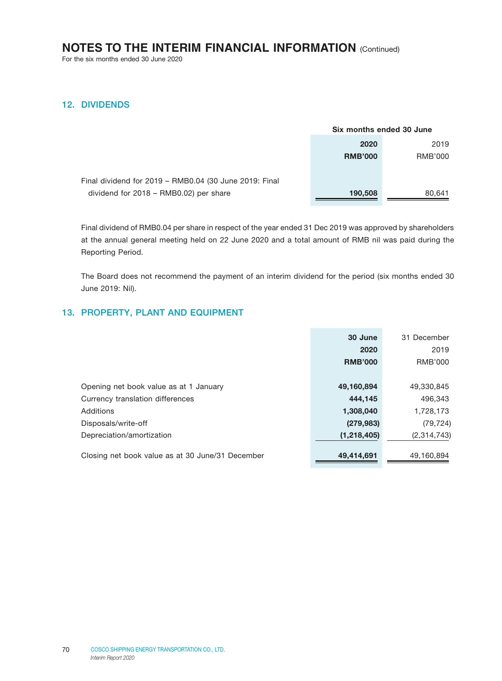For the six months ended 30 June 2020

### 12. DIVIDENDS

|                                                        | Six months ended 30 June |         |
|--------------------------------------------------------|--------------------------|---------|
|                                                        | 2020                     | 2019    |
|                                                        | <b>RMB'000</b>           | RMB'000 |
|                                                        |                          |         |
| Final dividend for 2019 - RMB0.04 (30 June 2019: Final |                          |         |
| dividend for 2018 - RMB0.02) per share                 | 190,508                  | 80,641  |

Final dividend of RMB0.04 per share in respect of the year ended 31 Dec 2019 was approved by shareholders at the annual general meeting held on 22 June 2020 and a total amount of RMB nil was paid during the Reporting Period.

The Board does not recommend the payment of an interim dividend for the period (six months ended 30 June 2019: Nil).

### 13. PROPERTY, PLANT AND EQUIPMENT

|                                                  | 30 June        | 31 December |
|--------------------------------------------------|----------------|-------------|
|                                                  | 2020           | 2019        |
|                                                  | <b>RMB'000</b> | RMB'000     |
|                                                  |                |             |
| Opening net book value as at 1 January           | 49,160,894     | 49,330,845  |
| Currency translation differences                 | 444,145        | 496,343     |
| Additions                                        | 1,308,040      | 1,728,173   |
| Disposals/write-off                              | (279, 983)     | (79, 724)   |
| Depreciation/amortization                        | (1, 218, 405)  | (2,314,743) |
|                                                  |                |             |
| Closing net book value as at 30 June/31 December | 49,414,691     | 49,160,894  |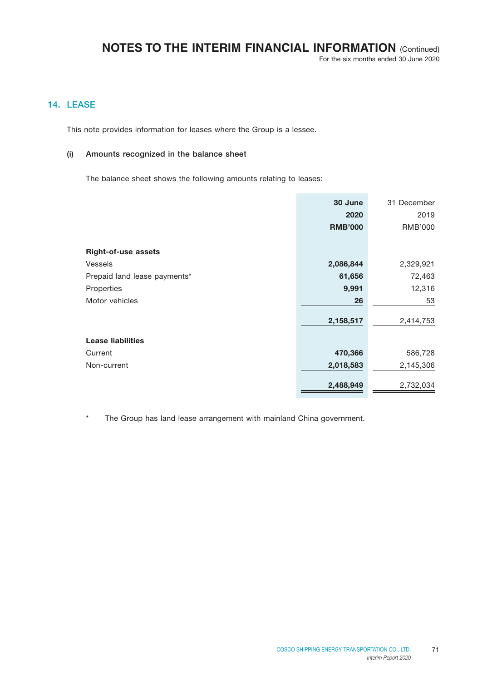For the six months ended 30 June 2020

### 14. LEASE

This note provides information for leases where the Group is a lessee.

#### (i) Amounts recognized in the balance sheet

The balance sheet shows the following amounts relating to leases:

|                              | 30 June        | 31 December |
|------------------------------|----------------|-------------|
|                              | 2020           | 2019        |
|                              | <b>RMB'000</b> | RMB'000     |
| <b>Right-of-use assets</b>   |                |             |
| <b>Vessels</b>               | 2,086,844      | 2,329,921   |
| Prepaid land lease payments* | 61,656         | 72,463      |
| Properties                   | 9,991          | 12,316      |
| Motor vehicles               | 26             | 53          |
|                              | 2,158,517      | 2,414,753   |
| <b>Lease liabilities</b>     |                |             |
| Current                      | 470,366        | 586,728     |
| Non-current                  | 2,018,583      | 2,145,306   |
|                              | 2,488,949      | 2,732,034   |

\* The Group has land lease arrangement with mainland China government.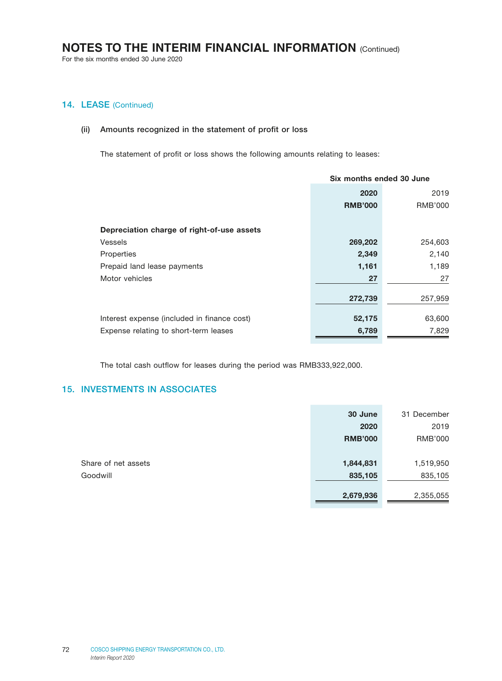For the six months ended 30 June 2020

## 14. LEASE (Continued)

#### (ii) Amounts recognized in the statement of profit or loss

The statement of profit or loss shows the following amounts relating to leases:

|                                             | Six months ended 30 June |         |  |
|---------------------------------------------|--------------------------|---------|--|
|                                             | 2019<br>2020             |         |  |
|                                             | <b>RMB'000</b>           | RMB'000 |  |
| Depreciation charge of right-of-use assets  |                          |         |  |
|                                             |                          |         |  |
| <b>Vessels</b>                              | 269,202                  | 254,603 |  |
| Properties                                  | 2,349                    | 2,140   |  |
| Prepaid land lease payments                 | 1,161                    | 1,189   |  |
| Motor vehicles                              | 27                       | 27      |  |
|                                             |                          |         |  |
|                                             | 272,739                  | 257,959 |  |
| Interest expense (included in finance cost) | 52,175                   | 63,600  |  |
| Expense relating to short-term leases       | 6,789                    | 7,829   |  |

The total cash outflow for leases during the period was RMB333,922,000.

### 15. INVESTMENTS IN ASSOCIATES

|                     | 30 June        | 31 December |
|---------------------|----------------|-------------|
|                     | 2020           | 2019        |
|                     | <b>RMB'000</b> | RMB'000     |
|                     |                |             |
| Share of net assets | 1,844,831      | 1,519,950   |
| Goodwill            | 835,105        | 835,105     |
|                     |                |             |
|                     | 2,679,936      | 2,355,055   |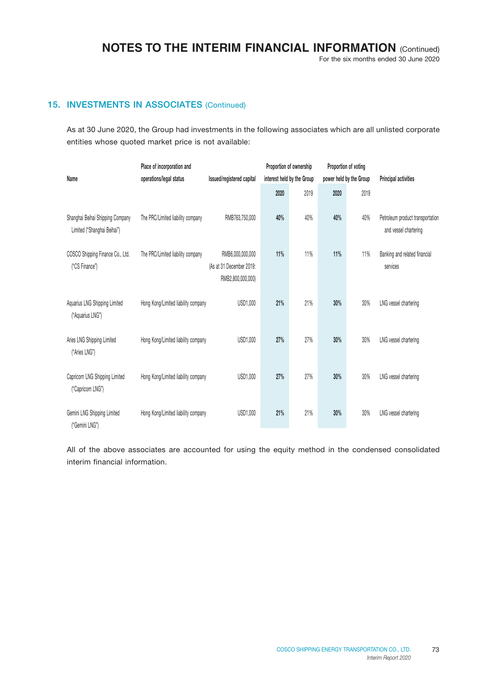For the six months ended 30 June 2020

## 15. INVESTMENTS IN ASSOCIATES (Continued)

As at 30 June 2020, the Group had investments in the following associates which are all unlisted corporate entities whose quoted market price is not available:

| Name                                                            | Place of incorporation and<br>operations/legal status | Issued/registered capital                                         |      | Proportion of ownership<br>interest held by the Group |      | Proportion of voting<br>power held by the Group | Principal activities                                      |
|-----------------------------------------------------------------|-------------------------------------------------------|-------------------------------------------------------------------|------|-------------------------------------------------------|------|-------------------------------------------------|-----------------------------------------------------------|
|                                                                 |                                                       |                                                                   | 2020 | 2019                                                  | 2020 | 2019                                            |                                                           |
| Shanghai Beihai Shipping Company<br>Limited ("Shanghai Beihai") | The PRC/Limited liability company                     | RMB763,750,000                                                    | 40%  | 40%                                                   | 40%  | 40%                                             | Petroleum product transportation<br>and vessel chartering |
| COSCO Shipping Finance Co., Ltd.<br>("CS Finance")              | The PRC/Limited liability company                     | RMB6,000,000,000<br>(As at 31 December 2019:<br>RMB2,800,000,000) | 11%  | 11%                                                   | 11%  | 11%                                             | Banking and related financial<br>services                 |
| Aquarius LNG Shipping Limited<br>("Aquarius LNG")               | Hong Kong/Limited liability company                   | USD1,000                                                          | 21%  | 21%                                                   | 30%  | 30%                                             | LNG vessel chartering                                     |
| Aries LNG Shipping Limited<br>("Aries LNG")                     | Hong Kong/Limited liability company                   | USD1,000                                                          | 27%  | 27%                                                   | 30%  | 30%                                             | LNG vessel chartering                                     |
| Capricorn LNG Shipping Limited<br>("Capricorn LNG")             | Hong Kong/Limited liability company                   | USD1,000                                                          | 27%  | 27%                                                   | 30%  | 30%                                             | LNG vessel chartering                                     |
| Gemini LNG Shipping Limited<br>("Gemini LNG")                   | Hong Kong/Limited liability company                   | USD1,000                                                          | 21%  | 21%                                                   | 30%  | 30%                                             | LNG vessel chartering                                     |

All of the above associates are accounted for using the equity method in the condensed consolidated interim financial information.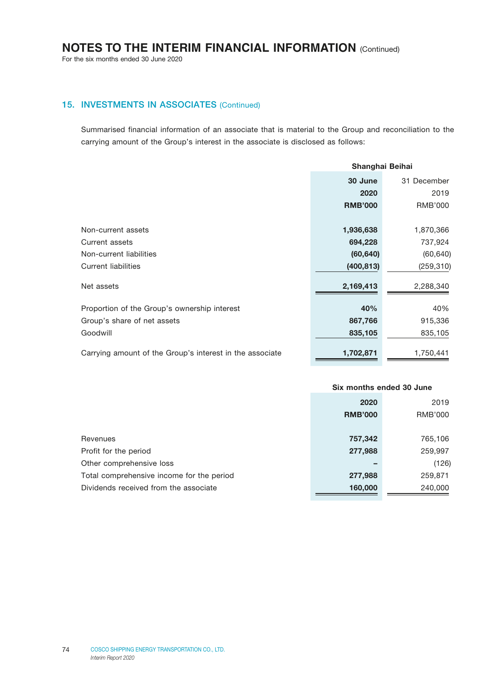For the six months ended 30 June 2020

## 15. INVESTMENTS IN ASSOCIATES (Continued)

Summarised financial information of an associate that is material to the Group and reconciliation to the carrying amount of the Group's interest in the associate is disclosed as follows:

|                                                          | Shanghai Beihai        |                |
|----------------------------------------------------------|------------------------|----------------|
|                                                          | 30 June<br>31 December |                |
|                                                          | 2020                   | 2019           |
|                                                          | <b>RMB'000</b>         | <b>RMB'000</b> |
|                                                          |                        |                |
| Non-current assets                                       | 1,936,638              | 1,870,366      |
| Current assets                                           | 694,228                | 737,924        |
| Non-current liabilities                                  | (60, 640)              | (60, 640)      |
| <b>Current liabilities</b>                               | (400, 813)             | (259, 310)     |
| Net assets                                               | 2,169,413              | 2,288,340      |
| Proportion of the Group's ownership interest             | 40%                    | 40%            |
| Group's share of net assets                              | 867,766                | 915,336        |
| Goodwill                                                 | 835,105                | 835,105        |
| Carrying amount of the Group's interest in the associate | 1,702,871              | 1,750,441      |

|                                           | Six months ended 30 June |         |
|-------------------------------------------|--------------------------|---------|
|                                           | 2020                     |         |
|                                           | <b>RMB'000</b>           | RMB'000 |
|                                           |                          |         |
| Revenues                                  | 757,342                  | 765,106 |
| Profit for the period                     | 277,988                  | 259,997 |
| Other comprehensive loss                  |                          | (126)   |
| Total comprehensive income for the period | 277,988                  | 259,871 |
| Dividends received from the associate     | 160,000                  | 240,000 |
|                                           |                          |         |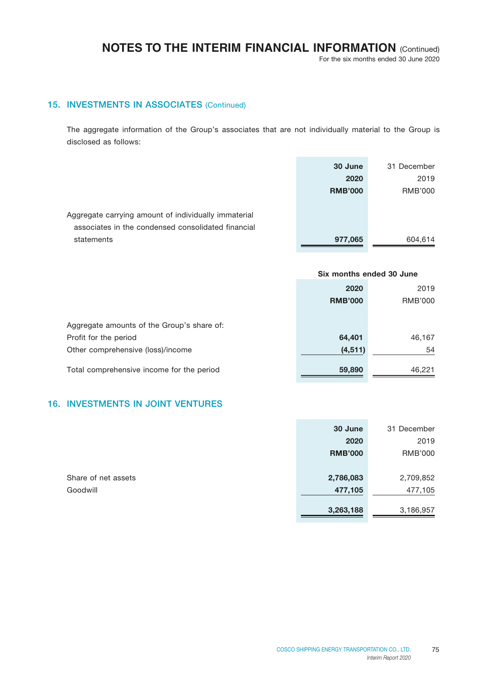For the six months ended 30 June 2020

## 15. INVESTMENTS IN ASSOCIATES (Continued)

The aggregate information of the Group's associates that are not individually material to the Group is disclosed as follows:

|                                                      | 30 June        | 31 December |
|------------------------------------------------------|----------------|-------------|
|                                                      | 2020           | 2019        |
|                                                      | <b>RMB'000</b> | RMB'000     |
|                                                      |                |             |
| Aggregate carrying amount of individually immaterial |                |             |
| associates in the condensed consolidated financial   |                |             |
| statements                                           | 977,065        | 604.614     |

|                                            | Six months ended 30 June |                |
|--------------------------------------------|--------------------------|----------------|
|                                            | 2020                     | 2019           |
|                                            | <b>RMB'000</b>           | <b>RMB'000</b> |
|                                            |                          |                |
| Aggregate amounts of the Group's share of: |                          |                |
| Profit for the period                      | 64,401                   | 46,167         |
| Other comprehensive (loss)/income          | (4, 511)                 | 54             |
| Total comprehensive income for the period  | 59,890                   | 46.221         |

## 16. INVESTMENTS IN JOINT VENTURES

|                     | 30 June        | 31 December    |
|---------------------|----------------|----------------|
|                     | 2020           | 2019           |
|                     | <b>RMB'000</b> | <b>RMB'000</b> |
|                     |                |                |
| Share of net assets | 2,786,083      | 2,709,852      |
| Goodwill            | 477,105        | 477,105        |
|                     |                |                |
|                     | 3,263,188      | 3,186,957      |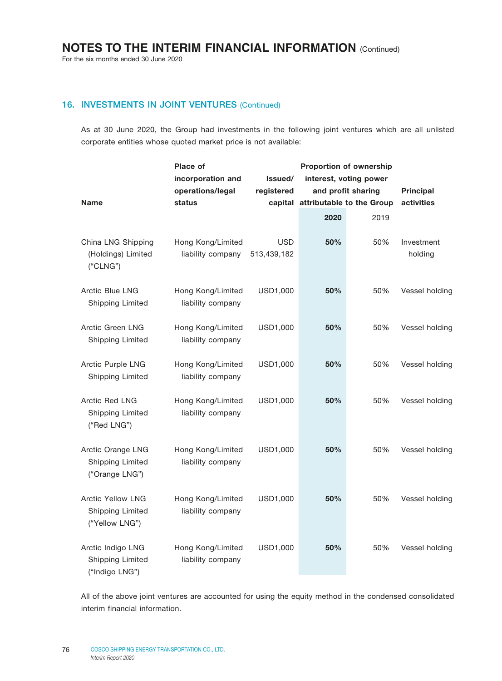For the six months ended 30 June 2020

## 16. INVESTMENTS IN JOINT VENTURES (Continued)

As at 30 June 2020, the Group had investments in the following joint ventures which are all unlisted corporate entities whose quoted market price is not available:

|                                                                | <b>Place of</b>                        |                           | Proportion of ownership   |                        |                       |
|----------------------------------------------------------------|----------------------------------------|---------------------------|---------------------------|------------------------|-----------------------|
|                                                                | incorporation and                      | Issued/                   |                           | interest, voting power |                       |
|                                                                | operations/legal                       | registered                | and profit sharing        |                        | <b>Principal</b>      |
| <b>Name</b>                                                    | status                                 | capital                   | attributable to the Group |                        | activities            |
|                                                                |                                        |                           | 2020                      | 2019                   |                       |
| China LNG Shipping<br>(Holdings) Limited<br>("CLNG")           | Hong Kong/Limited<br>liability company | <b>USD</b><br>513,439,182 | 50%                       | 50%                    | Investment<br>holding |
| Arctic Blue LNG<br><b>Shipping Limited</b>                     | Hong Kong/Limited<br>liability company | USD1,000                  | 50%                       | 50%                    | Vessel holding        |
| Arctic Green LNG<br><b>Shipping Limited</b>                    | Hong Kong/Limited<br>liability company | USD1,000                  | 50%                       | 50%                    | Vessel holding        |
| Arctic Purple LNG<br>Shipping Limited                          | Hong Kong/Limited<br>liability company | USD1,000                  | 50%                       | 50%                    | Vessel holding        |
| Arctic Red LNG<br>Shipping Limited<br>("Red LNG")              | Hong Kong/Limited<br>liability company | USD1,000                  | 50%                       | 50%                    | Vessel holding        |
| Arctic Orange LNG<br><b>Shipping Limited</b><br>("Orange LNG") | Hong Kong/Limited<br>liability company | USD1,000                  | 50%                       | 50%                    | Vessel holding        |
| <b>Arctic Yellow LNG</b><br>Shipping Limited<br>("Yellow LNG") | Hong Kong/Limited<br>liability company | USD1,000                  | 50%                       | 50%                    | Vessel holding        |
| Arctic Indigo LNG<br>Shipping Limited<br>("Indigo LNG")        | Hong Kong/Limited<br>liability company | USD1,000                  | 50%                       | 50%                    | Vessel holding        |

All of the above joint ventures are accounted for using the equity method in the condensed consolidated interim financial information.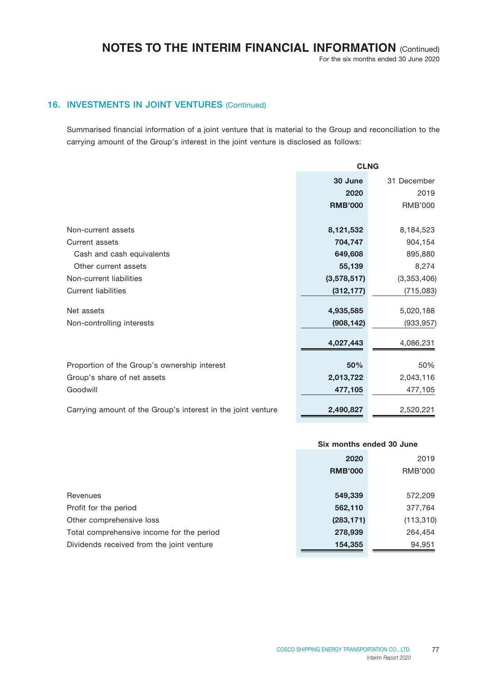For the six months ended 30 June 2020

## 16. INVESTMENTS IN JOINT VENTURES (Continued)

Summarised financial information of a joint venture that is material to the Group and reconciliation to the carrying amount of the Group's interest in the joint venture is disclosed as follows:

|                                                              | <b>CLNG</b>            |                |  |
|--------------------------------------------------------------|------------------------|----------------|--|
|                                                              | 30 June<br>31 December |                |  |
|                                                              | 2020                   | 2019           |  |
|                                                              | <b>RMB'000</b>         | <b>RMB'000</b> |  |
|                                                              |                        |                |  |
| Non-current assets                                           | 8,121,532              | 8,184,523      |  |
| Current assets                                               | 704,747                | 904,154        |  |
| Cash and cash equivalents                                    | 649,608                | 895,880        |  |
| Other current assets                                         | 55,139                 | 8,274          |  |
| Non-current liabilities                                      | (3,578,517)            | (3,353,406)    |  |
| <b>Current liabilities</b>                                   | (312, 177)             | (715,083)      |  |
|                                                              |                        |                |  |
| Net assets                                                   | 4,935,585              | 5,020,188      |  |
| Non-controlling interests                                    | (908, 142)             | (933, 957)     |  |
|                                                              | 4,027,443              | 4,086,231      |  |
|                                                              |                        |                |  |
| Proportion of the Group's ownership interest                 | 50%                    | 50%            |  |
| Group's share of net assets                                  | 2,013,722              | 2,043,116      |  |
| Goodwill                                                     | 477,105                | 477,105        |  |
|                                                              |                        |                |  |
| Carrying amount of the Group's interest in the joint venture | 2,490,827              | 2,520,221      |  |

#### Six months ended 30 June

|                                           | 2020<br><b>RMB'000</b> | 2019<br><b>RMB'000</b> |
|-------------------------------------------|------------------------|------------------------|
| Revenues                                  | 549,339                | 572,209                |
| Profit for the period                     | 562,110                | 377,764                |
| Other comprehensive loss                  | (283, 171)             | (113, 310)             |
| Total comprehensive income for the period | 278,939                | 264,454                |
| Dividends received from the joint venture | 154,355                | 94,951                 |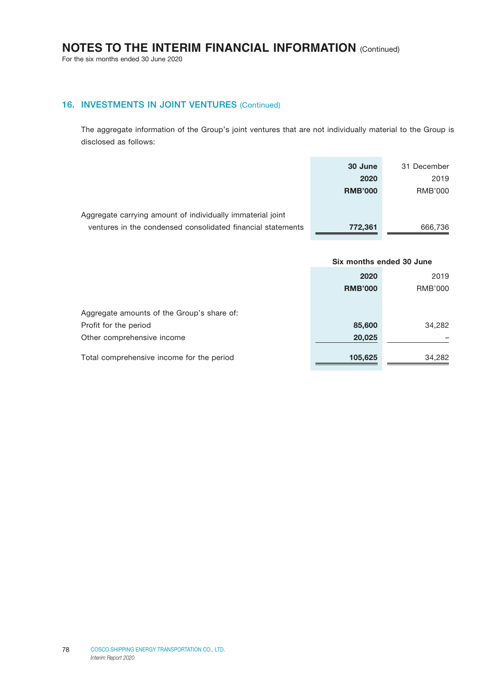For the six months ended 30 June 2020

## 16. INVESTMENTS IN JOINT VENTURES (Continued)

The aggregate information of the Group's joint ventures that are not individually material to the Group is disclosed as follows:

|                                                             | 30 June        | 31 December |
|-------------------------------------------------------------|----------------|-------------|
|                                                             | 2020           | 2019        |
|                                                             | <b>RMB'000</b> | RMB'000     |
|                                                             |                |             |
| Aggregate carrying amount of individually immaterial joint  |                |             |
| ventures in the condensed consolidated financial statements | 772,361        | 666,736     |

|                                            | Six months ended 30 June |                |
|--------------------------------------------|--------------------------|----------------|
|                                            | 2020                     | 2019           |
|                                            | <b>RMB'000</b>           | <b>RMB'000</b> |
|                                            |                          |                |
| Aggregate amounts of the Group's share of: |                          |                |
| Profit for the period                      | 85,600                   | 34,282         |
| Other comprehensive income                 | 20,025                   |                |
| Total comprehensive income for the period  | 105,625                  | 34,282         |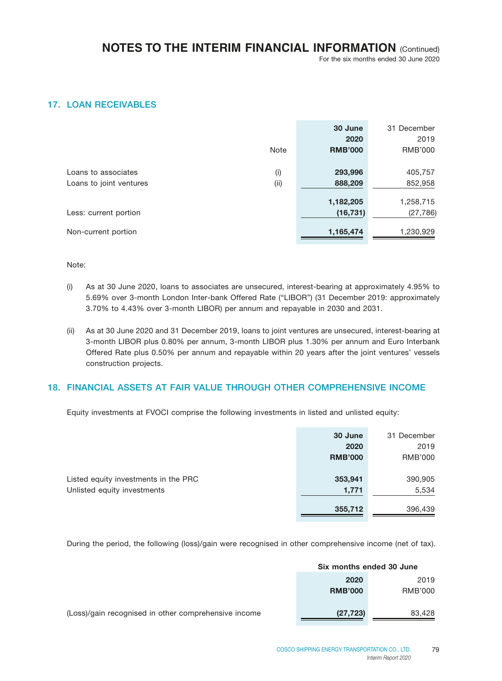## 17. LOAN RECEIVABLES

|                         |             | 30 June        | 31 December    |
|-------------------------|-------------|----------------|----------------|
|                         |             | 2020           | 2019           |
|                         | <b>Note</b> | <b>RMB'000</b> | <b>RMB'000</b> |
|                         |             |                |                |
| Loans to associates     | (i)         | 293,996        | 405,757        |
| Loans to joint ventures | (i)         | 888,209        | 852,958        |
|                         |             |                |                |
|                         |             | 1,182,205      | 1,258,715      |
| Less: current portion   |             | (16, 731)      | (27, 786)      |
|                         |             |                |                |
| Non-current portion     |             | 1,165,474      | 1,230,929      |

Note:

- (i) As at 30 June 2020, loans to associates are unsecured, interest-bearing at approximately 4.95% to 5.69% over 3-month London Inter-bank Offered Rate ("LIBOR") (31 December 2019: approximately 3.70% to 4.43% over 3-month LIBOR) per annum and repayable in 2030 and 2031.
- (ii) As at 30 June 2020 and 31 December 2019, loans to joint ventures are unsecured, interest-bearing at 3-month LIBOR plus 0.80% per annum, 3-month LIBOR plus 1.30% per annum and Euro Interbank Offered Rate plus 0.50% per annum and repayable within 20 years after the joint ventures' vessels construction projects.

## 18. FINANCIAL ASSETS AT FAIR VALUE THROUGH OTHER COMPREHENSIVE INCOME

Equity investments at FVOCI comprise the following investments in listed and unlisted equity:

|                                      | 30 June        | 31 December |
|--------------------------------------|----------------|-------------|
|                                      | 2020           | 2019        |
|                                      | <b>RMB'000</b> | RMB'000     |
|                                      |                |             |
| Listed equity investments in the PRC | 353,941        | 390,905     |
| Unlisted equity investments          | 1,771          | 5,534       |
|                                      |                |             |
|                                      | 355,712        | 396,439     |

During the period, the following (loss)/gain were recognised in other comprehensive income (net of tax).

| Six months ended 30 June |         |  |
|--------------------------|---------|--|
| 2020                     | 2019    |  |
| <b>RMB'000</b>           | RMB'000 |  |

(Loss)/gain recognised in other comprehensive income (27,723) 83,428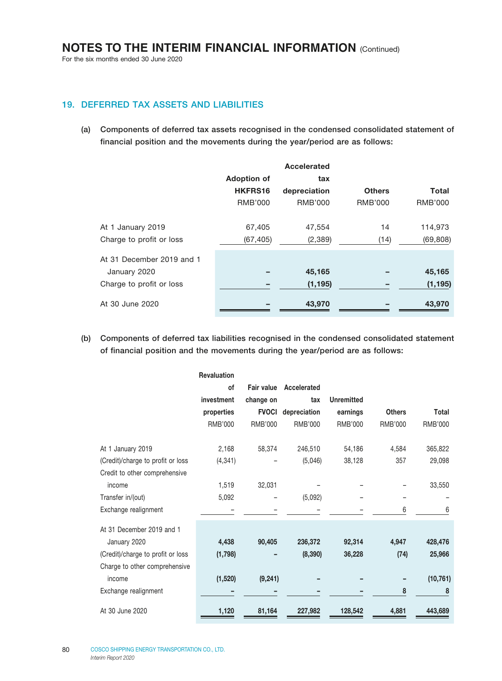## 19. DEFERRED TAX ASSETS AND LIABILITIES

(a) Components of deferred tax assets recognised in the condensed consolidated statement of financial position and the movements during the year/period are as follows:

|                           |                    | Accelerated    |                |                |
|---------------------------|--------------------|----------------|----------------|----------------|
|                           | <b>Adoption of</b> | tax            |                |                |
|                           | HKFRS16            | depreciation   | <b>Others</b>  | <b>Total</b>   |
|                           | <b>RMB'000</b>     | <b>RMB'000</b> | <b>RMB'000</b> | <b>RMB'000</b> |
| At 1 January 2019         | 67,405             | 47,554         | 14             | 114,973        |
| Charge to profit or loss  | (67, 405)          | (2, 389)       | (14)           | (69, 808)      |
| At 31 December 2019 and 1 |                    |                |                |                |
| January 2020              |                    | 45,165         |                | 45,165         |
| Charge to profit or loss  |                    | (1, 195)       |                | (1, 195)       |
| At 30 June 2020           |                    | 43,970         |                | 43,970         |

(b) Components of deferred tax liabilities recognised in the condensed consolidated statement of financial position and the movements during the year/period are as follows:

|                                   | <b>Revaluation</b> |                   |                |                   |               |           |
|-----------------------------------|--------------------|-------------------|----------------|-------------------|---------------|-----------|
|                                   | οf                 | <b>Fair value</b> | Accelerated    |                   |               |           |
|                                   | investment         | change on         | tax            | <b>Unremitted</b> |               |           |
|                                   | properties         | <b>FVOCI</b>      | depreciation   | earnings          | <b>Others</b> | Total     |
|                                   | RMB'000            | RMB'000           | <b>RMB'000</b> | RMB'000           | RMB'000       | RMB'000   |
| At 1 January 2019                 | 2,168              | 58,374            | 246,510        | 54,186            | 4,584         | 365,822   |
| (Credit)/charge to profit or loss | (4, 341)           |                   | (5,046)        | 38,128            | 357           | 29,098    |
| Credit to other comprehensive     |                    |                   |                |                   |               |           |
| income                            | 1,519              | 32,031            |                |                   |               | 33,550    |
| Transfer in/(out)                 | 5,092              |                   | (5,092)        |                   |               |           |
| Exchange realignment              |                    |                   |                |                   | 6             | 6         |
| At 31 December 2019 and 1         |                    |                   |                |                   |               |           |
| January 2020                      | 4,438              | 90,405            | 236,372        | 92,314            | 4,947         | 428,476   |
| (Credit)/charge to profit or loss | (1,798)            |                   | (8, 390)       | 36,228            | (74)          | 25,966    |
| Charge to other comprehensive     |                    |                   |                |                   |               |           |
| income                            | (1,520)            | (9, 241)          |                |                   |               | (10, 761) |
| Exchange realignment              |                    |                   |                |                   | 8             | 8         |
| At 30 June 2020                   | 1,120              | 81,164            | 227,982        | 128,542           | 4,881         | 443,689   |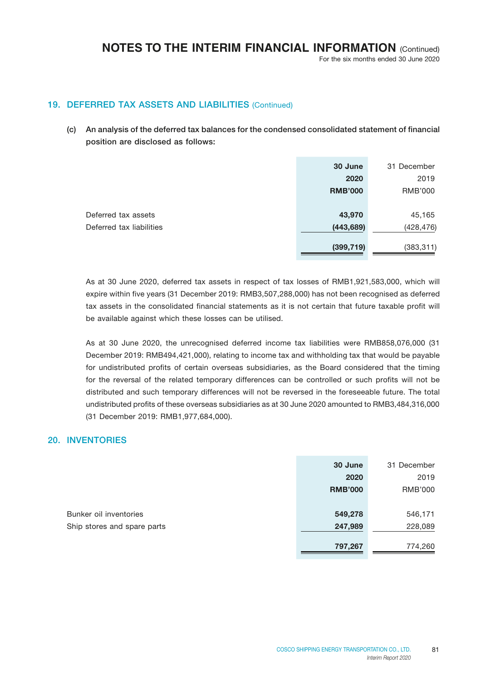## 19. DEFERRED TAX ASSETS AND LIABILITIES (Continued)

(c) An analysis of the deferred tax balances for the condensed consolidated statement of financial position are disclosed as follows:

|                          | 30 June        | 31 December    |
|--------------------------|----------------|----------------|
|                          | 2020           | 2019           |
|                          | <b>RMB'000</b> | <b>RMB'000</b> |
|                          |                |                |
| Deferred tax assets      | 43,970         | 45,165         |
| Deferred tax liabilities | (443, 689)     | (428, 476)     |
|                          |                |                |
|                          | (399, 719)     | (383, 311)     |

As at 30 June 2020, deferred tax assets in respect of tax losses of RMB1,921,583,000, which will expire within five years (31 December 2019: RMB3,507,288,000) has not been recognised as deferred tax assets in the consolidated financial statements as it is not certain that future taxable profit will be available against which these losses can be utilised.

As at 30 June 2020, the unrecognised deferred income tax liabilities were RMB858,076,000 (31 December 2019: RMB494,421,000), relating to income tax and withholding tax that would be payable for undistributed profits of certain overseas subsidiaries, as the Board considered that the timing for the reversal of the related temporary differences can be controlled or such profits will not be distributed and such temporary differences will not be reversed in the foreseeable future. The total undistributed profits of these overseas subsidiaries as at 30 June 2020 amounted to RMB3,484,316,000 (31 December 2019: RMB1,977,684,000).

## 20. INVENTORIES

|                             | 30 June        | 31 December    |
|-----------------------------|----------------|----------------|
|                             | 2020           | 2019           |
|                             | <b>RMB'000</b> | <b>RMB'000</b> |
|                             |                |                |
| Bunker oil inventories      | 549,278        | 546,171        |
| Ship stores and spare parts | 247,989        | 228,089        |
|                             |                |                |
|                             | 797,267        | 774,260        |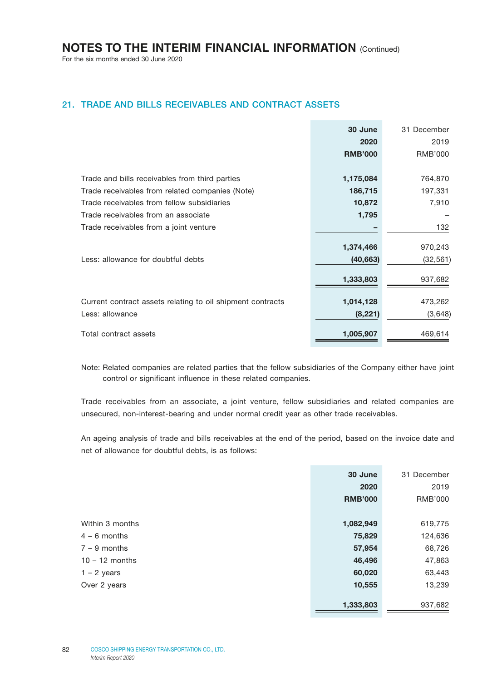For the six months ended 30 June 2020

## 21. TRADE AND BILLS RECEIVABLES AND CONTRACT ASSETS

|                                                            | 30 June        | 31 December |
|------------------------------------------------------------|----------------|-------------|
|                                                            | 2020           | 2019        |
|                                                            | <b>RMB'000</b> | RMB'000     |
|                                                            |                |             |
| Trade and bills receivables from third parties             | 1,175,084      | 764,870     |
| Trade receivables from related companies (Note)            | 186,715        | 197,331     |
| Trade receivables from fellow subsidiaries                 | 10,872         | 7,910       |
| Trade receivables from an associate                        | 1,795          |             |
| Trade receivables from a joint venture                     |                | 132         |
|                                                            |                |             |
|                                                            | 1,374,466      | 970,243     |
| Less: allowance for doubtful debts                         | (40, 663)      | (32, 561)   |
|                                                            | 1,333,803      | 937,682     |
|                                                            |                |             |
| Current contract assets relating to oil shipment contracts | 1,014,128      | 473,262     |
| Less: allowance                                            | (8,221)        | (3,648)     |
| Total contract assets                                      | 1,005,907      | 469,614     |

Note: Related companies are related parties that the fellow subsidiaries of the Company either have joint control or significant influence in these related companies.

Trade receivables from an associate, a joint venture, fellow subsidiaries and related companies are unsecured, non-interest-bearing and under normal credit year as other trade receivables.

An ageing analysis of trade and bills receivables at the end of the period, based on the invoice date and net of allowance for doubtful debts, is as follows:

|                  | 30 June        | 31 December |
|------------------|----------------|-------------|
|                  | 2020           | 2019        |
|                  | <b>RMB'000</b> | RMB'000     |
|                  |                |             |
| Within 3 months  | 1,082,949      | 619,775     |
| $4 - 6$ months   | 75,829         | 124,636     |
| $7 - 9$ months   | 57,954         | 68,726      |
| $10 - 12$ months | 46,496         | 47,863      |
| $1 - 2$ years    | 60,020         | 63,443      |
| Over 2 years     | 10,555         | 13,239      |
|                  |                |             |
|                  | 1,333,803      | 937,682     |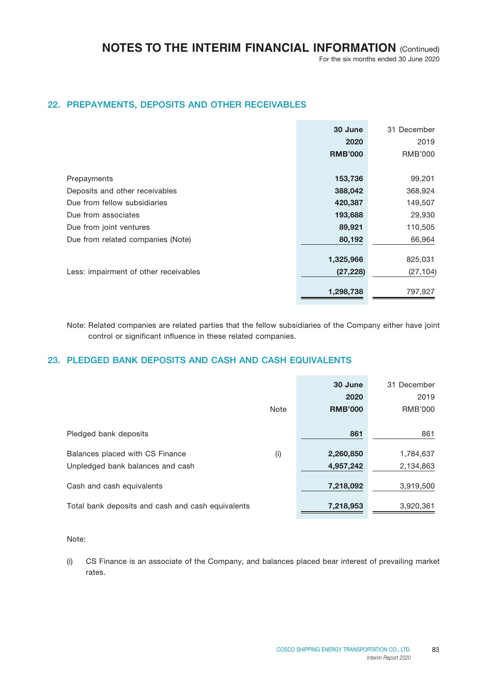## 22. PREPAYMENTS, DEPOSITS AND OTHER RECEIVABLES

|                                       | 30 June        | 31 December |
|---------------------------------------|----------------|-------------|
|                                       | 2020           | 2019        |
|                                       | <b>RMB'000</b> | RMB'000     |
|                                       |                |             |
| Prepayments                           | 153,736        | 99,201      |
| Deposits and other receivables        | 388,042        | 368,924     |
| Due from fellow subsidiaries          | 420,387        | 149,507     |
| Due from associates                   | 193,688        | 29,930      |
| Due from joint ventures               | 89,921         | 110,505     |
| Due from related companies (Note)     | 80,192         | 66,964      |
|                                       |                |             |
|                                       | 1,325,966      | 825,031     |
| Less: impairment of other receivables | (27, 228)      | (27, 104)   |
|                                       | 1,298,738      | 797,927     |

Note: Related companies are related parties that the fellow subsidiaries of the Company either have joint control or significant influence in these related companies.

## 23. PLEDGED BANK DEPOSITS AND CASH AND CASH EQUIVALENTS

|                                                   |             | 30 June        | 31 December |
|---------------------------------------------------|-------------|----------------|-------------|
|                                                   |             | 2020           | 2019        |
|                                                   | <b>Note</b> | <b>RMB'000</b> | RMB'000     |
|                                                   |             |                |             |
| Pledged bank deposits                             |             | 861            | 861         |
|                                                   |             |                |             |
| Balances placed with CS Finance                   | (i)         | 2,260,850      | 1,784,637   |
| Unpledged bank balances and cash                  |             | 4,957,242      | 2,134,863   |
|                                                   |             |                |             |
| Cash and cash equivalents                         |             | 7,218,092      | 3,919,500   |
|                                                   |             |                |             |
| Total bank deposits and cash and cash equivalents |             | 7,218,953      | 3,920,361   |
|                                                   |             |                |             |

#### Note:

(i) CS Finance is an associate of the Company, and balances placed bear interest of prevailing market rates.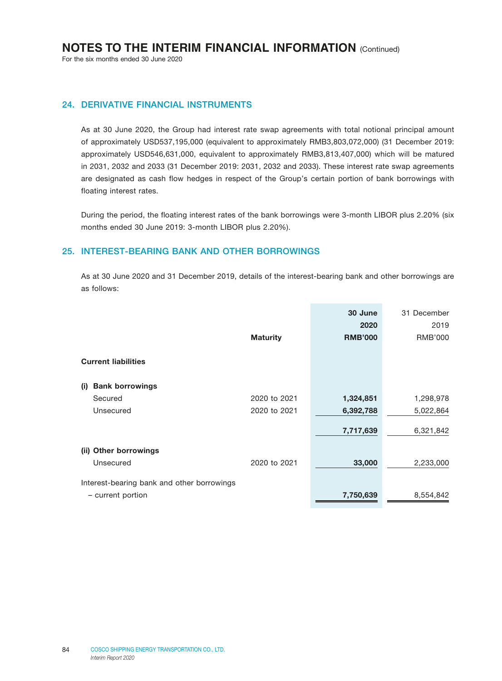### 24. DERIVATIVE FINANCIAL INSTRUMENTS

As at 30 June 2020, the Group had interest rate swap agreements with total notional principal amount of approximately USD537,195,000 (equivalent to approximately RMB3,803,072,000) (31 December 2019: approximately USD546,631,000, equivalent to approximately RMB3,813,407,000) which will be matured in 2031, 2032 and 2033 (31 December 2019: 2031, 2032 and 2033). These interest rate swap agreements are designated as cash flow hedges in respect of the Group's certain portion of bank borrowings with floating interest rates.

During the period, the floating interest rates of the bank borrowings were 3-month LIBOR plus 2.20% (six months ended 30 June 2019: 3-month LIBOR plus 2.20%).

#### 25. INTEREST-BEARING BANK AND OTHER BORROWINGS

As at 30 June 2020 and 31 December 2019, details of the interest-bearing bank and other borrowings are as follows:

|                                            | <b>Maturity</b> | 30 June<br>2020<br><b>RMB'000</b> | 31 December<br>2019<br><b>RMB'000</b> |
|--------------------------------------------|-----------------|-----------------------------------|---------------------------------------|
|                                            |                 |                                   |                                       |
| <b>Current liabilities</b>                 |                 |                                   |                                       |
| <b>Bank borrowings</b><br>(i)              |                 |                                   |                                       |
| Secured                                    | 2020 to 2021    | 1,324,851                         | 1,298,978                             |
| Unsecured                                  | 2020 to 2021    | 6,392,788                         | 5,022,864                             |
|                                            |                 | 7,717,639                         | 6,321,842                             |
| <b>Other borrowings</b><br>(ii)            |                 |                                   |                                       |
| Unsecured                                  | 2020 to 2021    | 33,000                            | 2,233,000                             |
| Interest-bearing bank and other borrowings |                 |                                   |                                       |
| - current portion                          |                 | 7,750,639                         | 8,554,842                             |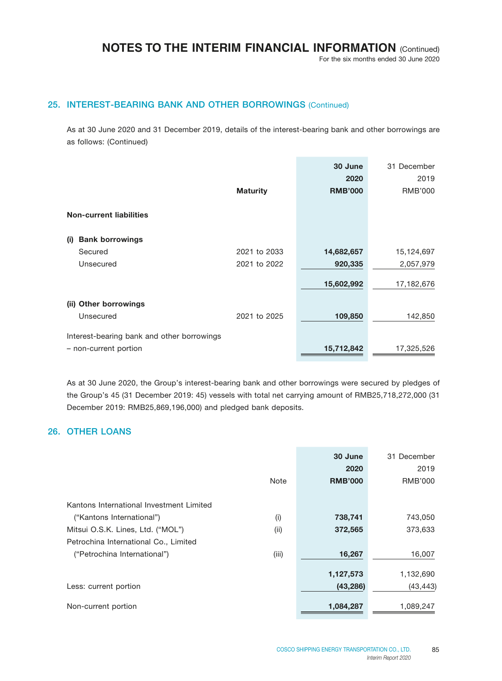For the six months ended 30 June 2020

## 25. INTEREST-BEARING BANK AND OTHER BORROWINGS (Continued)

As at 30 June 2020 and 31 December 2019, details of the interest-bearing bank and other borrowings are as follows: (Continued)

|                                            | <b>Maturity</b> | 30 June<br>2020<br><b>RMB'000</b> | 31 December<br>2019<br><b>RMB'000</b> |
|--------------------------------------------|-----------------|-----------------------------------|---------------------------------------|
| <b>Non-current liabilities</b>             |                 |                                   |                                       |
|                                            |                 |                                   |                                       |
| <b>Bank borrowings</b><br>(i)<br>Secured   | 2021 to 2033    | 14,682,657                        | 15,124,697                            |
| Unsecured                                  | 2021 to 2022    | 920,335                           | 2,057,979                             |
|                                            |                 | 15,602,992                        | 17,182,676                            |
| (ii) Other borrowings                      |                 |                                   |                                       |
| Unsecured                                  | 2021 to 2025    | 109,850                           | 142,850                               |
| Interest-bearing bank and other borrowings |                 |                                   |                                       |
| - non-current portion                      |                 | 15,712,842                        | 17,325,526                            |

As at 30 June 2020, the Group's interest-bearing bank and other borrowings were secured by pledges of the Group's 45 (31 December 2019: 45) vessels with total net carrying amount of RMB25,718,272,000 (31 December 2019: RMB25,869,196,000) and pledged bank deposits.

## 26. OTHER LOANS

|                                          |             | 30 June        | 31 December |
|------------------------------------------|-------------|----------------|-------------|
|                                          |             | 2020           | 2019        |
|                                          | <b>Note</b> | <b>RMB'000</b> | RMB'000     |
|                                          |             |                |             |
| Kantons International Investment Limited |             |                |             |
| ("Kantons International")                | (i)         | 738,741        | 743,050     |
| Mitsui O.S.K. Lines, Ltd. ("MOL")        | (i)         | 372,565        | 373,633     |
| Petrochina International Co., Limited    |             |                |             |
| ("Petrochina International")             | (iii)       | 16,267         | 16,007      |
|                                          |             |                |             |
|                                          |             | 1,127,573      | 1,132,690   |
| Less: current portion                    |             | (43, 286)      | (43, 443)   |
| Non-current portion                      |             | 1,084,287      | 1,089,247   |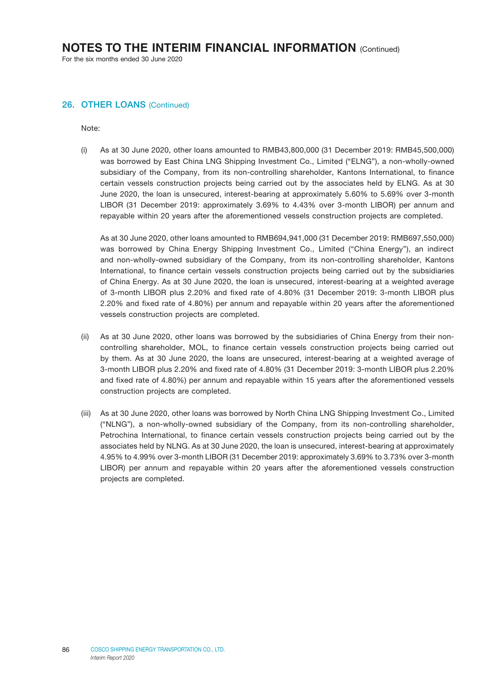#### 26. OTHER LOANS (Continued)

Note:

(i) As at 30 June 2020, other loans amounted to RMB43,800,000 (31 December 2019: RMB45,500,000) was borrowed by East China LNG Shipping Investment Co., Limited ("ELNG"), a non-wholly-owned subsidiary of the Company, from its non-controlling shareholder, Kantons International, to finance certain vessels construction projects being carried out by the associates held by ELNG. As at 30 June 2020, the loan is unsecured, interest-bearing at approximately 5.60% to 5.69% over 3-month LIBOR (31 December 2019: approximately 3.69% to 4.43% over 3-month LIBOR) per annum and repayable within 20 years after the aforementioned vessels construction projects are completed.

As at 30 June 2020, other loans amounted to RMB694,941,000 (31 December 2019: RMB697,550,000) was borrowed by China Energy Shipping Investment Co., Limited ("China Energy"), an indirect and non-wholly-owned subsidiary of the Company, from its non-controlling shareholder, Kantons International, to finance certain vessels construction projects being carried out by the subsidiaries of China Energy. As at 30 June 2020, the loan is unsecured, interest-bearing at a weighted average of 3-month LIBOR plus 2.20% and fixed rate of 4.80% (31 December 2019: 3-month LIBOR plus 2.20% and fixed rate of 4.80%) per annum and repayable within 20 years after the aforementioned vessels construction projects are completed.

- (ii) As at 30 June 2020, other loans was borrowed by the subsidiaries of China Energy from their noncontrolling shareholder, MOL, to finance certain vessels construction projects being carried out by them. As at 30 June 2020, the loans are unsecured, interest-bearing at a weighted average of 3-month LIBOR plus 2.20% and fixed rate of 4.80% (31 December 2019: 3-month LIBOR plus 2.20% and fixed rate of 4.80%) per annum and repayable within 15 years after the aforementioned vessels construction projects are completed.
- (iii) As at 30 June 2020, other loans was borrowed by North China LNG Shipping Investment Co., Limited ("NLNG"), a non-wholly-owned subsidiary of the Company, from its non-controlling shareholder, Petrochina International, to finance certain vessels construction projects being carried out by the associates held by NLNG. As at 30 June 2020, the loan is unsecured, interest-bearing at approximately 4.95% to 4.99% over 3-month LIBOR (31 December 2019: approximately 3.69% to 3.73% over 3-month LIBOR) per annum and repayable within 20 years after the aforementioned vessels construction projects are completed.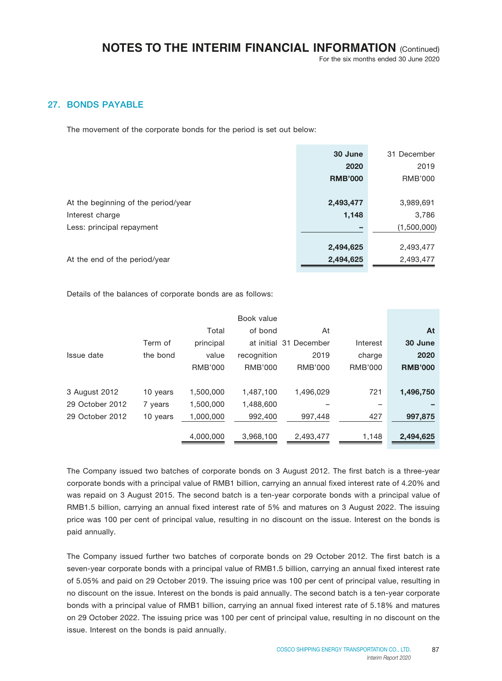## 27. BONDS PAYABLE

The movement of the corporate bonds for the period is set out below:

|                                     | 30 June        | 31 December |
|-------------------------------------|----------------|-------------|
|                                     | 2020           | 2019        |
|                                     | <b>RMB'000</b> | RMB'000     |
|                                     |                |             |
| At the beginning of the period/year | 2,493,477      | 3,989,691   |
| Interest charge                     | 1,148          | 3,786       |
| Less: principal repayment           |                | (1,500,000) |
|                                     |                |             |
|                                     | 2,494,625      | 2,493,477   |
| At the end of the period/year       | 2,494,625      | 2,493,477   |

Details of the balances of corporate bonds are as follows:

|                 |          |                | Book value     |                        |          |                |
|-----------------|----------|----------------|----------------|------------------------|----------|----------------|
|                 |          | Total          | of bond        | At                     |          | At             |
|                 | Term of  | principal      |                | at initial 31 December | Interest | 30 June        |
| Issue date      | the bond | value          | recognition    | 2019                   | charge   | 2020           |
|                 |          | <b>RMB'000</b> | <b>RMB'000</b> | RMB'000                | RMB'000  | <b>RMB'000</b> |
|                 |          |                |                |                        |          |                |
| 3 August 2012   | 10 years | 1,500,000      | 1.487.100      | 1.496.029              | 721      | 1,496,750      |
| 29 October 2012 | 7 years  | 1,500,000      | 1,488,600      |                        |          |                |
| 29 October 2012 | 10 years | 1,000,000      | 992,400        | 997.448                | 427      | 997.875        |
|                 |          |                |                |                        |          |                |
|                 |          | 4,000,000      | 3,968,100      | 2,493,477              | 1,148    | 2,494,625      |

The Company issued two batches of corporate bonds on 3 August 2012. The first batch is a three-year corporate bonds with a principal value of RMB1 billion, carrying an annual fixed interest rate of 4.20% and was repaid on 3 August 2015. The second batch is a ten-year corporate bonds with a principal value of RMB1.5 billion, carrying an annual fixed interest rate of 5% and matures on 3 August 2022. The issuing price was 100 per cent of principal value, resulting in no discount on the issue. Interest on the bonds is paid annually.

The Company issued further two batches of corporate bonds on 29 October 2012. The first batch is a seven-year corporate bonds with a principal value of RMB1.5 billion, carrying an annual fixed interest rate of 5.05% and paid on 29 October 2019. The issuing price was 100 per cent of principal value, resulting in no discount on the issue. Interest on the bonds is paid annually. The second batch is a ten-year corporate bonds with a principal value of RMB1 billion, carrying an annual fixed interest rate of 5.18% and matures on 29 October 2022. The issuing price was 100 per cent of principal value, resulting in no discount on the issue. Interest on the bonds is paid annually.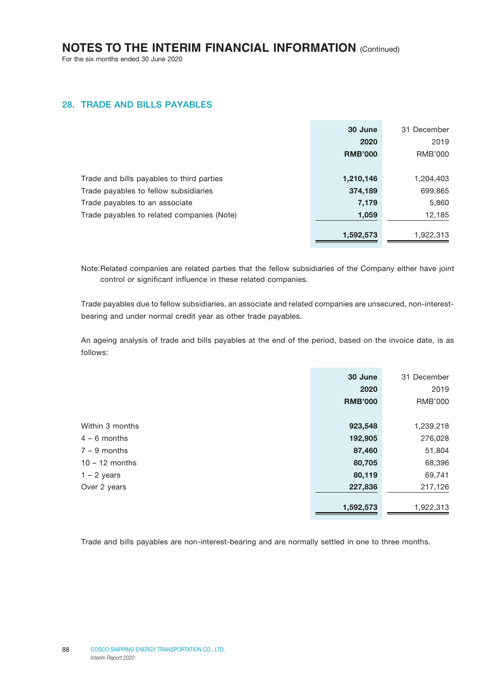### 28. TRADE AND BILLS PAYABLES

|                                            | 30 June        | 31 December |
|--------------------------------------------|----------------|-------------|
|                                            | 2020           | 2019        |
|                                            | <b>RMB'000</b> | RMB'000     |
|                                            |                |             |
| Trade and bills payables to third parties  | 1,210,146      | 1,204,403   |
| Trade payables to fellow subsidiaries      | 374,189        | 699,865     |
| Trade payables to an associate             | 7,179          | 5,860       |
| Trade payables to related companies (Note) | 1,059          | 12,185      |
|                                            |                |             |
|                                            | 1,592,573      | 1,922,313   |

Note:Related companies are related parties that the fellow subsidiaries of the Company either have joint control or significant influence in these related companies.

Trade payables due to fellow subsidiaries, an associate and related companies are unsecured, non-interestbearing and under normal credit year as other trade payables.

An ageing analysis of trade and bills payables at the end of the period, based on the invoice date, is as follows:

|                  | 30 June        | 31 December    |
|------------------|----------------|----------------|
|                  | 2020           | 2019           |
|                  | <b>RMB'000</b> | <b>RMB'000</b> |
|                  |                |                |
| Within 3 months  | 923,548        | 1,239,218      |
| $4 - 6$ months   | 192,905        | 276,028        |
| $7 - 9$ months   | 87,460         | 51,804         |
| $10 - 12$ months | 80,705         | 68,396         |
| $1 - 2$ years    | 80,119         | 69,741         |
| Over 2 years     | 227,836        | 217,126        |
|                  | 1,592,573      | 1,922,313      |

Trade and bills payables are non-interest-bearing and are normally settled in one to three months.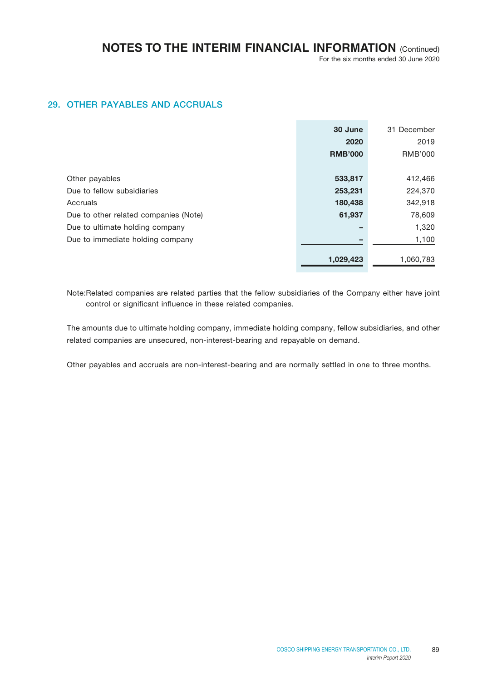## 29. OTHER PAYABLES AND ACCRUALS

|                                       | 30 June        | 31 December |
|---------------------------------------|----------------|-------------|
|                                       | 2020           | 2019        |
|                                       | <b>RMB'000</b> | RMB'000     |
|                                       |                |             |
| Other payables                        | 533,817        | 412,466     |
| Due to fellow subsidiaries            | 253,231        | 224,370     |
| Accruals                              | 180,438        | 342,918     |
| Due to other related companies (Note) | 61,937         | 78,609      |
| Due to ultimate holding company       |                | 1,320       |
| Due to immediate holding company      |                | 1,100       |
|                                       |                |             |
|                                       | 1,029,423      | 1,060,783   |

Note:Related companies are related parties that the fellow subsidiaries of the Company either have joint control or significant influence in these related companies.

The amounts due to ultimate holding company, immediate holding company, fellow subsidiaries, and other related companies are unsecured, non-interest-bearing and repayable on demand.

Other payables and accruals are non-interest-bearing and are normally settled in one to three months.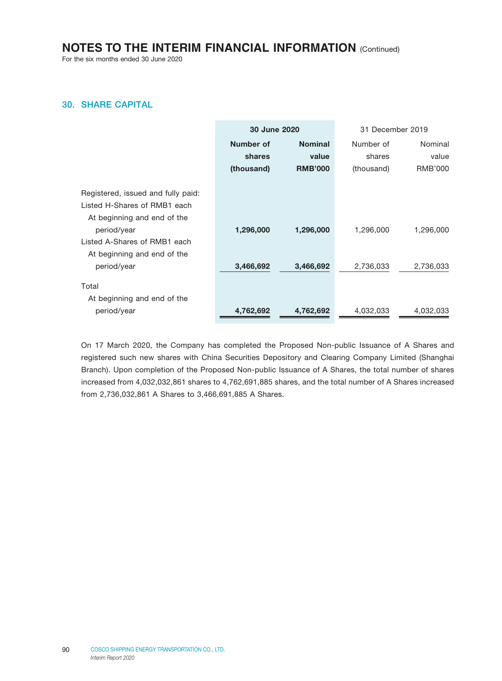For the six months ended 30 June 2020

## 30. SHARE CAPITAL

|                                                                                                                                                                                                | <b>30 June 2020</b>    |                        | 31 December 2019       |                        |
|------------------------------------------------------------------------------------------------------------------------------------------------------------------------------------------------|------------------------|------------------------|------------------------|------------------------|
|                                                                                                                                                                                                | Number of              | <b>Nominal</b>         | Number of              | Nominal                |
|                                                                                                                                                                                                | shares                 | value                  | shares                 | value                  |
|                                                                                                                                                                                                | (thousand)             | <b>RMB'000</b>         | (thousand)             | RMB'000                |
| Registered, issued and fully paid:<br>Listed H-Shares of RMB1 each<br>At beginning and end of the<br>period/year<br>Listed A-Shares of RMB1 each<br>At beginning and end of the<br>period/year | 1,296,000<br>3,466,692 | 1,296,000<br>3,466,692 | 1,296,000<br>2,736,033 | 1,296,000<br>2,736,033 |
| Total<br>At beginning and end of the<br>period/year                                                                                                                                            | 4,762,692              | 4,762,692              | 4,032,033              | 4,032,033              |

On 17 March 2020, the Company has completed the Proposed Non-public Issuance of A Shares and registered such new shares with China Securities Depository and Clearing Company Limited (Shanghai Branch). Upon completion of the Proposed Non-public Issuance of A Shares, the total number of shares increased from 4,032,032,861 shares to 4,762,691,885 shares, and the total number of A Shares increased from 2,736,032,861 A Shares to 3,466,691,885 A Shares.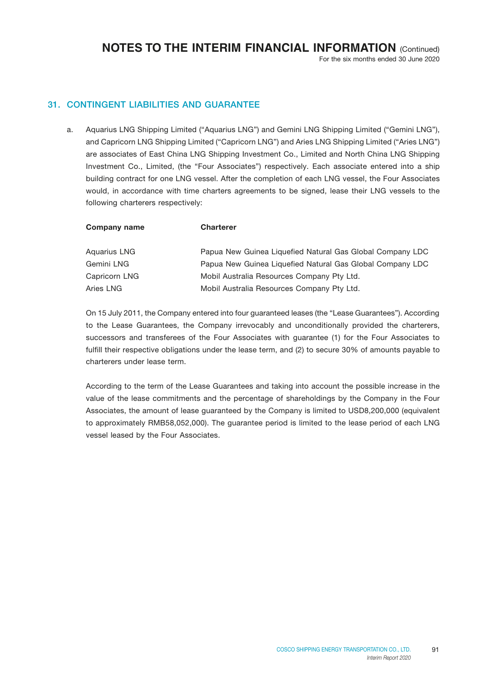## 31. CONTINGENT LIABILITIES AND GUARANTEE

a. Aquarius LNG Shipping Limited ("Aquarius LNG") and Gemini LNG Shipping Limited ("Gemini LNG"), and Capricorn LNG Shipping Limited ("Capricorn LNG") and Aries LNG Shipping Limited ("Aries LNG") are associates of East China LNG Shipping Investment Co., Limited and North China LNG Shipping Investment Co., Limited, (the "Four Associates") respectively. Each associate entered into a ship building contract for one LNG vessel. After the completion of each LNG vessel, the Four Associates would, in accordance with time charters agreements to be signed, lease their LNG vessels to the following charterers respectively:

| <b>Charterer</b>                                          |
|-----------------------------------------------------------|
| Papua New Guinea Liquefied Natural Gas Global Company LDC |
| Papua New Guinea Liquefied Natural Gas Global Company LDC |
| Mobil Australia Resources Company Pty Ltd.                |
| Mobil Australia Resources Company Pty Ltd.                |
|                                                           |

On 15 July 2011, the Company entered into four guaranteed leases (the "Lease Guarantees"). According to the Lease Guarantees, the Company irrevocably and unconditionally provided the charterers, successors and transferees of the Four Associates with guarantee (1) for the Four Associates to fulfill their respective obligations under the lease term, and (2) to secure 30% of amounts payable to charterers under lease term.

According to the term of the Lease Guarantees and taking into account the possible increase in the value of the lease commitments and the percentage of shareholdings by the Company in the Four Associates, the amount of lease guaranteed by the Company is limited to USD8,200,000 (equivalent to approximately RMB58,052,000). The guarantee period is limited to the lease period of each LNG vessel leased by the Four Associates.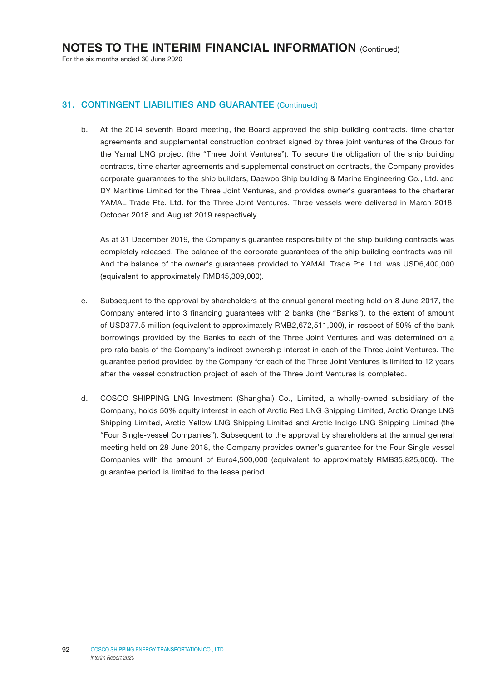### 31. CONTINGENT LIABILITIES AND GUARANTEE (Continued)

b. At the 2014 seventh Board meeting, the Board approved the ship building contracts, time charter agreements and supplemental construction contract signed by three joint ventures of the Group for the Yamal LNG project (the "Three Joint Ventures"). To secure the obligation of the ship building contracts, time charter agreements and supplemental construction contracts, the Company provides corporate guarantees to the ship builders, Daewoo Ship building & Marine Engineering Co., Ltd. and DY Maritime Limited for the Three Joint Ventures, and provides owner's guarantees to the charterer YAMAL Trade Pte. Ltd. for the Three Joint Ventures. Three vessels were delivered in March 2018, October 2018 and August 2019 respectively.

As at 31 December 2019, the Company's guarantee responsibility of the ship building contracts was completely released. The balance of the corporate guarantees of the ship building contracts was nil. And the balance of the owner's guarantees provided to YAMAL Trade Pte. Ltd. was USD6,400,000 (equivalent to approximately RMB45,309,000).

- c. Subsequent to the approval by shareholders at the annual general meeting held on 8 June 2017, the Company entered into 3 financing guarantees with 2 banks (the "Banks"), to the extent of amount of USD377.5 million (equivalent to approximately RMB2,672,511,000), in respect of 50% of the bank borrowings provided by the Banks to each of the Three Joint Ventures and was determined on a pro rata basis of the Company's indirect ownership interest in each of the Three Joint Ventures. The guarantee period provided by the Company for each of the Three Joint Ventures is limited to 12 years after the vessel construction project of each of the Three Joint Ventures is completed.
- d. COSCO SHIPPING LNG Investment (Shanghai) Co., Limited, a wholly-owned subsidiary of the Company, holds 50% equity interest in each of Arctic Red LNG Shipping Limited, Arctic Orange LNG Shipping Limited, Arctic Yellow LNG Shipping Limited and Arctic Indigo LNG Shipping Limited (the "Four Single-vessel Companies"). Subsequent to the approval by shareholders at the annual general meeting held on 28 June 2018, the Company provides owner's guarantee for the Four Single vessel Companies with the amount of Euro4,500,000 (equivalent to approximately RMB35,825,000). The guarantee period is limited to the lease period.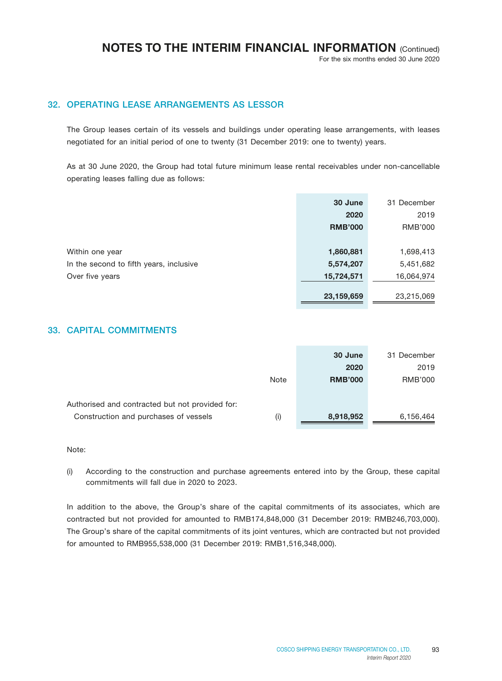For the six months ended 30 June 2020

## 32. OPERATING LEASE ARRANGEMENTS AS LESSOR

The Group leases certain of its vessels and buildings under operating lease arrangements, with leases negotiated for an initial period of one to twenty (31 December 2019: one to twenty) years.

As at 30 June 2020, the Group had total future minimum lease rental receivables under non-cancellable operating leases falling due as follows:

|                                         | 30 June        | 31 December |
|-----------------------------------------|----------------|-------------|
|                                         | 2020           | 2019        |
|                                         | <b>RMB'000</b> | RMB'000     |
|                                         |                |             |
| Within one year                         | 1,860,881      | 1,698,413   |
| In the second to fifth years, inclusive | 5,574,207      | 5,451,682   |
| Over five years                         | 15,724,571     | 16,064,974  |
|                                         |                |             |
|                                         | 23,159,659     | 23,215,069  |

### 33. CAPITAL COMMITMENTS

|                                                                                          |      | 30 June                | 31 December     |
|------------------------------------------------------------------------------------------|------|------------------------|-----------------|
|                                                                                          | Note | 2020<br><b>RMB'000</b> | 2019<br>RMB'000 |
| Authorised and contracted but not provided for:<br>Construction and purchases of vessels | (i)  | 8,918,952              | 6,156,464       |

#### Note:

(i) According to the construction and purchase agreements entered into by the Group, these capital commitments will fall due in 2020 to 2023.

In addition to the above, the Group's share of the capital commitments of its associates, which are contracted but not provided for amounted to RMB174,848,000 (31 December 2019: RMB246,703,000). The Group's share of the capital commitments of its joint ventures, which are contracted but not provided for amounted to RMB955,538,000 (31 December 2019: RMB1,516,348,000).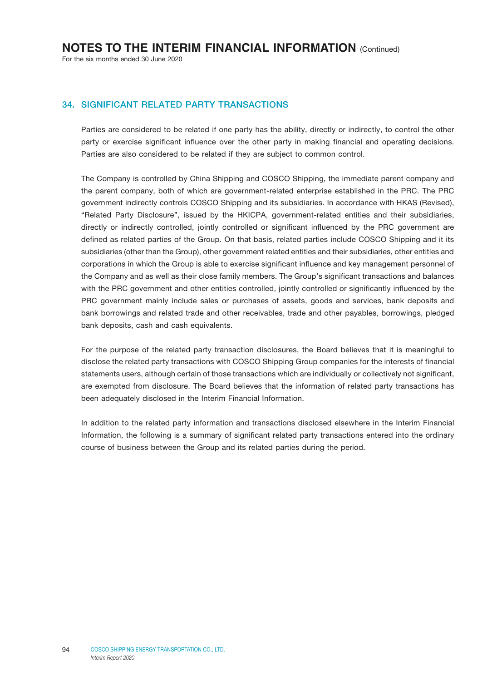### 34. SIGNIFICANT RELATED PARTY TRANSACTIONS

Parties are considered to be related if one party has the ability, directly or indirectly, to control the other party or exercise significant influence over the other party in making financial and operating decisions. Parties are also considered to be related if they are subject to common control.

The Company is controlled by China Shipping and COSCO Shipping, the immediate parent company and the parent company, both of which are government-related enterprise established in the PRC. The PRC government indirectly controls COSCO Shipping and its subsidiaries. In accordance with HKAS (Revised), "Related Party Disclosure", issued by the HKICPA, government-related entities and their subsidiaries, directly or indirectly controlled, jointly controlled or significant influenced by the PRC government are defined as related parties of the Group. On that basis, related parties include COSCO Shipping and it its subsidiaries (other than the Group), other government related entities and their subsidiaries, other entities and corporations in which the Group is able to exercise significant influence and key management personnel of the Company and as well as their close family members. The Group's significant transactions and balances with the PRC government and other entities controlled, jointly controlled or significantly influenced by the PRC government mainly include sales or purchases of assets, goods and services, bank deposits and bank borrowings and related trade and other receivables, trade and other payables, borrowings, pledged bank deposits, cash and cash equivalents.

For the purpose of the related party transaction disclosures, the Board believes that it is meaningful to disclose the related party transactions with COSCO Shipping Group companies for the interests of financial statements users, although certain of those transactions which are individually or collectively not significant, are exempted from disclosure. The Board believes that the information of related party transactions has been adequately disclosed in the Interim Financial Information.

In addition to the related party information and transactions disclosed elsewhere in the Interim Financial Information, the following is a summary of significant related party transactions entered into the ordinary course of business between the Group and its related parties during the period.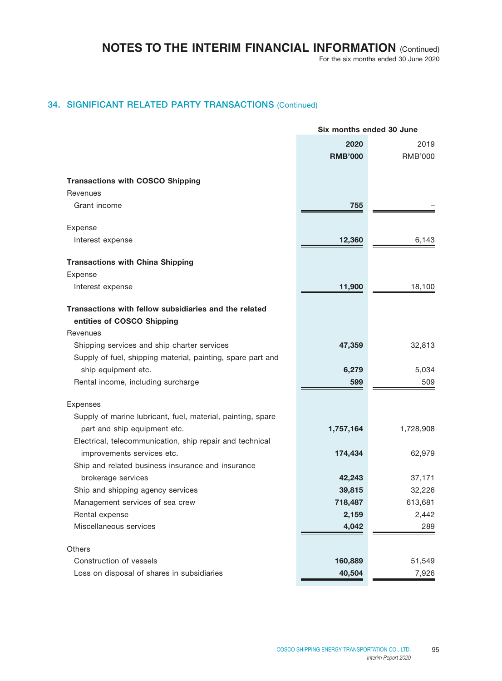For the six months ended 30 June 2020

## 34. SIGNIFICANT RELATED PARTY TRANSACTIONS (Continued)

|                                                             | Six months ended 30 June |                |  |
|-------------------------------------------------------------|--------------------------|----------------|--|
|                                                             | 2020                     | 2019           |  |
|                                                             | <b>RMB'000</b>           | <b>RMB'000</b> |  |
|                                                             |                          |                |  |
| <b>Transactions with COSCO Shipping</b>                     |                          |                |  |
| Revenues                                                    |                          |                |  |
| Grant income                                                | 755                      |                |  |
|                                                             |                          |                |  |
| Expense                                                     |                          |                |  |
| Interest expense                                            | 12,360                   | 6,143          |  |
| <b>Transactions with China Shipping</b>                     |                          |                |  |
| Expense                                                     |                          |                |  |
| Interest expense                                            | 11,900                   | 18,100         |  |
| Transactions with fellow subsidiaries and the related       |                          |                |  |
| entities of COSCO Shipping                                  |                          |                |  |
| Revenues                                                    |                          |                |  |
| Shipping services and ship charter services                 | 47,359                   | 32,813         |  |
| Supply of fuel, shipping material, painting, spare part and |                          |                |  |
| ship equipment etc.                                         | 6,279                    | 5,034          |  |
| Rental income, including surcharge                          | 599                      | 509            |  |
|                                                             |                          |                |  |
| Expenses                                                    |                          |                |  |
| Supply of marine lubricant, fuel, material, painting, spare |                          |                |  |
| part and ship equipment etc.                                | 1,757,164                | 1,728,908      |  |
| Electrical, telecommunication, ship repair and technical    |                          |                |  |
| improvements services etc.                                  | 174,434                  | 62,979         |  |
| Ship and related business insurance and insurance           |                          |                |  |
| brokerage services                                          | 42,243                   | 37,171         |  |
| Ship and shipping agency services                           | 39,815                   | 32,226         |  |
| Management services of sea crew                             | 718,487                  | 613,681        |  |
| Rental expense                                              | 2,159                    | 2,442          |  |
| Miscellaneous services                                      | 4,042                    | 289            |  |
| Others                                                      |                          |                |  |
| Construction of vessels                                     | 160,889                  | 51,549         |  |
| Loss on disposal of shares in subsidiaries                  | 40,504                   | 7,926          |  |